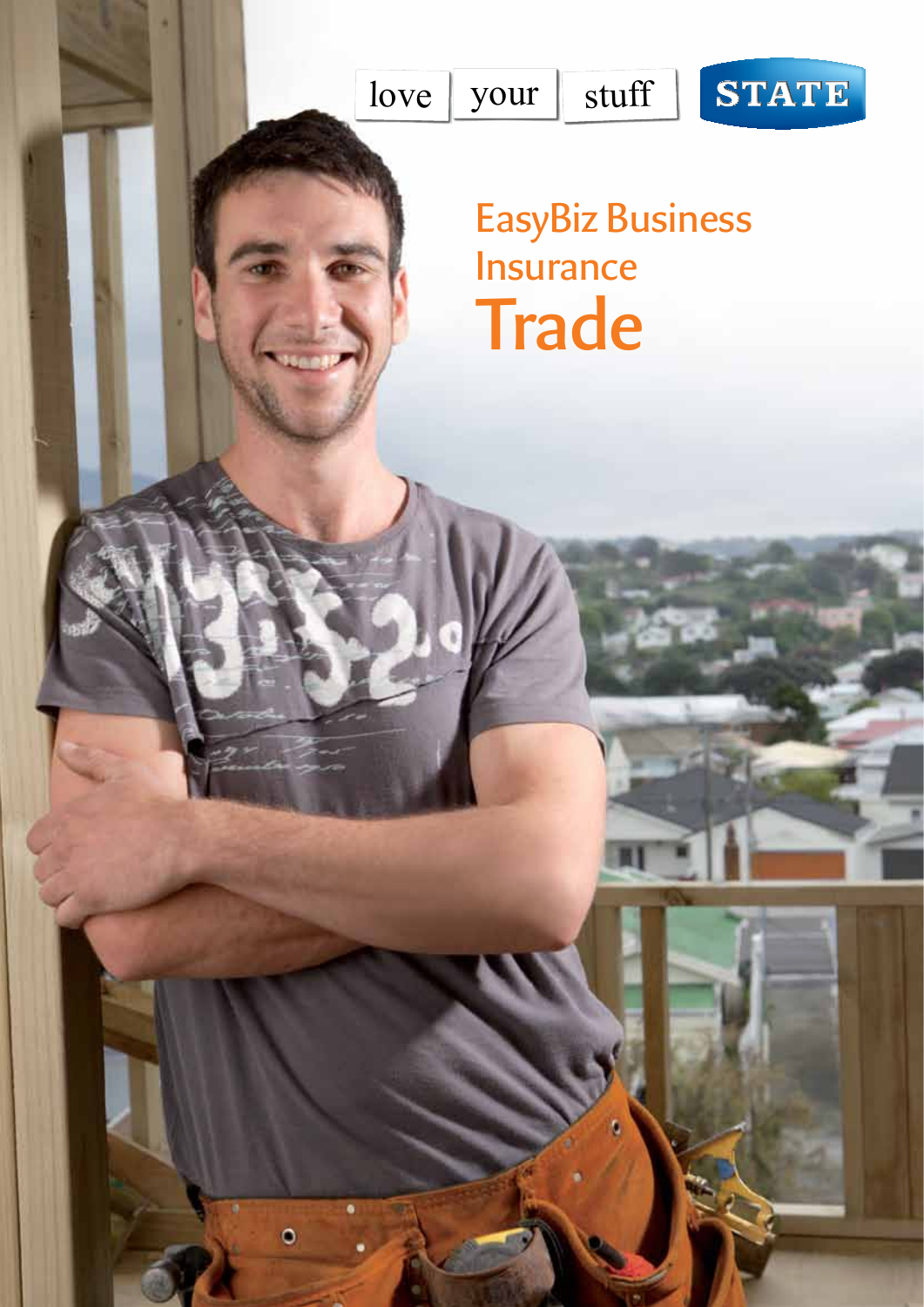

 $\bullet$ 

# STATE

# EasyBiz Business Insurance **Trade**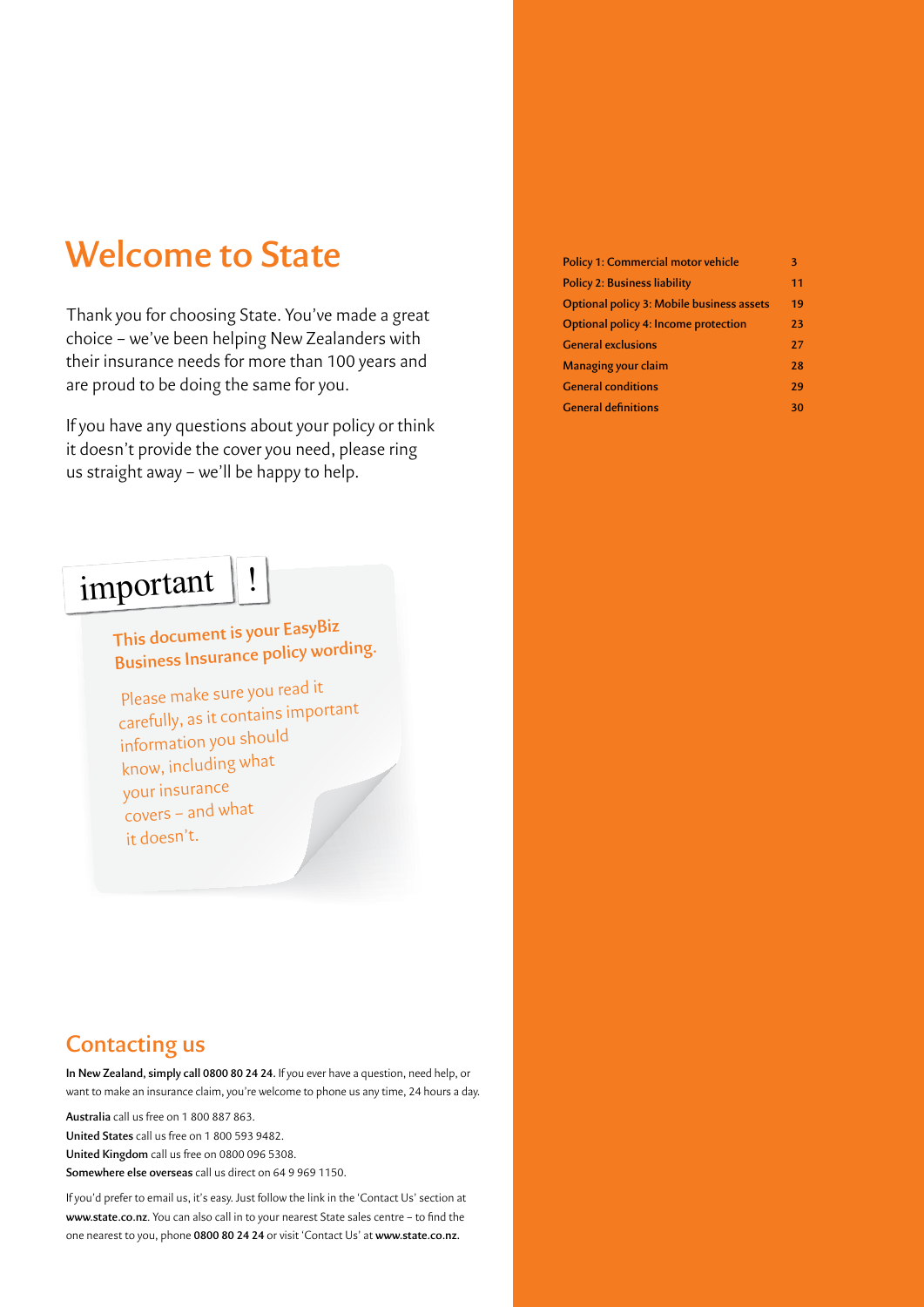# **Welcome to State**

Thank you for choosing State. You've made a great choice – we've been helping New Zealanders with their insurance needs for more than 100 years and are proud to be doing the same for you.

If you have any questions about your policy or think it doesn't provide the cover you need, please ring us straight away – we'll be happy to help.

# important

# **This document is your EasyBiz Business Insurance policy wording.**

Please make sure you read it carefully, as it contains important information you should know, including what your insurance covers – and what it doesn't.

# **Policy 1: Commercial motor vehicle 3 Policy 2: Business liability 11 [Optional policy 3: Mobile business assets](#page-19-0) 19 [Optional policy 4: Income protection](#page-23-0) 23 General exclusions 27 Managing your claim 28 General conditions 29 General definitions 30**

# **Contacting us**

**In New Zealand, simply call 0800 80 24 24.** If you ever have a question, need help, or want to make an insurance claim, you're welcome to phone us any time, 24 hours a day.

**Australia** call us free on 1 800 887 863.

**United States** call us free on 1 800 593 9482.

**United Kingdom** call us free on 0800 096 5308.

**Somewhere else overseas** call us direct on 64 9 969 1150.

If you'd prefer to email us, it's easy. Just follow the link in the 'Contact Us' section at **www.state.co.nz**. You can also call in to your nearest State sales centre – to find the one nearest to you, phone **0800 80 24 24** or visit 'Contact Us' at **www.state.co.nz.**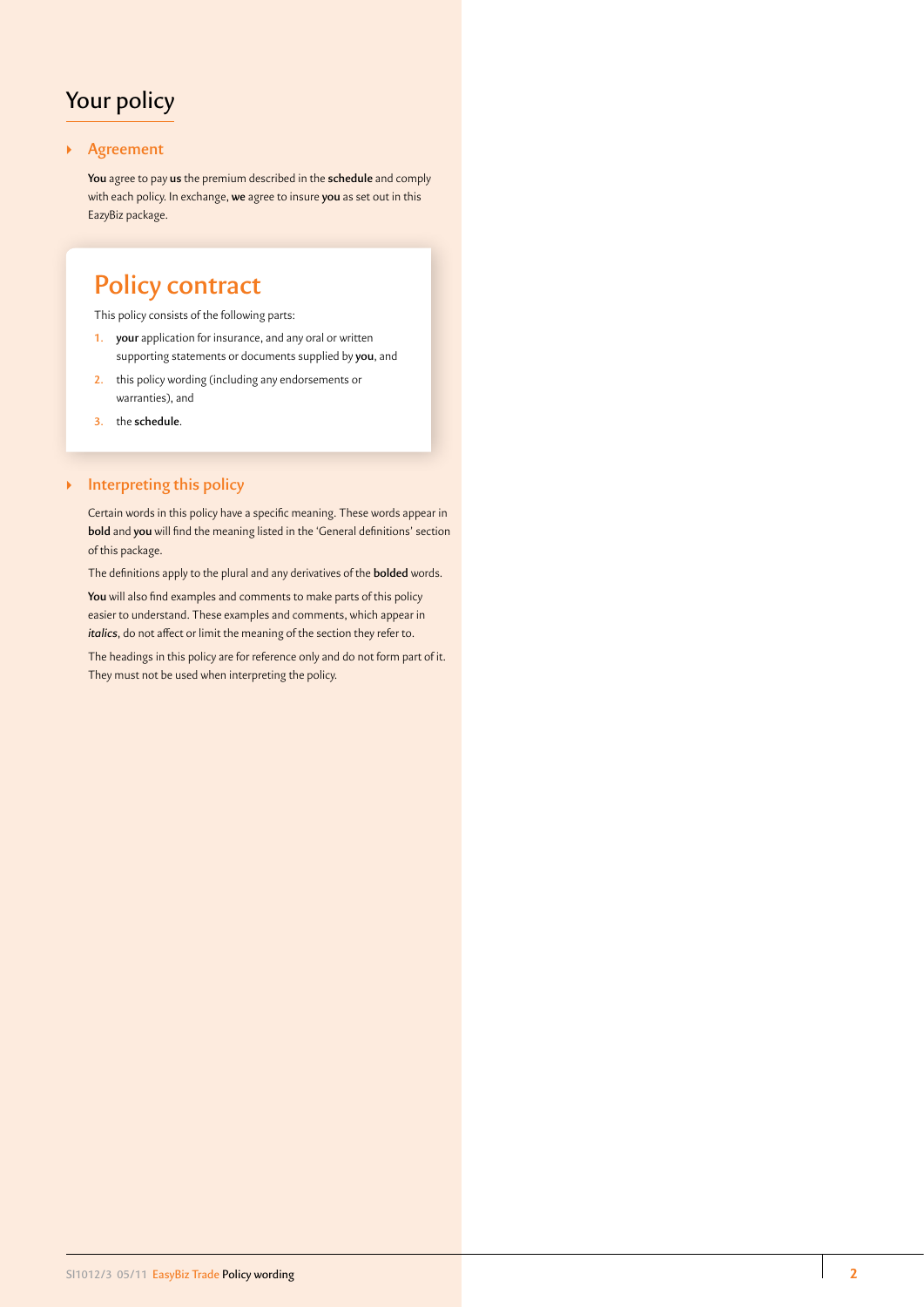# Your policy

# ` **Agreement**

**You** agree to pay **us** the premium described in the **schedule** and comply with each policy. In exchange, **we** agree to insure **you** as set out in this EazyBiz package.

# **Policy contract**

This policy consists of the following parts:

- **1. your** application for insurance, and any oral or written supporting statements or documents supplied by **you**, and
- **2.** this policy wording (including any endorsements or warranties), and
- **3.** the **schedule**.

# ` **Interpreting this policy**

Certain words in this policy have a specific meaning. These words appear in **bold** and **you** will find the meaning listed in the 'General definitions' section of this package.

The definitions apply to the plural and any derivatives of the **bolded** words.

**You** will also find examples and comments to make parts of this policy easier to understand. These examples and comments, which appear in *italics*, do not affect or limit the meaning of the section they refer to.

The headings in this policy are for reference only and do not form part of it. They must not be used when interpreting the policy.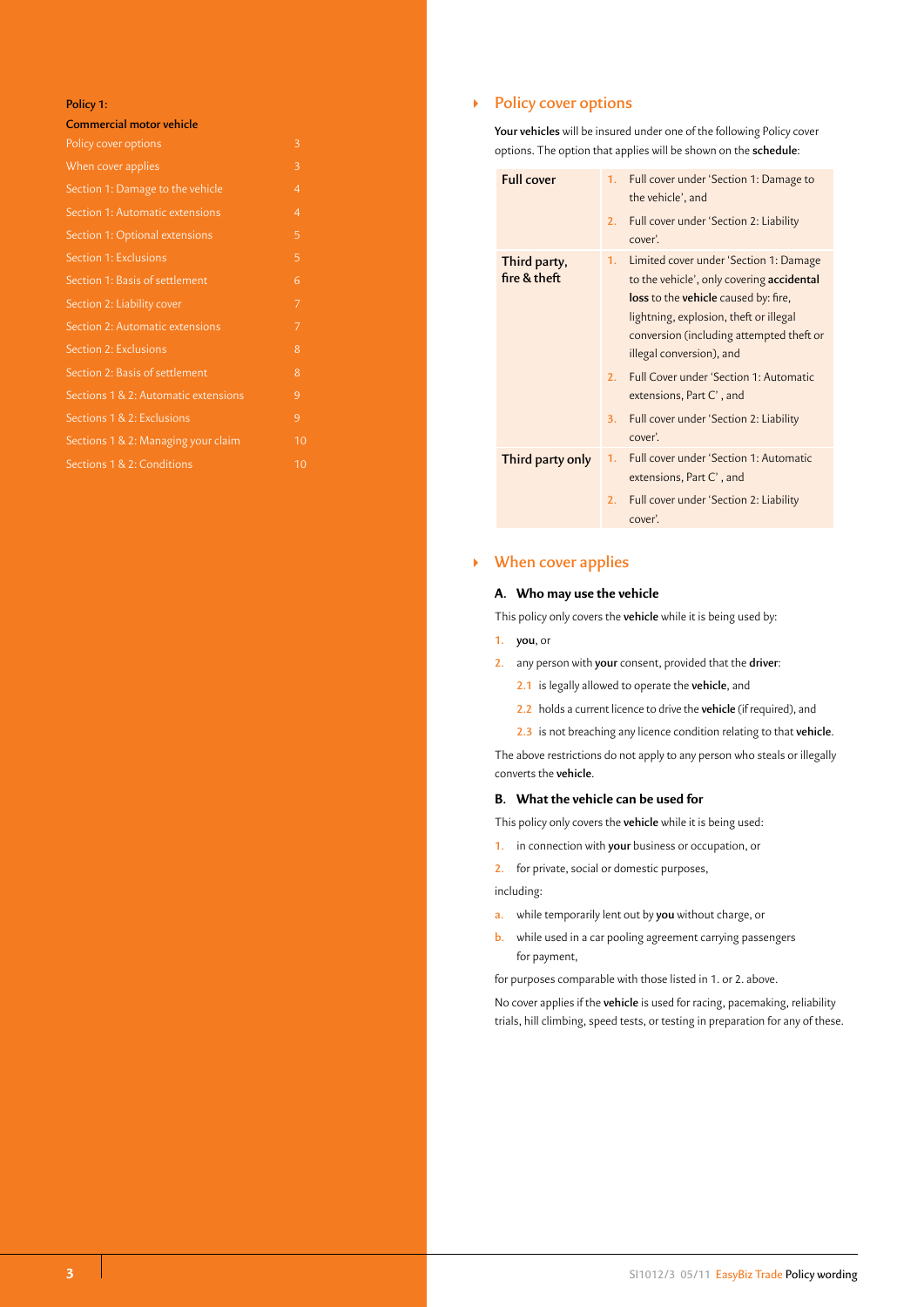#### **Policy 1:**

| <b>Commercial motor vehicle</b>      |                |
|--------------------------------------|----------------|
| Policy cover options                 | 3              |
| When cover applies                   | 3              |
| Section 1: Damage to the vehicle     | $\overline{4}$ |
| Section 1: Automatic extensions      | $\overline{4}$ |
| Section 1: Optional extensions       | 5              |
| Section 1: Exclusions                | 5              |
| Section 1: Basis of settlement       | 6              |
| Section 2: Liability cover           | 7              |
| Section 2: Automatic extensions      | 7              |
| Section 2: Exclusions                | 8              |
| Section 2: Basis of settlement       | 8              |
| Sections 1 & 2: Automatic extensions | 9              |
| Sections 1 & 2: Exclusions           | 9              |
| Sections 1 & 2: Managing your claim  | 10             |
| Sections 1 & 2: Conditions           | 10             |

# **EXECUTE:** Policy cover options

**Your vehicles** will be insured under one of the following Policy cover options. The option that applies will be shown on the **schedule**:

| <b>Full cover</b>            | 1.       | Full cover under 'Section 1: Damage to<br>the vehicle', and                                                                                                                                                                                   |
|------------------------------|----------|-----------------------------------------------------------------------------------------------------------------------------------------------------------------------------------------------------------------------------------------------|
|                              | 2.       | Full cover under 'Section 2: Liability<br>cover'.                                                                                                                                                                                             |
| Third party,<br>fire & theft | 1.       | Limited cover under 'Section 1: Damage<br>to the vehicle', only covering accidental<br>loss to the vehicle caused by: fire,<br>lightning, explosion, theft or illegal<br>conversion (including attempted theft or<br>illegal conversion), and |
|                              | 2.       | Full Cover under 'Section 1: Automatic<br>extensions, Part C', and                                                                                                                                                                            |
|                              | 3.       | Full cover under 'Section 2: Liability<br>cover'.                                                                                                                                                                                             |
| Third party only             | 1.<br>2. | Full cover under 'Section 1: Automatic<br>extensions, Part C', and<br>Full cover under 'Section 2: Liability                                                                                                                                  |
|                              |          | cover'.                                                                                                                                                                                                                                       |

# ` **When cover applies**

# **A. Who may use the vehicle**

This policy only covers the **vehicle** while it is being used by:

- **1. you**, or
- **2.** any person with **your** consent, provided that the **driver**:
	- **2.1** is legally allowed to operate the **vehicle**, and
	- **2.2** holds a current licence to drive the **vehicle** (if required), and
	- **2.3** is not breaching any licence condition relating to that **vehicle**.

The above restrictions do not apply to any person who steals or illegally converts the **vehicle**.

#### **B. What the vehicle can be used for**

This policy only covers the **vehicle** while it is being used:

**1.** in connection with **your** business or occupation, or

**2.** for private, social or domestic purposes,

including:

- **a.** while temporarily lent out by **you** without charge, or
- **b.** while used in a car pooling agreement carrying passengers for payment,

for purposes comparable with those listed in 1. or 2. above.

No cover applies if the **vehicle** is used for racing, pacemaking, reliability trials, hill climbing, speed tests, or testing in preparation for any of these.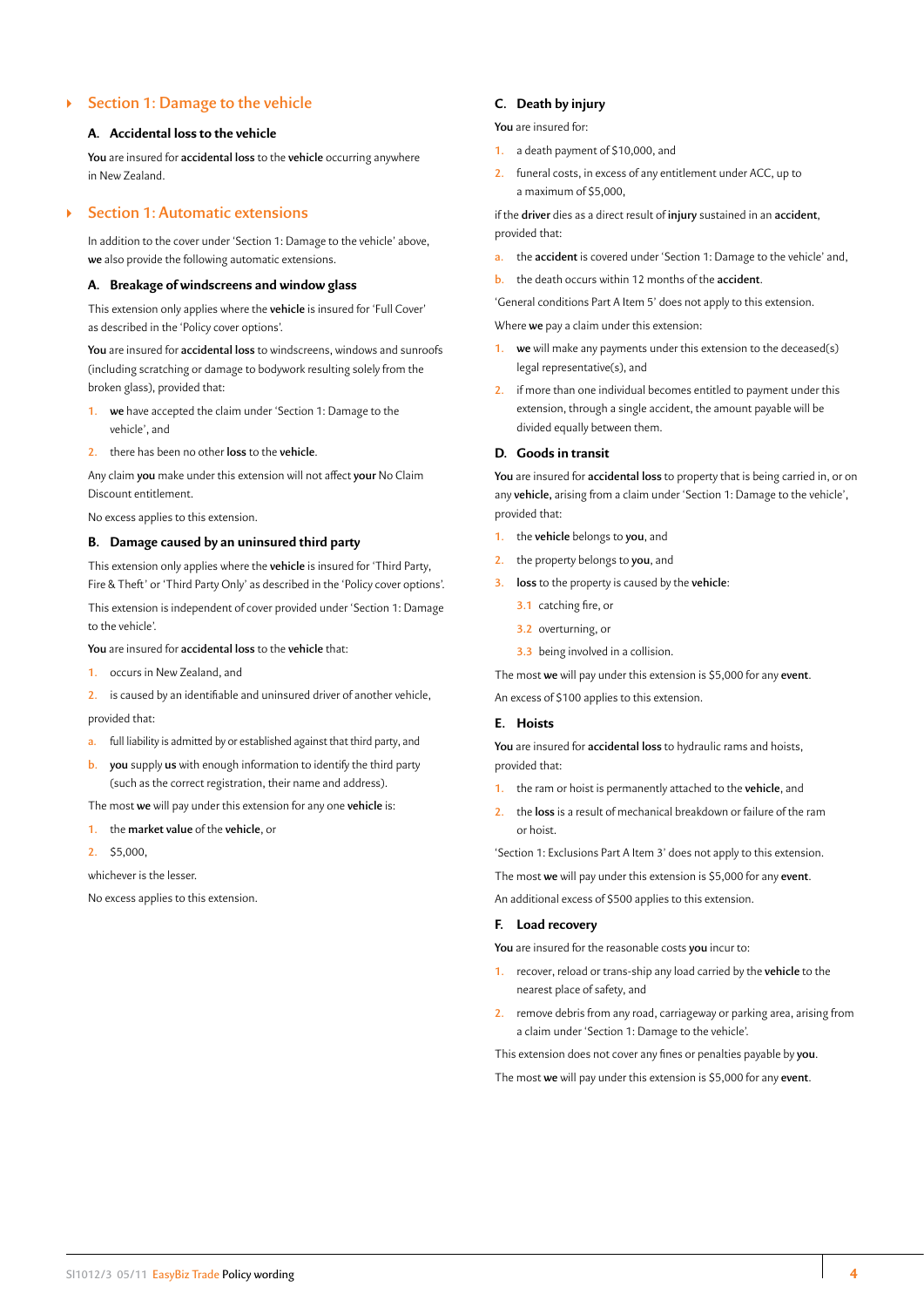# <span id="page-4-0"></span>` **Section 1: Damage to the vehicle**

#### **A. Accidental loss to the vehicle**

**You** are insured for **accidental loss** to the **vehicle** occurring anywhere in New Zealand.

# ` **Section 1: Automatic extensions**

In addition to the cover under 'Section 1: Damage to the vehicle' above, **we** also provide the following automatic extensions.

#### **A. Breakage of windscreens and window glass**

This extension only applies where the **vehicle** is insured for 'Full Cover' as described in the 'Policy cover options'.

**You** are insured for **accidental loss** to windscreens, windows and sunroofs (including scratching or damage to bodywork resulting solely from the broken glass), provided that:

- **1. we** have accepted the claim under 'Section 1: Damage to the vehicle', and
- **2.** there has been no other **loss** to the **vehicle**.

Any claim **you** make under this extension will not affect **your** No Claim Discount entitlement.

No excess applies to this extension.

#### **B. Damage caused by an uninsured third party**

This extension only applies where the **vehicle** is insured for 'Third Party, Fire & Theft' or 'Third Party Only' as described in the 'Policy cover options'.

This extension is independent of cover provided under 'Section 1: Damage to the vehicle'.

**You** are insured for **accidental loss** to the **vehicle** that:

- **1.** occurs in New Zealand, and
- **2.** is caused by an identifiable and uninsured driver of another vehicle,

provided that:

- **a.** full liability is admitted by or established against that third party, and
- **b. you** supply **us** with enough information to identify the third party (such as the correct registration, their name and address).

The most **we** will pay under this extension for any one **vehicle** is:

- **1.** the **market value** of the **vehicle**, or
- **2.** \$5,000,

whichever is the lesser.

No excess applies to this extension.

### **C. Death by injury**

**You** are insured for:

- **1.** a death payment of \$10,000, and
- **2.** funeral costs, in excess of any entitlement under ACC, up to a maximum of \$5,000,

if the **driver** dies as a direct result of **injury** sustained in an **accident**, provided that:

- **a.** the **accident** is covered under 'Section 1: Damage to the vehicle' and,
- **b.** the death occurs within 12 months of the **accident**.

'General conditions Part A Item 5' does not apply to this extension.

Where **we** pay a claim under this extension:

- **1. we** will make any payments under this extension to the deceased(s) legal representative(s), and
- **2.** if more than one individual becomes entitled to payment under this extension, through a single accident, the amount payable will be divided equally between them.

# **D. Goods in transit**

**You** are insured for **accidental loss** to property that is being carried in, or on any **vehicle,** arising from a claim under 'Section 1: Damage to the vehicle', provided that:

- **1.** the **vehicle** belongs to **you**, and
- **2.** the property belongs to **you**, and
- **3. loss** to the property is caused by the **vehicle**:
	- **3.1** catching fire, or
	- **3.2** overturning, or
	- **3.3** being involved in a collision.

The most **we** will pay under this extension is \$5,000 for any **event**.

An excess of \$100 applies to this extension.

# **E. Hoists**

**You** are insured for **accidental loss** to hydraulic rams and hoists, provided that:

- **1.** the ram or hoist is permanently attached to the **vehicle**, and
- **2.** the **loss** is a result of mechanical breakdown or failure of the ram or hoist.

'Section 1: Exclusions Part A Item 3' does not apply to this extension.

The most **we** will pay under this extension is \$5,000 for any **event**.

An additional excess of \$500 applies to this extension.

# **F. Load recovery**

**You** are insured for the reasonable costs **you** incur to:

- **1.** recover, reload or trans-ship any load carried by the **vehicle** to the nearest place of safety, and
- **2.** remove debris from any road, carriageway or parking area, arising from a claim under 'Section 1: Damage to the vehicle'.

This extension does not cover any fines or penalties payable by **you**. The most **we** will pay under this extension is \$5,000 for any **event**.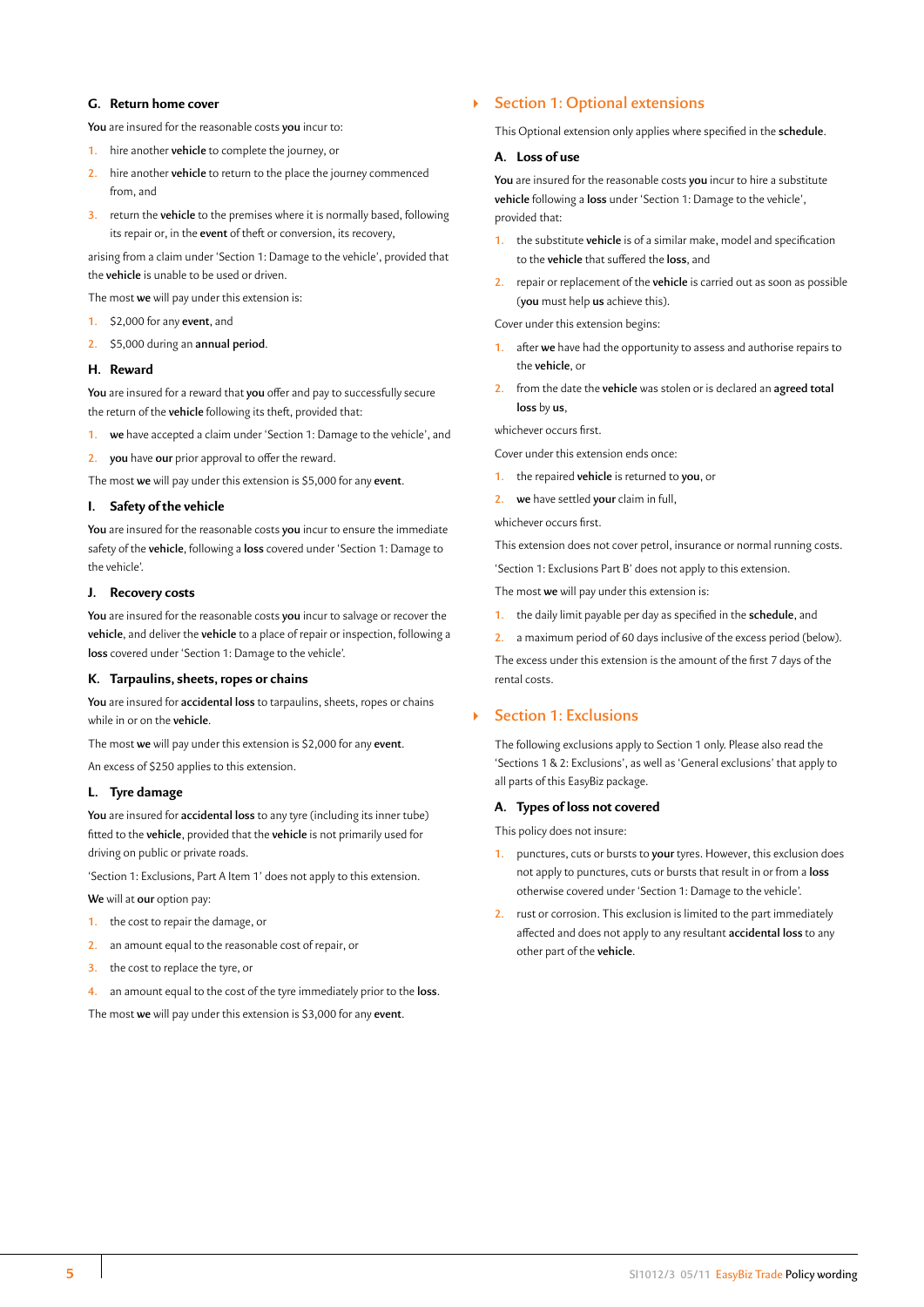# **G. Return home cover**

**You** are insured for the reasonable costs **you** incur to:

- **1.** hire another **vehicle** to complete the journey, or
- **2.** hire another **vehicle** to return to the place the journey commenced from, and
- **3.** return the **vehicle** to the premises where it is normally based, following its repair or, in the **event** of theft or conversion, its recovery,

arising from a claim under 'Section 1: Damage to the vehicle', provided that the **vehicle** is unable to be used or driven.

The most **we** will pay under this extension is:

- **1.** \$2,000 for any **event**, and
- **2.** \$5,000 during an **annual period**.

#### **H. Reward**

**You** are insured for a reward that **you** offer and pay to successfully secure the return of the **vehicle** following its theft, provided that:

- **1. we** have accepted a claim under 'Section 1: Damage to the vehicle', and
- **2. you** have **our** prior approval to offer the reward.

The most **we** will pay under this extension is \$5,000 for any **event**.

# **I. Safety of the vehicle**

**You** are insured for the reasonable costs **you** incur to ensure the immediate safety of the **vehicle**, following a **loss** covered under 'Section 1: Damage to the vehicle'.

#### **J. Recovery costs**

**You** are insured for the reasonable costs **you** incur to salvage or recover the **vehicle**, and deliver the **vehicle** to a place of repair or inspection, following a **loss** covered under 'Section 1: Damage to the vehicle'.

#### **K. Tarpaulins, sheets, ropes or chains**

**You** are insured for **accidental loss** to tarpaulins, sheets, ropes or chains while in or on the **vehicle**.

The most **we** will pay under this extension is \$2,000 for any **event**. An excess of \$250 applies to this extension.

#### **L. Tyre damage**

**You** are insured for **accidental loss** to any tyre (including its inner tube) fitted to the **vehicle**, provided that the **vehicle** is not primarily used for driving on public or private roads.

'Section 1: Exclusions, Part A Item 1' does not apply to this extension.

**We** will at **our** option pay:

- **1.** the cost to repair the damage, or
- **2.** an amount equal to the reasonable cost of repair, or
- **3.** the cost to replace the tyre, or
- **4.** an amount equal to the cost of the tyre immediately prior to the **loss**.

The most **we** will pay under this extension is \$3,000 for any **event**.

# ` **Section 1: Optional extensions**

This Optional extension only applies where specified in the **schedule**.

#### **A. Loss of use**

**You** are insured for the reasonable costs **you** incur to hire a substitute **vehicle** following a **loss** under 'Section 1: Damage to the vehicle', provided that:

- **1.** the substitute **vehicle** is of a similar make, model and specification to the **vehicle** that suffered the **loss**, and
- **2.** repair or replacement of the **vehicle** is carried out as soon as possible (**you** must help **us** achieve this).

Cover under this extension begins:

- **1.** after **we** have had the opportunity to assess and authorise repairs to the **vehicle**, or
- **2.** from the date the **vehicle** was stolen or is declared an **agreed total loss** by **us**,

whichever occurs first.

Cover under this extension ends once:

- **1.** the repaired **vehicle** is returned to **you**, or
- **2. we** have settled **your** claim in full,

whichever occurs first.

This extension does not cover petrol, insurance or normal running costs.

'Section 1: Exclusions Part B' does not apply to this extension.

The most **we** will pay under this extension is:

**1.** the daily limit payable per day as specified in the **schedule**, and

**2.** a maximum period of 60 days inclusive of the excess period (below).

The excess under this extension is the amount of the first 7 days of the rental costs.

# ` **Section 1: Exclusions**

The following exclusions apply to Section 1 only. Please also read the 'Sections 1 & 2: Exclusions', as well as 'General exclusions' that apply to all parts of this EasyBiz package.

# **A. Types of loss not covered**

This policy does not insure:

- **1.** punctures, cuts or bursts to **your** tyres. However, this exclusion does not apply to punctures, cuts or bursts that result in or from a **loss** otherwise covered under 'Section 1: Damage to the vehicle'.
- **2.** rust or corrosion. This exclusion is limited to the part immediately affected and does not apply to any resultant **accidental loss** to any other part of the **vehicle**.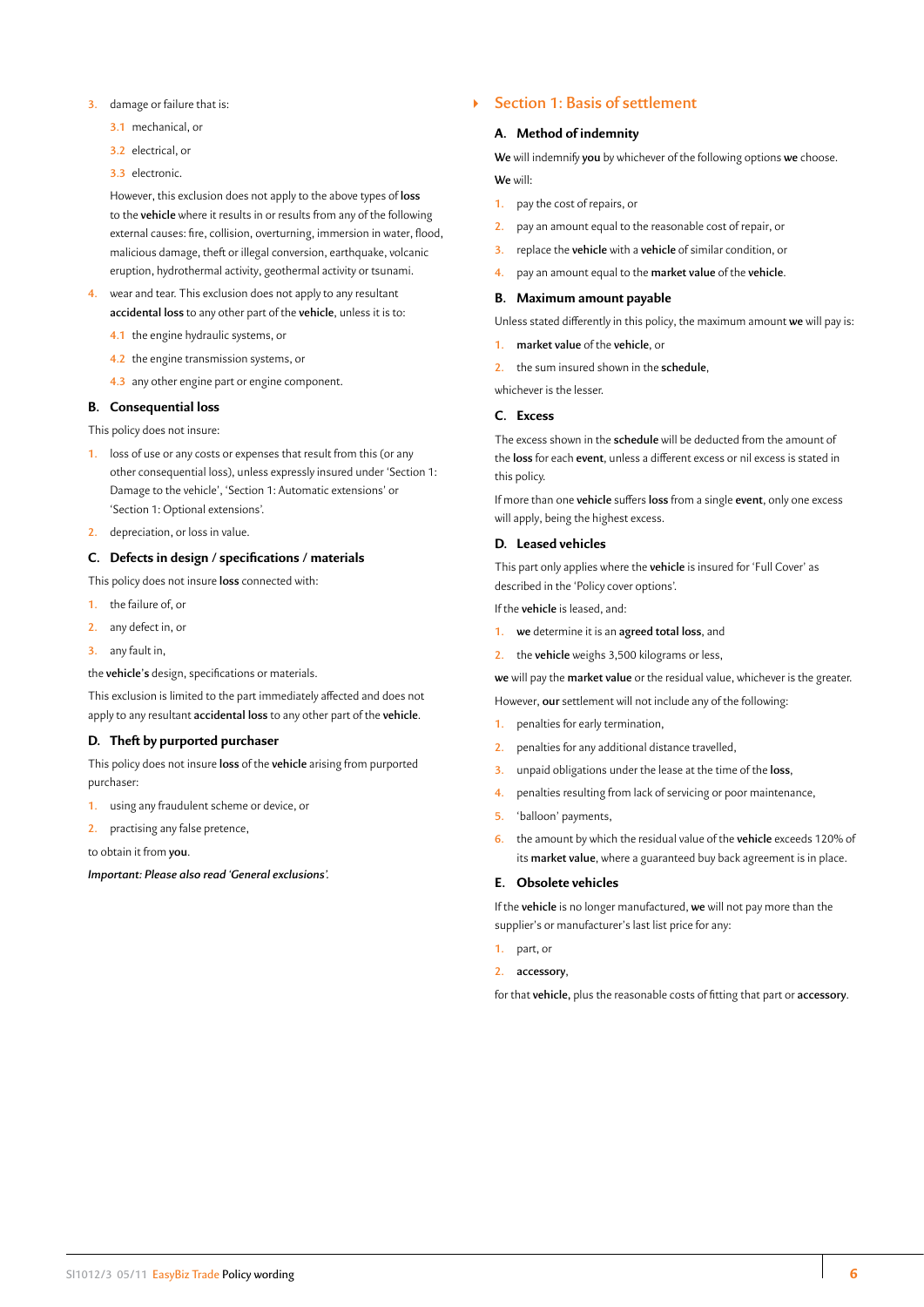- <span id="page-6-0"></span>**3.** damage or failure that is:
	- **3.1** mechanical, or
	- **3.2** electrical, or
	- **3.3** electronic.

However, this exclusion does not apply to the above types of **loss** to the **vehicle** where it results in or results from any of the following external causes: fire, collision, overturning, immersion in water, flood, malicious damage, theft or illegal conversion, earthquake, volcanic eruption, hydrothermal activity, geothermal activity or tsunami.

- **4.** wear and tear. This exclusion does not apply to any resultant **accidental loss** to any other part of the **vehicle**, unless it is to:
	- **4.1** the engine hydraulic systems, or
	- **4.2** the engine transmission systems, or
	- **4.3** any other engine part or engine component.

# **B. Consequential loss**

This policy does not insure:

- **1.** loss of use or any costs or expenses that result from this (or any other consequential loss), unless expressly insured under 'Section 1: Damage to the vehicle', 'Section 1: Automatic extensions' or 'Section 1: Optional extensions'.
- **2.** depreciation, or loss in value.

# **C. Defects in design / specifications / materials**

This policy does not insure **loss** connected with:

- **1.** the failure of, or
- **2.** any defect in, or
- **3.** any fault in,
- the **vehicle's** design, specifications or materials.

This exclusion is limited to the part immediately affected and does not apply to any resultant **accidental loss** to any other part of the **vehicle**.

# **D. Theft by purported purchaser**

This policy does not insure **loss** of the **vehicle** arising from purported purchaser:

- **1.** using any fraudulent scheme or device, or
- **2.** practising any false pretence,

to obtain it from **you**.

*Important: Please also read 'General exclusions'.*

# ` **Section 1: Basis of settlement**

# **A. Method of indemnity**

**We** will indemnify **you** by whichever of the following options **we** choose. **We** will:

- **1.** pay the cost of repairs, or
- **2.** pay an amount equal to the reasonable cost of repair, or
- **3.** replace the **vehicle** with a **vehicle** of similar condition, or
- **4.** pay an amount equal to the **market value** of the **vehicle**.

# **B. Maximum amount payable**

Unless stated differently in this policy, the maximum amount **we** will pay is:

- **1. market value** of the **vehicle**, or
- **2.** the sum insured shown in the **schedule**,

whichever is the lesser.

# **C. Excess**

The excess shown in the **schedule** will be deducted from the amount of the **loss** for each **event**, unless a different excess or nil excess is stated in this policy.

If more than one **vehicle** suffers **loss** from a single **event**, only one excess will apply, being the highest excess.

#### **D. Leased vehicles**

This part only applies where the **vehicle** is insured for 'Full Cover' as described in the 'Policy cover options'.

If the **vehicle** is leased, and:

- **1. we** determine it is an **agreed total loss**, and
- **2.** the **vehicle** weighs 3,500 kilograms or less,

**we** will pay the **market value** or the residual value, whichever is the greater.

- However, **our** settlement will not include any of the following:
- **1.** penalties for early termination,
- **2.** penalties for any additional distance travelled,
- **3.** unpaid obligations under the lease at the time of the **loss**,
- **4.** penalties resulting from lack of servicing or poor maintenance,
- **5.** 'balloon' payments,
- **6.** the amount by which the residual value of the **vehicle** exceeds 120% of its **market value**, where a guaranteed buy back agreement is in place.

#### **E. Obsolete vehicles**

If the **vehicle** is no longer manufactured, **we** will not pay more than the supplier's or manufacturer's last list price for any:

- **1.** part, or
- **2. accessory**,

for that **vehicle,** plus the reasonable costs of fitting that part or **accessory**.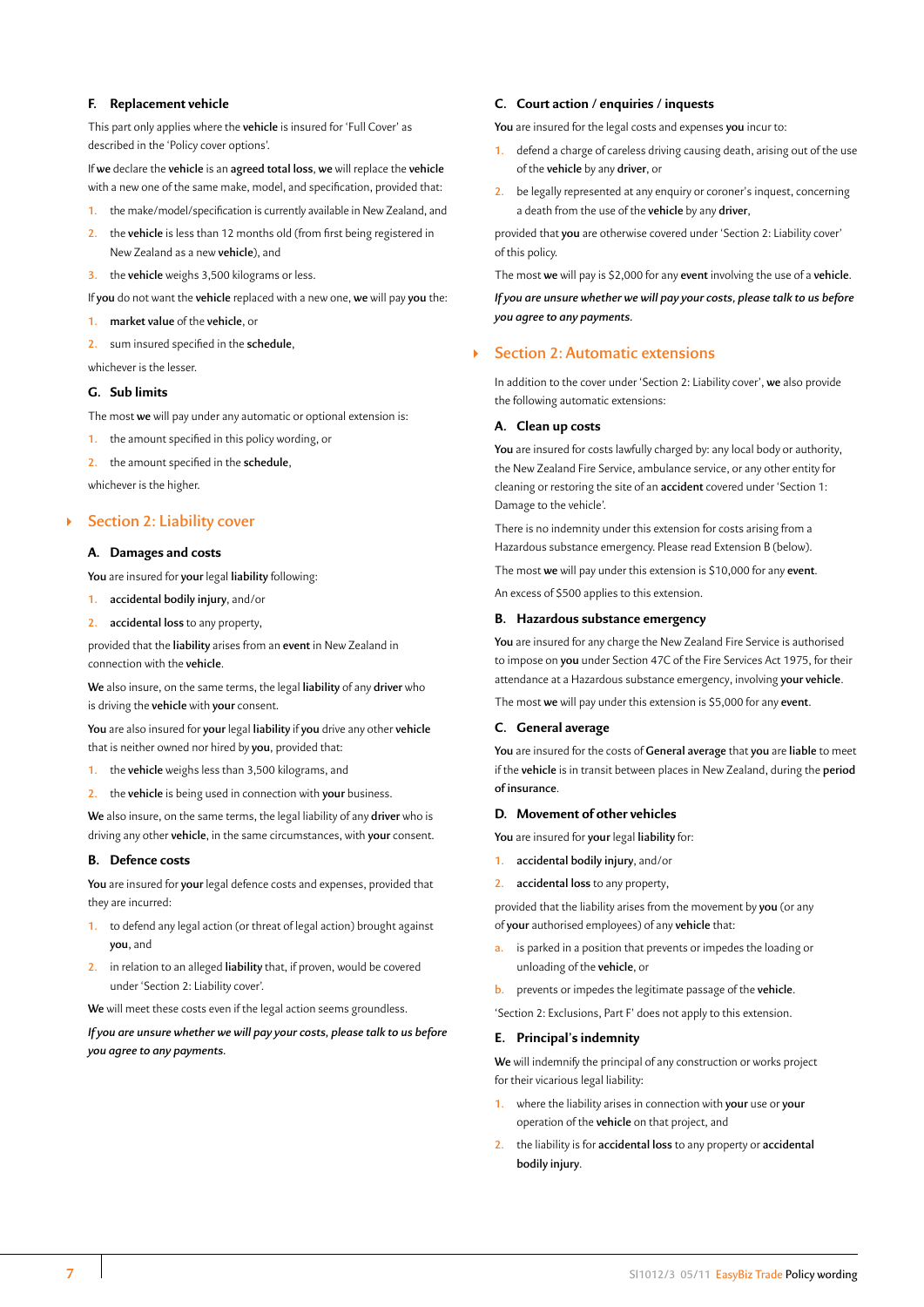# <span id="page-7-0"></span>**F. Replacement vehicle**

This part only applies where the **vehicle** is insured for 'Full Cover' as described in the 'Policy cover options'.

If **we** declare the **vehicle** is an **agreed total loss**, **we** will replace the **vehicle** with a new one of the same make, model, and specification, provided that:

- **1.** the make/model/specification is currently available in New Zealand, and
- **2.** the **vehicle** is less than 12 months old (from first being registered in New Zealand as a new **vehicle**), and
- **3.** the **vehicle** weighs 3,500 kilograms or less.
- If **you** do not want the **vehicle** replaced with a new one, **we** will pay **you** the:
- **1. market value** of the **vehicle**, or
- **2.** sum insured specified in the **schedule**,

whichever is the lesser.

# **G. Sub limits**

The most **we** will pay under any automatic or optional extension is:

- **1.** the amount specified in this policy wording, or
- **2.** the amount specified in the **schedule**,

whichever is the higher.

# ` **Section 2: Liability cover**

# **A. Damages and costs**

**You** are insured for **your** legal **liability** following:

- **1. accidental bodily injury**, and/or
- **2. accidental loss** to any property,

provided that the **liability** arises from an **event** in New Zealand in connection with the **vehicle**.

**We** also insure, on the same terms, the legal **liability** of any **driver** who is driving the **vehicle** with **your** consent.

**You** are also insured for **your** legal **liability** if **you** drive any other **vehicle** that is neither owned nor hired by **you**, provided that:

- **1.** the **vehicle** weighs less than 3,500 kilograms, and
- **2.** the **vehicle** is being used in connection with **your** business.

**We** also insure, on the same terms, the legal liability of any **driver** who is driving any other **vehicle**, in the same circumstances, with **your** consent.

#### **B. Defence costs**

**You** are insured for **your** legal defence costs and expenses, provided that they are incurred:

- **1.** to defend any legal action (or threat of legal action) brought against **you**, and
- **2.** in relation to an alleged **liability** that, if proven, would be covered under 'Section 2: Liability cover'.

**We** will meet these costs even if the legal action seems groundless.

*If you are unsure whether we will pay your costs, please talk to us before you agree to any payments.*

# **C. Court action / enquiries / inquests**

**You** are insured for the legal costs and expenses **you** incur to:

- **1.** defend a charge of careless driving causing death, arising out of the use of the **vehicle** by any **driver**, or
- **2.** be legally represented at any enquiry or coroner's inquest, concerning a death from the use of the **vehicle** by any **driver**,

provided that **you** are otherwise covered under 'Section 2: Liability cover' of this policy.

The most **we** will pay is \$2,000 for any **event** involving the use of a **vehicle**.

*If you are unsure whether we will pay your costs, please talk to us before you agree to any payments.*

# ` **Section 2: Automatic extensions**

In addition to the cover under 'Section 2: Liability cover', **we** also provide the following automatic extensions:

#### **A. Clean up costs**

**You** are insured for costs lawfully charged by: any local body or authority, the New Zealand Fire Service, ambulance service, or any other entity for cleaning or restoring the site of an **accident** covered under 'Section 1: Damage to the vehicle'.

There is no indemnity under this extension for costs arising from a Hazardous substance emergency. Please read Extension B (below).

The most **we** will pay under this extension is \$10,000 for any **event**.

An excess of \$500 applies to this extension.

# **B. Hazardous substance emergency**

**You** are insured for any charge the New Zealand Fire Service is authorised to impose on **you** under Section 47C of the Fire Services Act 1975, for their attendance at a Hazardous substance emergency, involving **your vehicle**.

The most **we** will pay under this extension is \$5,000 for any **event**.

# **C. General average**

**You** are insured for the costs of **General average** that **you** are **liable** to meet if the **vehicle** is in transit between places in New Zealand, during the **period of insurance**.

#### **D. Movement of other vehicles**

**You** are insured for **your** legal **liability** for:

- **1. accidental bodily injury**, and/or
- **2. accidental loss** to any property,

provided that the liability arises from the movement by **you** (or any of **your** authorised employees) of any **vehicle** that:

- **a.** is parked in a position that prevents or impedes the loading or unloading of the **vehicle**, or
- **b.** prevents or impedes the legitimate passage of the **vehicle**.

'Section 2: Exclusions, Part F' does not apply to this extension.

#### **E. Principal's indemnity**

**We** will indemnify the principal of any construction or works project for their vicarious legal liability:

- **1.** where the liability arises in connection with **your** use or **your** operation of the **vehicle** on that project, and
- **2.** the liability is for **accidental loss** to any property or **accidental bodily injury**.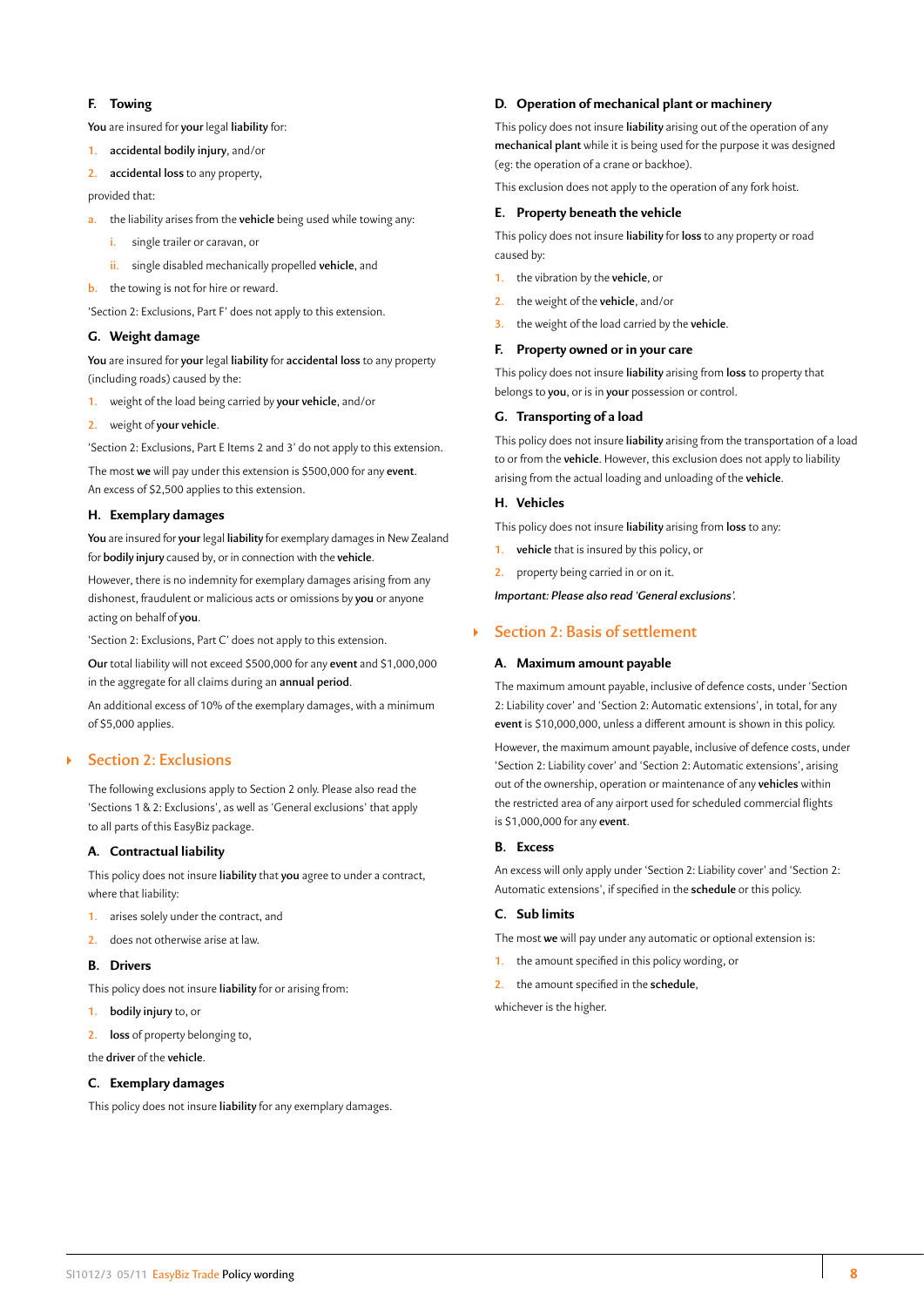# <span id="page-8-0"></span>**F. Towing**

**You** are insured for **your** legal **liability** for:

- **1. accidental bodily injury**, and/or
- **2. accidental loss** to any property,

provided that:

- **a.** the liability arises from the **vehicle** being used while towing any:
	- **i.** single trailer or caravan, or
	- **ii.** single disabled mechanically propelled **vehicle**, and
- **b.** the towing is not for hire or reward.

'Section 2: Exclusions, Part F' does not apply to this extension.

# **G. Weight damage**

**You** are insured for **your** legal **liability** for **accidental loss** to any property (including roads) caused by the:

- **1.** weight of the load being carried by **your vehicle**, and/or
- **2.** weight of **your vehicle**.

'Section 2: Exclusions, Part E Items 2 and 3' do not apply to this extension.

The most **we** will pay under this extension is \$500,000 for any **event**. An excess of \$2,500 applies to this extension.

# **H. Exemplary damages**

**You** are insured for **your** legal **liability** for exemplary damages in New Zealand for **bodily injury** caused by, or in connection with the **vehicle**.

However, there is no indemnity for exemplary damages arising from any dishonest, fraudulent or malicious acts or omissions by **you** or anyone acting on behalf of **you**.

'Section 2: Exclusions, Part C' does not apply to this extension.

**Our** total liability will not exceed \$500,000 for any **event** and \$1,000,000 in the aggregate for all claims during an **annual period**.

An additional excess of 10% of the exemplary damages, with a minimum of \$5,000 applies.

# ` **Section 2: Exclusions**

The following exclusions apply to Section 2 only. Please also read the 'Sections 1 & 2: Exclusions', as well as 'General exclusions' that apply to all parts of this EasyBiz package.

# **A. Contractual liability**

This policy does not insure **liability** that **you** agree to under a contract, where that liability:

- **1.** arises solely under the contract, and
- **2.** does not otherwise arise at law.

# **B. Drivers**

This policy does not insure **liability** for or arising from:

**1. bodily injury** to, or

**2. loss** of property belonging to,

the **driver** of the **vehicle**.

# **C. Exemplary damages**

This policy does not insure **liability** for any exemplary damages.

# **D. Operation of mechanical plant or machinery**

This policy does not insure **liability** arising out of the operation of any **mechanical plant** while it is being used for the purpose it was designed (eg: the operation of a crane or backhoe).

This exclusion does not apply to the operation of any fork hoist.

# **E. Property beneath the vehicle**

This policy does not insure **liability** for **loss** to any property or road caused by:

- **1.** the vibration by the **vehicle**, or
- **2.** the weight of the **vehicle**, and/or
- **3.** the weight of the load carried by the **vehicle**.

# **F. Property owned or in your care**

This policy does not insure **liability** arising from **loss** to property that belongs to **you**, or is in **your** possession or control.

# **G. Transporting of a load**

This policy does not insure **liability** arising from the transportation of a load to or from the **vehicle**. However, this exclusion does not apply to liability arising from the actual loading and unloading of the **vehicle**.

# **H. Vehicles**

This policy does not insure **liability** arising from **loss** to any:

- **1. vehicle** that is insured by this policy, or
- **2.** property being carried in or on it.

*Important: Please also read 'General exclusions'.*

# ` **Section 2: Basis of settlement**

# **A. Maximum amount payable**

The maximum amount payable, inclusive of defence costs, under 'Section 2: Liability cover' and 'Section 2: Automatic extensions', in total, for any **event** is \$10,000,000, unless a different amount is shown in this policy. However, the maximum amount payable, inclusive of defence costs, under 'Section 2: Liability cover' and 'Section 2: Automatic extensions', arising out of the ownership, operation or maintenance of any **vehicles** within the restricted area of any airport used for scheduled commercial flights is \$1,000,000 for any **event**.

# **B. Excess**

An excess will only apply under 'Section 2: Liability cover' and 'Section 2: Automatic extensions', if specified in the **schedule** or this policy.

# **C. Sub limits**

The most **we** will pay under any automatic or optional extension is:

- **1.** the amount specified in this policy wording, or
- **2.** the amount specified in the **schedule**,

whichever is the higher.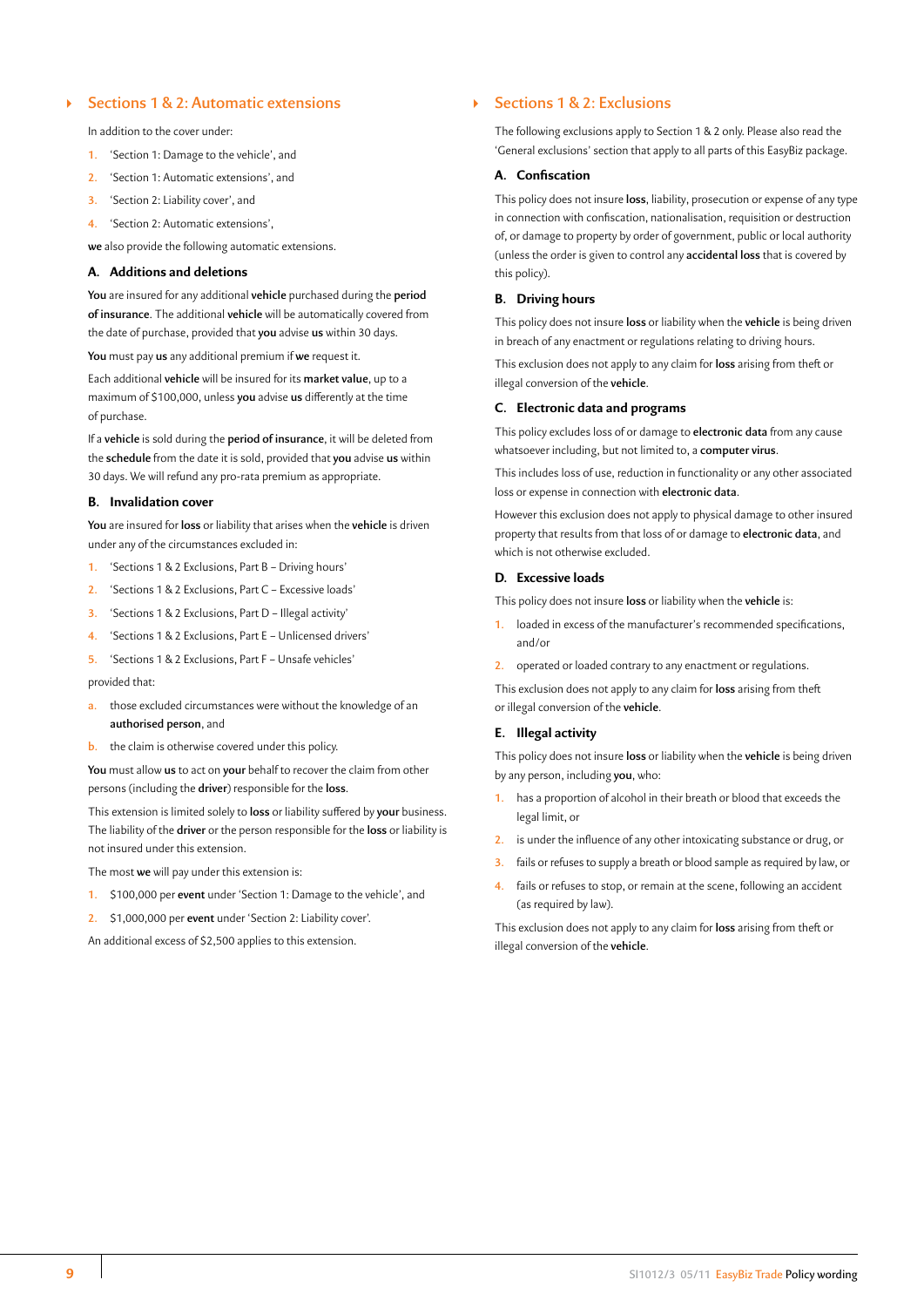# <span id="page-9-0"></span>` **Sections 1 & 2: Automatic extensions**

In addition to the cover under:

- **1.** 'Section 1: Damage to the vehicle', and
- **2.** 'Section 1: Automatic extensions', and
- **3.** 'Section 2: Liability cover', and
- **4.** 'Section 2: Automatic extensions',

**we** also provide the following automatic extensions.

#### **A. Additions and deletions**

**You** are insured for any additional **vehicle** purchased during the **period of insurance**. The additional **vehicle** will be automatically covered from the date of purchase, provided that **you** advise **us** within 30 days.

**You** must pay **us** any additional premium if **we** request it.

Each additional **vehicle** will be insured for its **market value**, up to a maximum of \$100,000, unless **you** advise **us** differently at the time of purchase.

If a **vehicle** is sold during the **period of insurance**, it will be deleted from the **schedule** from the date it is sold, provided that **you** advise **us** within 30 days. We will refund any pro-rata premium as appropriate.

# **B. Invalidation cover**

**You** are insured for **loss** or liability that arises when the **vehicle** is driven under any of the circumstances excluded in:

- **1.** 'Sections 1 & 2 Exclusions, Part B Driving hours'
- **2.** 'Sections 1 & 2 Exclusions, Part C Excessive loads'
- **3.** 'Sections 1 & 2 Exclusions, Part D Illegal activity'
- **4.** 'Sections 1 & 2 Exclusions, Part E Unlicensed drivers'
- **5.** 'Sections 1 & 2 Exclusions, Part F Unsafe vehicles'

#### provided that:

- **a.** those excluded circumstances were without the knowledge of an **authorised person**, and
- **b.** the claim is otherwise covered under this policy.

**You** must allow **us** to act on **your** behalf to recover the claim from other persons (including the **driver**) responsible for the **loss**.

This extension is limited solely to **loss** or liability suffered by **your** business. The liability of the **driver** or the person responsible for the **loss** or liability is not insured under this extension.

The most **we** will pay under this extension is:

- **1.** \$100,000 per **event** under 'Section 1: Damage to the vehicle', and
- **2.** \$1,000,000 per **event** under 'Section 2: Liability cover'.

An additional excess of \$2,500 applies to this extension.

# ` **Sections 1 & 2: Exclusions**

The following exclusions apply to Section 1 & 2 only. Please also read the 'General exclusions' section that apply to all parts of this EasyBiz package.

# **A. Confiscation**

This policy does not insure **loss**, liability, prosecution or expense of any type in connection with confiscation, nationalisation, requisition or destruction of, or damage to property by order of government, public or local authority (unless the order is given to control any **accidental loss** that is covered by this policy).

# **B. Driving hours**

This policy does not insure **loss** or liability when the **vehicle** is being driven in breach of any enactment or regulations relating to driving hours.

This exclusion does not apply to any claim for **loss** arising from theft or illegal conversion of the **vehicle**.

#### **C. Electronic data and programs**

This policy excludes loss of or damage to **electronic data** from any cause whatsoever including, but not limited to, a **computer virus**.

This includes loss of use, reduction in functionality or any other associated loss or expense in connection with **electronic data**.

However this exclusion does not apply to physical damage to other insured property that results from that loss of or damage to **electronic data**, and which is not otherwise excluded.

# **D. Excessive loads**

This policy does not insure **loss** or liability when the **vehicle** is:

- **1.** loaded in excess of the manufacturer's recommended specifications, and/or
- **2.** operated or loaded contrary to any enactment or regulations.

This exclusion does not apply to any claim for **loss** arising from theft or illegal conversion of the **vehicle**.

#### **E. Illegal activity**

This policy does not insure **loss** or liability when the **vehicle** is being driven by any person, including **you**, who:

- **1.** has a proportion of alcohol in their breath or blood that exceeds the legal limit, or
- **2.** is under the influence of any other intoxicating substance or drug, or
- **3.** fails or refuses to supply a breath or blood sample as required by law, or
- **4.** fails or refuses to stop, or remain at the scene, following an accident (as required by law).

This exclusion does not apply to any claim for **loss** arising from theft or illegal conversion of the **vehicle**.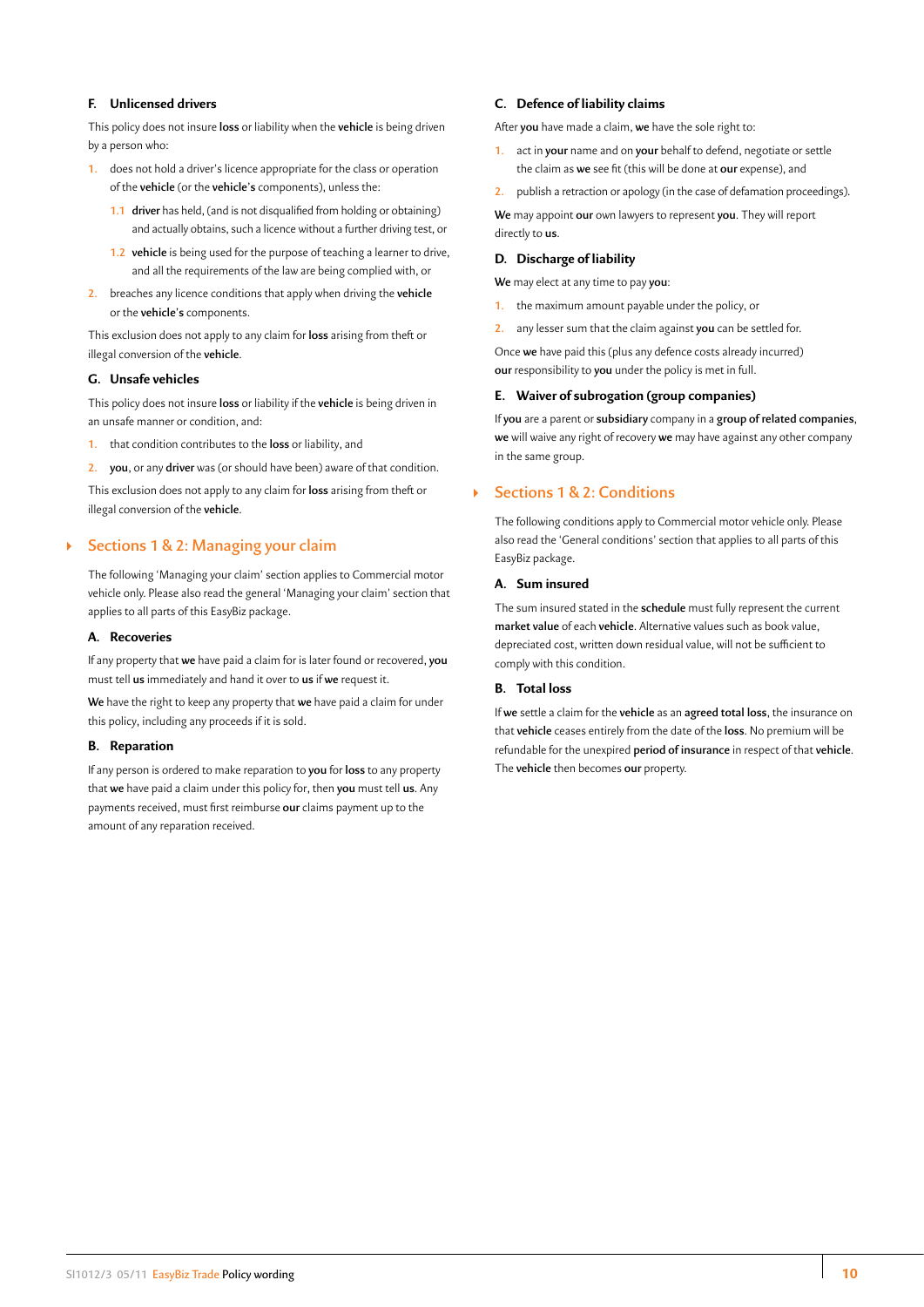# <span id="page-10-0"></span>**F. Unlicensed drivers**

This policy does not insure **loss** or liability when the **vehicle** is being driven by a person who:

- **1.** does not hold a driver's licence appropriate for the class or operation of the **vehicle** (or the **vehicle's** components), unless the:
	- **1.1 driver** has held, (and is not disqualified from holding or obtaining) and actually obtains, such a licence without a further driving test, or
	- **1.2 vehicle** is being used for the purpose of teaching a learner to drive, and all the requirements of the law are being complied with, or
- **2.** breaches any licence conditions that apply when driving the **vehicle** or the **vehicle's** components.

This exclusion does not apply to any claim for **loss** arising from theft or illegal conversion of the **vehicle**.

# **G. Unsafe vehicles**

This policy does not insure **loss** or liability if the **vehicle** is being driven in an unsafe manner or condition, and:

- **1.** that condition contributes to the **loss** or liability, and
- **2. you**, or any **driver** was (or should have been) aware of that condition.

This exclusion does not apply to any claim for **loss** arising from theft or illegal conversion of the **vehicle**.

# ` **Sections 1 & 2: Managing your claim**

The following 'Managing your claim' section applies to Commercial motor vehicle only. Please also read the general 'Managing your claim' section that applies to all parts of this EasyBiz package.

# **A. Recoveries**

If any property that **we** have paid a claim for is later found or recovered, **you** must tell **us** immediately and hand it over to **us** if **we** request it.

**We** have the right to keep any property that **we** have paid a claim for under this policy, including any proceeds if it is sold.

# **B. Reparation**

If any person is ordered to make reparation to **you** for **loss** to any property that **we** have paid a claim under this policy for, then **you** must tell **us**. Any payments received, must first reimburse **our** claims payment up to the amount of any reparation received.

### **C. Defence of liability claims**

After **you** have made a claim, **we** have the sole right to:

- **1.** act in **your** name and on **your** behalf to defend, negotiate or settle the claim as **we** see fit (this will be done at **our** expense), and
- **2.** publish a retraction or apology (in the case of defamation proceedings).

**We** may appoint **our** own lawyers to represent **you**. They will report directly to **us**.

## **D. Discharge of liability**

**We** may elect at any time to pay **you**:

- **1.** the maximum amount payable under the policy, or
- **2.** any lesser sum that the claim against **you** can be settled for.

Once **we** have paid this (plus any defence costs already incurred) **our** responsibility to **you** under the policy is met in full.

#### **E. Waiver of subrogation (group companies)**

If **you** are a parent or **subsidiary** company in a **group of related companies**, **we** will waive any right of recovery **we** may have against any other company in the same group.

# ` **Sections 1 & 2: Conditions**

The following conditions apply to Commercial motor vehicle only. Please also read the 'General conditions' section that applies to all parts of this EasyBiz package.

# **A. Sum insured**

The sum insured stated in the **schedule** must fully represent the current **market value** of each **vehicle**. Alternative values such as book value, depreciated cost, written down residual value, will not be sufficient to comply with this condition.

# **B. Total loss**

If **we** settle a claim for the **vehicle** as an **agreed total loss**, the insurance on that **vehicle** ceases entirely from the date of the **loss**. No premium will be refundable for the unexpired **period of insurance** in respect of that **vehicle**. The **vehicle** then becomes **our** property.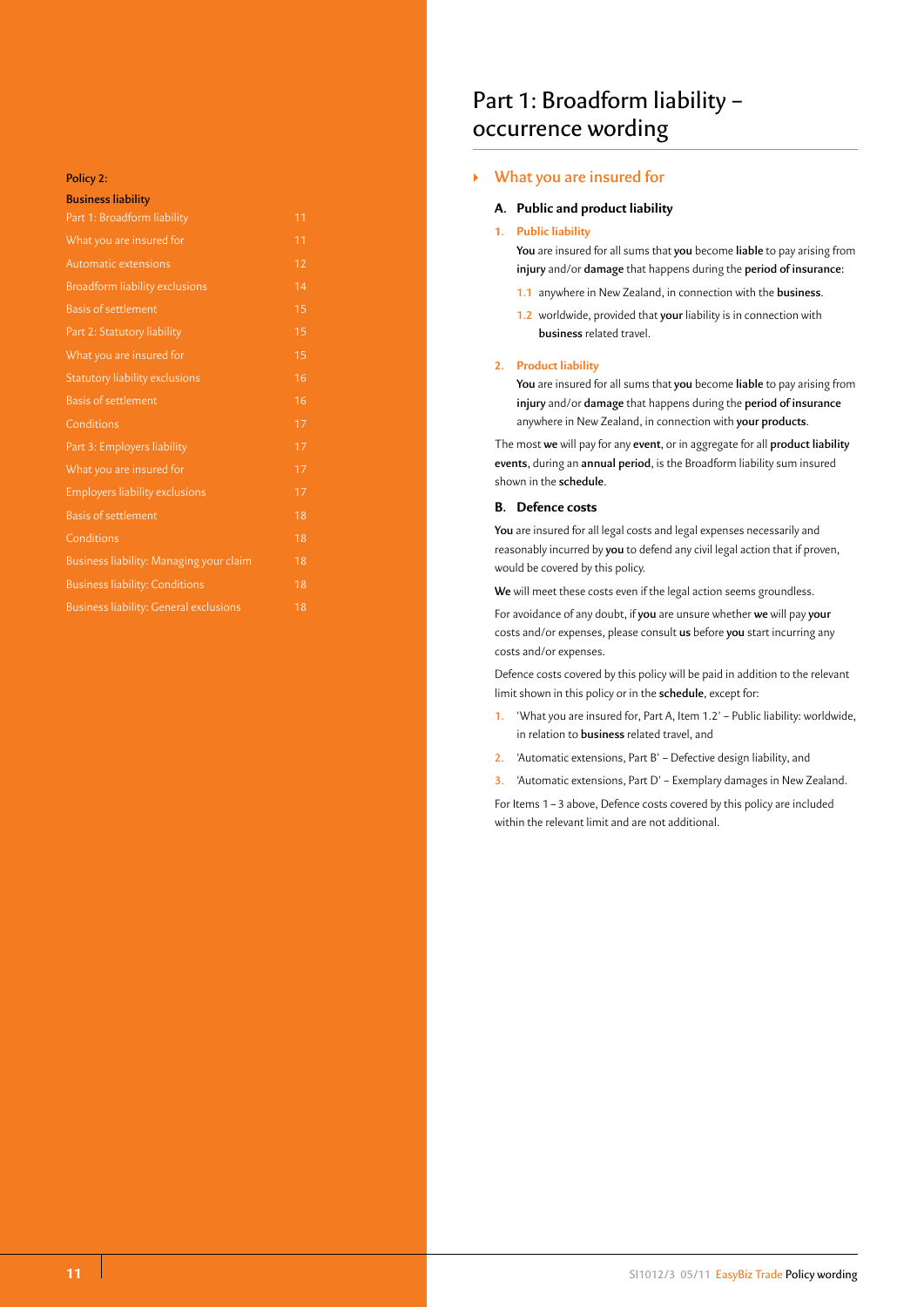#### **Policy 2:**

| <b>Business liability</b>                     |                 |
|-----------------------------------------------|-----------------|
| Part 1: Broadform liability                   | 11              |
| What you are insured for                      | 11              |
| Automatic extensions                          | 12              |
| <b>Broadform liability exclusions</b>         | 14              |
| <b>Basis of settlement</b>                    | 15              |
| Part 2: Statutory liability                   | 15              |
| What you are insured for                      | 15              |
| Statutory liability exclusions                | 16              |
| <b>Basis of settlement</b>                    | $\overline{1}6$ |
| Conditions                                    | 17              |
| Part 3: Employers liability                   | 17              |
| What you are insured for                      | 17              |
| <b>Employers liability exclusions</b>         | 17              |
| <b>Basis of settlement</b>                    | 18              |
| Conditions                                    | 18              |
| Business liability: Managing your claim       | 18              |
| <b>Business liability: Conditions</b>         | 18              |
| <b>Business liability: General exclusions</b> | 18              |

# Part 1: Broadform liability – occurrence wording

# ` **What you are insured for**

#### **A. Public and product liability**

# **1. Public liability**

**You** are insured for all sums that **you** become **liable** to pay arising from **injury** and/or **damage** that happens during the **period of insurance:**

- **1.1** anywhere in New Zealand, in connection with the **business**.
- **1.2** worldwide, provided that **your** liability is in connection with **business** related travel.

#### **2. Product liability**

**You** are insured for all sums that **you** become **liable** to pay arising from **injury** and/or **damage** that happens during the **period of insurance**  anywhere in New Zealand, in connection with **your products**.

The most **we** will pay for any **event**, or in aggregate for all **product liability events**, during an **annual period**, is the Broadform liability sum insured shown in the **schedule**.

# **B. Defence costs**

**You** are insured for all legal costs and legal expenses necessarily and reasonably incurred by **you** to defend any civil legal action that if proven, would be covered by this policy.

**We** will meet these costs even if the legal action seems groundless.

For avoidance of any doubt, if **you** are unsure whether **we** will pay **your** costs and/or expenses, please consult **us** before **you** start incurring any costs and/or expenses.

Defence costs covered by this policy will be paid in addition to the relevant limit shown in this policy or in the **schedule**, except for:

- **1.** 'What you are insured for, Part A, Item 1.2' Public liability: worldwide, in relation to **business** related travel, and
- **2.** 'Automatic extensions, Part B' Defective design liability, and
- **3.** 'Automatic extensions, Part D' Exemplary damages in New Zealand.

For Items 1–3 above, Defence costs covered by this policy are included within the relevant limit and are not additional.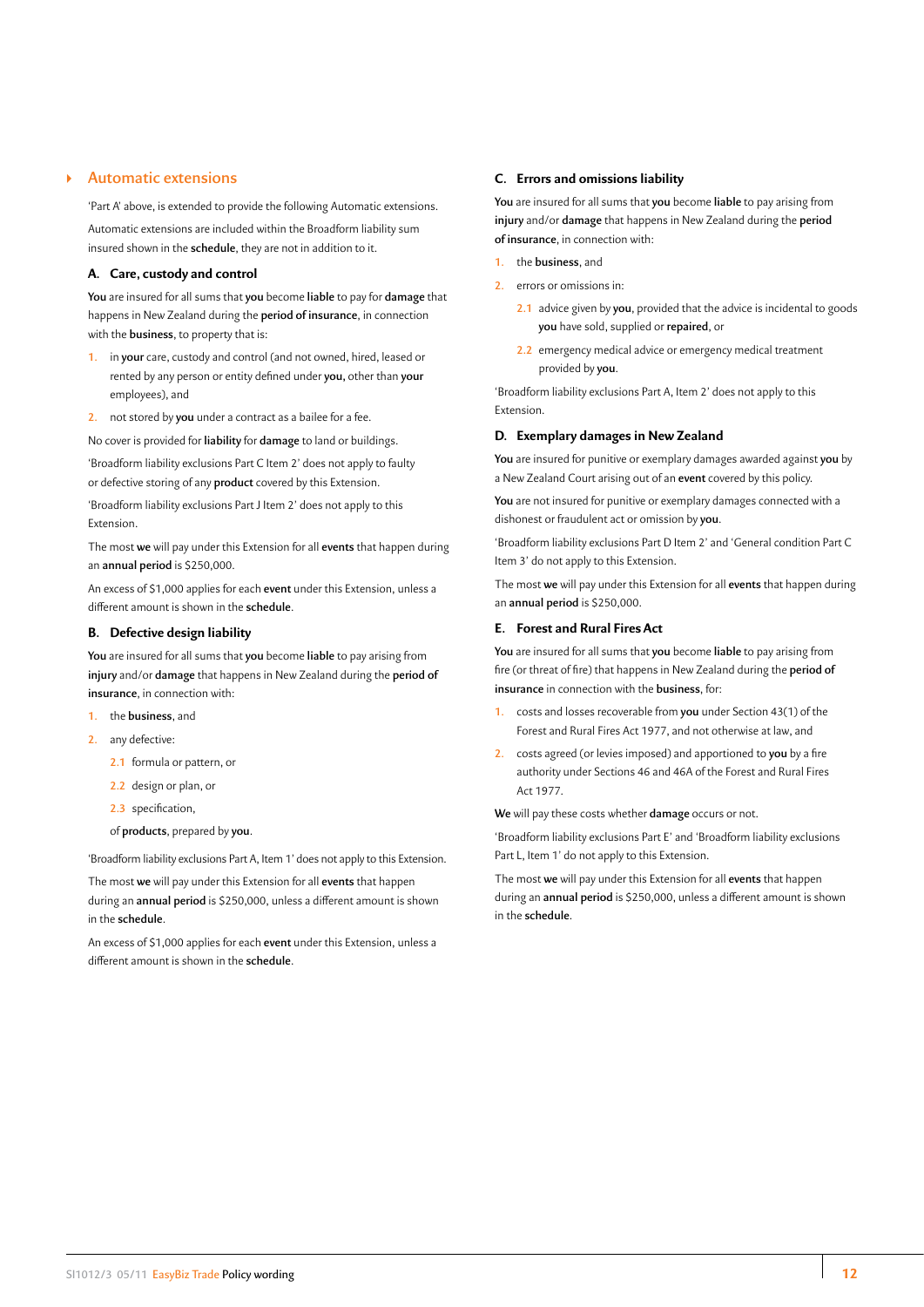# ` **Automatic extensions**

'Part A' above, is extended to provide the following Automatic extensions. Automatic extensions are included within the Broadform liability sum insured shown in the **schedule**, they are not in addition to it.

# **A. Care, custody and control**

**You** are insured for all sums that **you** become **liable** to pay for **damage** that happens in New Zealand during the **period of insurance**, in connection with the **business**, to property that is:

- **1.** in **your** care, custody and control (and not owned, hired, leased or rented by any person or entity defined under **you,** other than **your**  employees), and
- **2.** not stored by **you** under a contract as a bailee for a fee.

No cover is provided for **liability** for **damage** to land or buildings.

'Broadform liability exclusions Part C Item 2' does not apply to faulty or defective storing of any **product** covered by this Extension.

'Broadform liability exclusions Part J Item 2' does not apply to this Extension.

The most **we** will pay under this Extension for all **events** that happen during an **annual period** is \$250,000.

An excess of \$1,000 applies for each **event** under this Extension, unless a different amount is shown in the **schedule**.

# **B. Defective design liability**

**You** are insured for all sums that **you** become **liable** to pay arising from **injury** and/or **damage** that happens in New Zealand during the **period of insurance**, in connection with:

- **1.** the **business**, and
- **2.** any defective:
	- **2.1** formula or pattern, or
	- **2.2** design or plan, or
	- **2.3** specification,
	- of **products**, prepared by **you**.

'Broadform liability exclusions Part A, Item 1' does not apply to this Extension.

The most **we** will pay under this Extension for all **events** that happen during an **annual period** is \$250,000, unless a different amount is shown in the **schedule**.

An excess of \$1,000 applies for each **event** under this Extension, unless a different amount is shown in the **schedule**.

#### **C. Errors and omissions liability**

**You** are insured for all sums that **you** become **liable** to pay arising from **injury** and/or **damage** that happens in New Zealand during the **period of insurance**, in connection with:

- **1.** the **business**, and
- **2.** errors or omissions in:
	- **2.1** advice given by **you**, provided that the advice is incidental to goods **you** have sold, supplied or **repaired**, or
	- **2.2** emergency medical advice or emergency medical treatment provided by **you**.

'Broadform liability exclusions Part A, Item 2' does not apply to this Extension.

# **D. Exemplary damages in New Zealand**

**You** are insured for punitive or exemplary damages awarded against **you** by a New Zealand Court arising out of an **event** covered by this policy.

**You** are not insured for punitive or exemplary damages connected with a dishonest or fraudulent act or omission by **you**.

'Broadform liability exclusions Part D Item 2' and 'General condition Part C Item 3' do not apply to this Extension.

The most **we** will pay under this Extension for all **events** that happen during an **annual period** is \$250,000.

# **E. Forest and Rural Fires Act**

**You** are insured for all sums that **you** become **liable** to pay arising from fire (or threat of fire) that happens in New Zealand during the **period of insurance** in connection with the **business**, for:

- **1.** costs and losses recoverable from **you** under Section 43(1) of the Forest and Rural Fires Act 1977, and not otherwise at law, and
- **2.** costs agreed (or levies imposed) and apportioned to **you** by a fire authority under Sections 46 and 46A of the Forest and Rural Fires Act 1977.

**We** will pay these costs whether **damage** occurs or not.

'Broadform liability exclusions Part E' and 'Broadform liability exclusions Part L, Item 1' do not apply to this Extension.

The most **we** will pay under this Extension for all **events** that happen during an **annual period** is \$250,000, unless a different amount is shown in the **schedule**.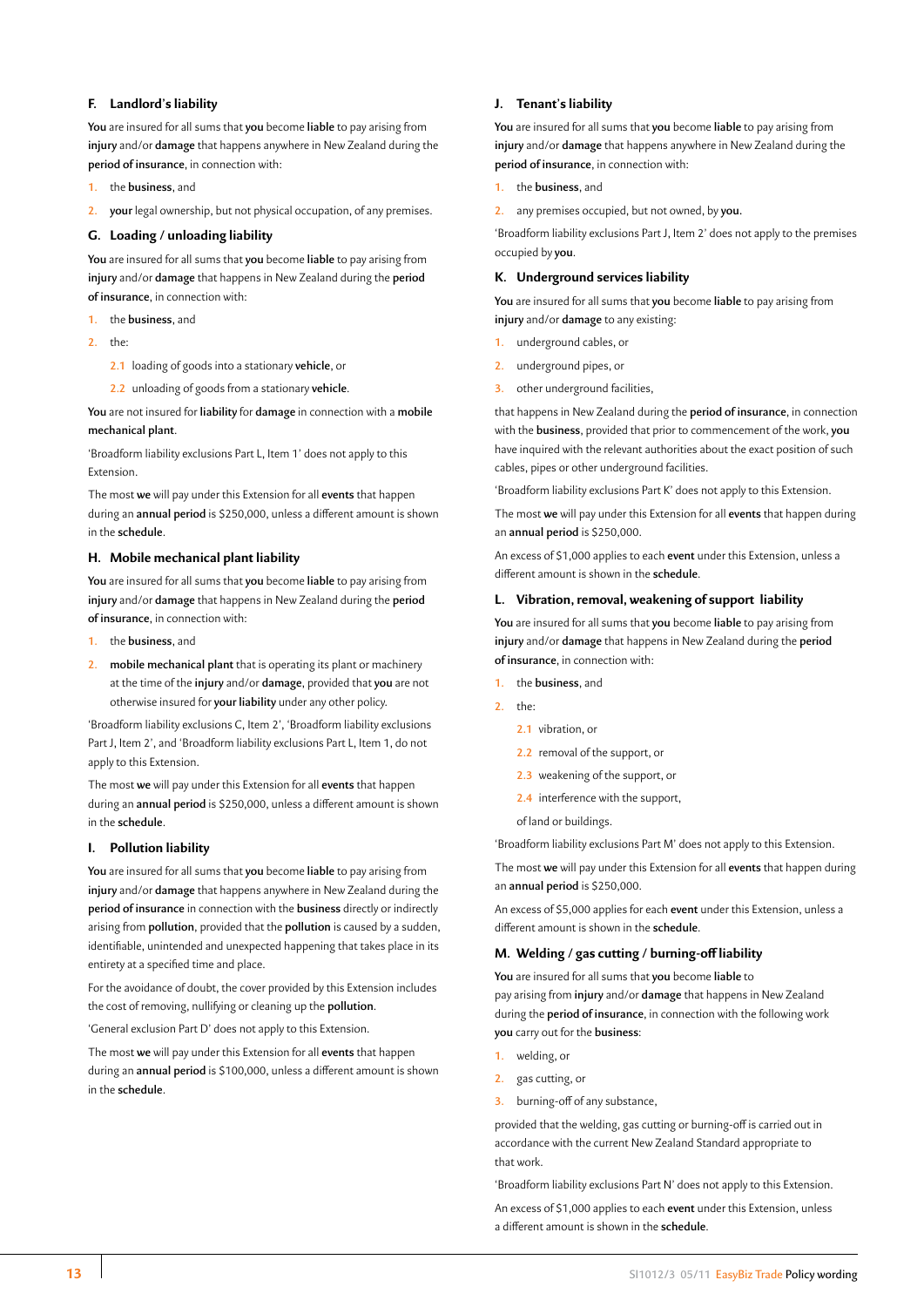# **F. Landlord's liability**

**You** are insured for all sums that **you** become **liable** to pay arising from **injury** and/or **damage** that happens anywhere in New Zealand during the **period of insurance**, in connection with:

- **1.** the **business**, and
- **2. your** legal ownership, but not physical occupation, of any premises.

# **G. Loading / unloading liability**

**You** are insured for all sums that **you** become **liable** to pay arising from **injury** and/or **damage** that happens in New Zealand during the **period of insurance**, in connection with:

- **1.** the **business**, and
- **2.** the:
	- **2.1** loading of goods into a stationary **vehicle**, or
	- **2.2** unloading of goods from a stationary **vehicle**.

**You** are not insured for **liability** for **damage** in connection with a **mobile mechanical plant**.

'Broadform liability exclusions Part L, Item 1' does not apply to this Extension.

The most **we** will pay under this Extension for all **events** that happen during an **annual period** is \$250,000, unless a different amount is shown in the **schedule**.

# **H. Mobile mechanical plant liability**

**You** are insured for all sums that **you** become **liable** to pay arising from **injury** and/or **damage** that happens in New Zealand during the **period of insurance**, in connection with:

- **1.** the **business**, and
- **2. mobile mechanical plant** that is operating its plant or machinery at the time of the **injury** and/or **damage**, provided that **you** are not otherwise insured for **your liability** under any other policy.

'Broadform liability exclusions C, Item 2', 'Broadform liability exclusions Part J, Item 2', and 'Broadform liability exclusions Part L, Item 1, do not apply to this Extension.

The most **we** will pay under this Extension for all **events** that happen during an **annual period** is \$250,000, unless a different amount is shown in the **schedule**.

# **I. Pollution liability**

**You** are insured for all sums that **you** become **liable** to pay arising from **injury** and/or **damage** that happens anywhere in New Zealand during the **period of insurance** in connection with the **business** directly or indirectly arising from **pollution**, provided that the **pollution** is caused by a sudden, identifiable, unintended and unexpected happening that takes place in its entirety at a specified time and place.

For the avoidance of doubt, the cover provided by this Extension includes the cost of removing, nullifying or cleaning up the **pollution**.

'General exclusion Part D' does not apply to this Extension.

The most **we** will pay under this Extension for all **events** that happen during an **annual period** is \$100,000, unless a different amount is shown in the **schedule**.

# **J. Tenant's liability**

**You** are insured for all sums that **you** become **liable** to pay arising from **injury** and/or **damage** that happens anywhere in New Zealand during the **period of insurance**, in connection with:

- **1.** the **business**, and
- **2.** any premises occupied, but not owned, by **you.**

'Broadform liability exclusions Part J, Item 2' does not apply to the premises occupied by **you**.

# **K. Underground services liability**

**You** are insured for all sums that **you** become **liable** to pay arising from **injury** and/or **damage** to any existing:

- **1.** underground cables, or
- **2.** underground pipes, or
- **3.** other underground facilities,

that happens in New Zealand during the **period of insurance**, in connection with the **business**, provided that prior to commencement of the work, **you** have inquired with the relevant authorities about the exact position of such cables, pipes or other underground facilities.

'Broadform liability exclusions Part K' does not apply to this Extension.

The most **we** will pay under this Extension for all **events** that happen during an **annual period** is \$250,000.

An excess of \$1,000 applies to each **event** under this Extension, unless a different amount is shown in the **schedule**.

#### **L. Vibration, removal, weakening of support liability**

**You** are insured for all sums that **you** become **liable** to pay arising from **injury** and/or **damage** that happens in New Zealand during the **period of insurance**, in connection with:

- **1.** the **business**, and
- **2.** the:
	- **2.1** vibration, or
	- **2.2** removal of the support, or
	- **2.3** weakening of the support, or
	- **2.4** interference with the support,
	- of land or buildings.

'Broadform liability exclusions Part M' does not apply to this Extension.

The most **we** will pay under this Extension for all **events** that happen during an **annual period** is \$250,000.

An excess of \$5,000 applies for each **event** under this Extension, unless a different amount is shown in the **schedule**.

#### **M. Welding / gas cutting / burning-off liability**

**You** are insured for all sums that **you** become **liable** to pay arising from **injury** and/or **damage** that happens in New Zealand during the **period of insurance**, in connection with the following work **you** carry out for the **business**:

- **1.** welding, or
- **2.** gas cutting, or
- **3.** burning-off of any substance,

provided that the welding, gas cutting or burning-off is carried out in accordance with the current New Zealand Standard appropriate to that work.

'Broadform liability exclusions Part N' does not apply to this Extension.

An excess of \$1,000 applies to each **event** under this Extension, unless a different amount is shown in the **schedule**.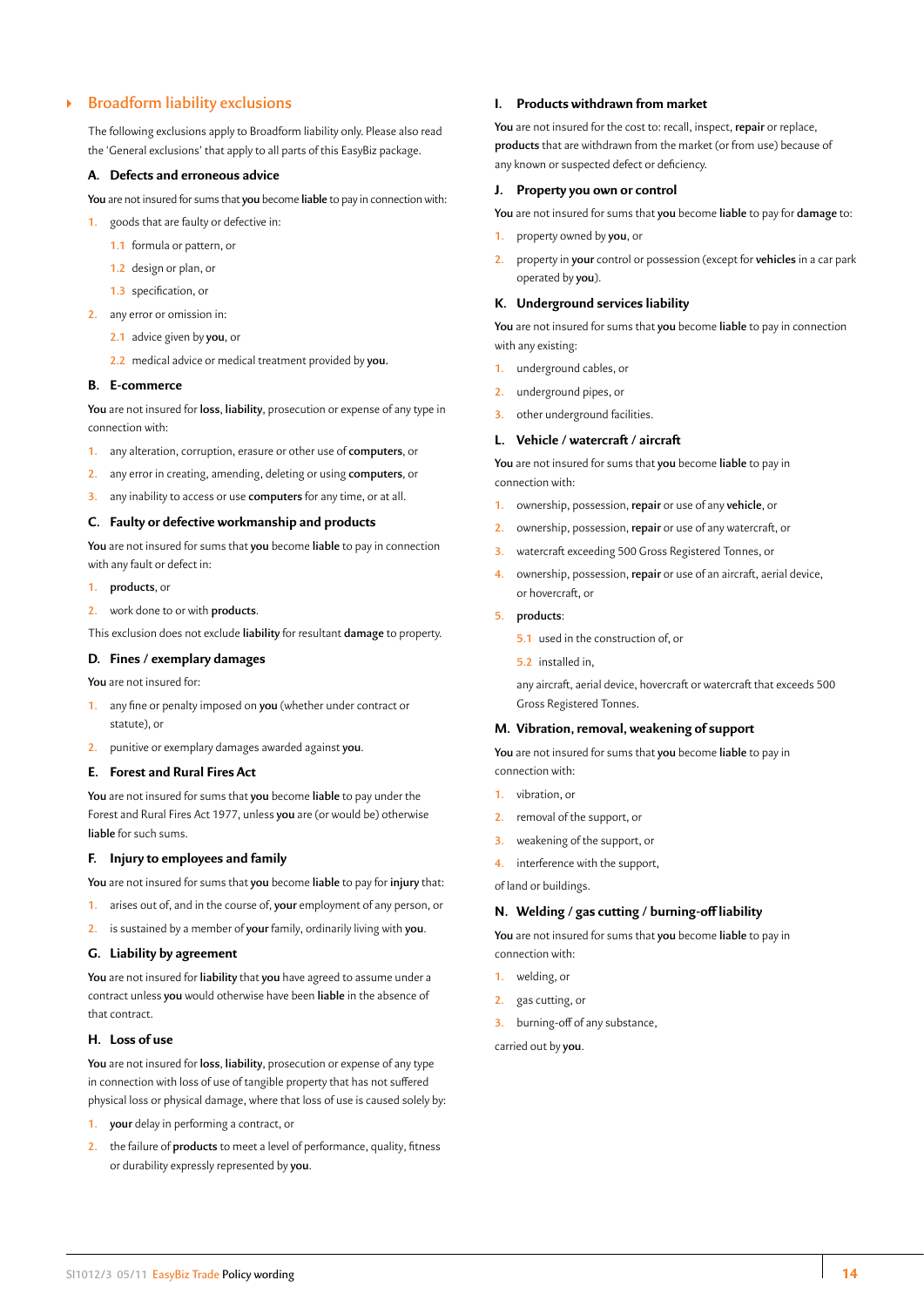# <span id="page-14-0"></span>` **Broadform liability exclusions**

The following exclusions apply to Broadform liability only. Please also read the 'General exclusions' that apply to all parts of this EasyBiz package.

# **A. Defects and erroneous advice**

**You** are not insured for sums that **you** become **liable** to pay in connection with:

- **1.** goods that are faulty or defective in:
	- **1.1** formula or pattern, or
	- **1.2** design or plan, or
	- **1.3** specification, or
- **2.** any error or omission in:
	- **2.1** advice given by **you**, or
	- **2.2** medical advice or medical treatment provided by **you.**

#### **B. E-commerce**

**You** are not insured for **loss**, **liability**, prosecution or expense of any type in connection with:

- **1.** any alteration, corruption, erasure or other use of **computers**, or
- **2.** any error in creating, amending, deleting or using **computers**, or
- **3.** any inability to access or use **computers** for any time, or at all.

#### **C. Faulty or defective workmanship and products**

**You** are not insured for sums that **you** become **liable** to pay in connection with any fault or defect in:

- **1. products**, or
- **2.** work done to or with **products**.

This exclusion does not exclude **liability** for resultant **damage** to property.

# **D. Fines / exemplary damages**

**You** are not insured for:

- **1.** any fine or penalty imposed on **you** (whether under contract or statute), or
- **2.** punitive or exemplary damages awarded against **you**.

# **E. Forest and Rural Fires Act**

**You** are not insured for sums that **you** become **liable** to pay under the Forest and Rural Fires Act 1977, unless **you** are (or would be) otherwise **liable** for such sums.

#### **F. Injury to employees and family**

**You** are not insured for sums that **you** become **liable** to pay for **injury** that:

- **1.** arises out of, and in the course of, **your** employment of any person, or
- **2.** is sustained by a member of **your** family, ordinarily living with **you**.

#### **G. Liability by agreement**

**You** are not insured for **liability** that **you** have agreed to assume under a contract unless **you** would otherwise have been **liable** in the absence of that contract.

#### **H. Loss of use**

**You** are not insured for **loss**, **liability**, prosecution or expense of any type in connection with loss of use of tangible property that has not suffered physical loss or physical damage, where that loss of use is caused solely by:

- **1. your** delay in performing a contract, or
- **2.** the failure of **products** to meet a level of performance, quality, fitness or durability expressly represented by **you**.

#### **I. Products withdrawn from market**

**You** are not insured for the cost to: recall, inspect, **repair** or replace, **products** that are withdrawn from the market (or from use) because of any known or suspected defect or deficiency.

#### **J. Property you own or control**

- **You** are not insured for sums that **you** become **liable** to pay for **damage** to: **1.** property owned by **you**, or
- **2.** property in **your** control or possession (except for **vehicles** in a car park operated by **you**).

#### **K. Underground services liability**

**You** are not insured for sums that **you** become **liable** to pay in connection with any existing:

- **1.** underground cables, or
- **2.** underground pipes, or
- **3.** other underground facilities.

#### **L. Vehicle / watercraft / aircraft**

**You** are not insured for sums that **you** become **liable** to pay in connection with:

- **1.** ownership, possession, **repair** or use of any **vehicle**, or
- **2.** ownership, possession, **repair** or use of any watercraft, or
- **3.** watercraft exceeding 500 Gross Registered Tonnes, or
- **4.** ownership, possession, **repair** or use of an aircraft, aerial device, or hovercraft, or

#### **5. products**:

- **5.1** used in the construction of, or
- **5.2** installed in,

any aircraft, aerial device, hovercraft or watercraft that exceeds 500 Gross Registered Tonnes.

# **M. Vibration, removal, weakening of support**

**You** are not insured for sums that **you** become **liable** to pay in connection with:

- **1.** vibration, or
- **2.** removal of the support, or
- **3.** weakening of the support, or
- **4.** interference with the support,

of land or buildings.

### **N. Welding / gas cutting / burning-off liability**

**You** are not insured for sums that **you** become **liable** to pay in connection with:

- **1.** welding, or
- **2.** gas cutting, or
- **3.** burning-off of any substance,

carried out by **you**.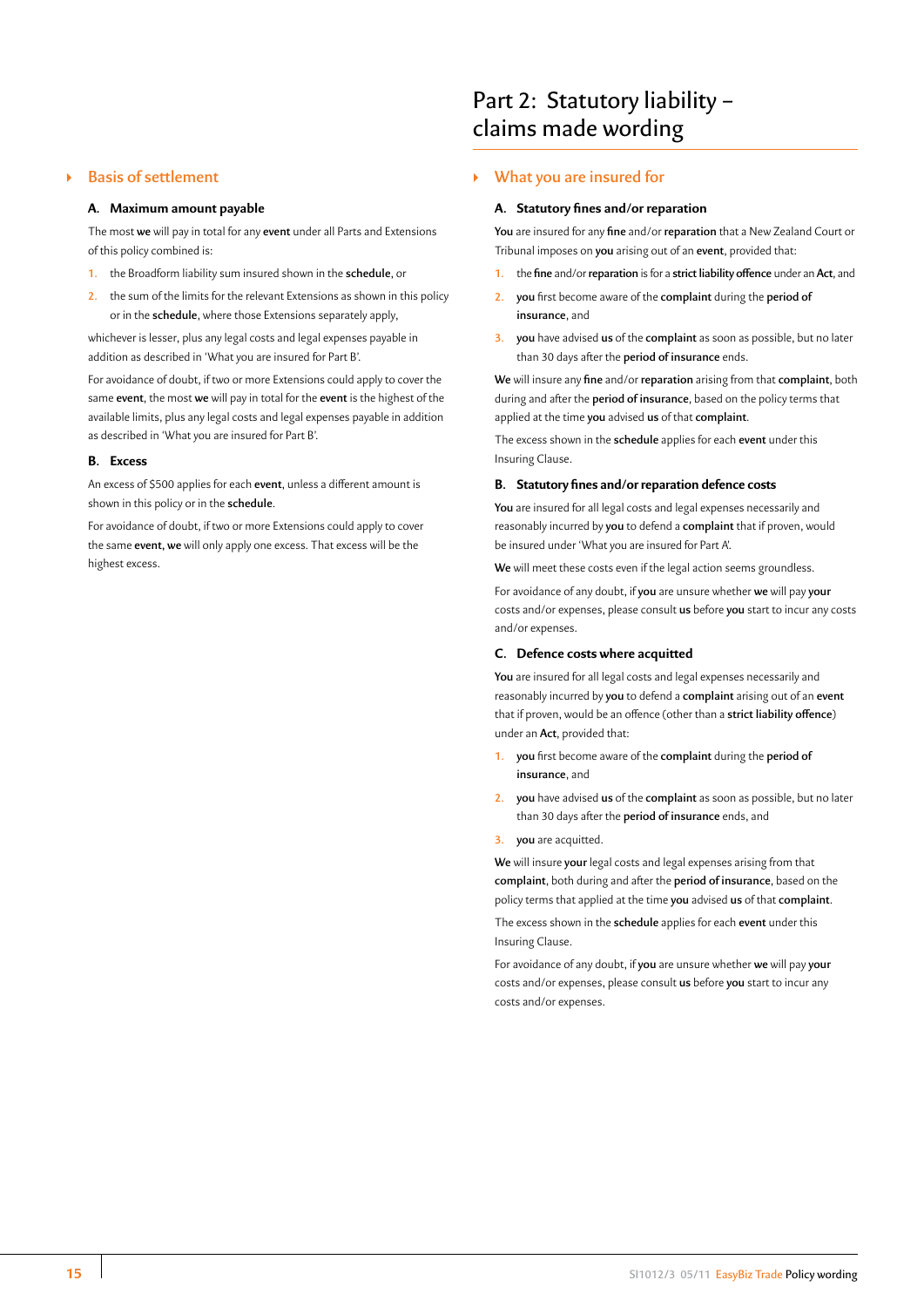# <span id="page-15-0"></span>` **Basis of settlement**

#### **A. Maximum amount payable**

The most **we** will pay in total for any **event** under all Parts and Extensions of this policy combined is:

- **1.** the Broadform liability sum insured shown in the **schedule**, or
- **2.** the sum of the limits for the relevant Extensions as shown in this policy or in the **schedule**, where those Extensions separately apply,

whichever is lesser, plus any legal costs and legal expenses payable in addition as described in 'What you are insured for Part B'.

For avoidance of doubt, if two or more Extensions could apply to cover the same **event**, the most **we** will pay in total for the **event** is the highest of the available limits, plus any legal costs and legal expenses payable in addition as described in 'What you are insured for Part B'.

#### **B. Excess**

An excess of \$500 applies for each **event**, unless a different amount is shown in this policy or in the **schedule**.

For avoidance of doubt, if two or more Extensions could apply to cover the same **event, we** will only apply one excess. That excess will be the highest excess.

# Part 2: Statutory liability – claims made wording

# ` **What you are insured for**

### **A. Statutory fines and/or reparation**

**You** are insured for any **fine** and/or **reparation** that a New Zealand Court or Tribunal imposes on **you** arising out of an **event**, provided that:

- **1.** the **fine** and/or **reparation** is for a **strict liability offence** under an **Act**, and
- **2. you** first become aware of the **complaint** during the **period of insurance**, and
- **3. you** have advised **us** of the **complaint** as soon as possible, but no later than 30 days after the **period of insurance** ends.

**We** will insure any **fine** and/or **reparation** arising from that **complaint**, both during and after the **period of insurance**, based on the policy terms that applied at the time **you** advised **us** of that **complaint**.

The excess shown in the **schedule** applies for each **event** under this Insuring Clause.

#### **B. Statutory fines and/or reparation defence costs**

**You** are insured for all legal costs and legal expenses necessarily and reasonably incurred by **you** to defend a **complaint** that if proven, would be insured under 'What you are insured for Part A'.

**We** will meet these costs even if the legal action seems groundless.

For avoidance of any doubt, if **you** are unsure whether **we** will pay **your** costs and/or expenses, please consult **us** before **you** start to incur any costs and/or expenses.

# **C. Defence costs where acquitted**

**You** are insured for all legal costs and legal expenses necessarily and reasonably incurred by **you** to defend a **complaint** arising out of an **event** that if proven, would be an offence (other than a **strict liability offence**) under an **Act**, provided that:

- **1. you** first become aware of the **complaint** during the **period of insurance**, and
- **2. you** have advised **us** of the **complaint** as soon as possible, but no later than 30 days after the **period of insurance** ends, and
- **3. you** are acquitted.

**We** will insure **your** legal costs and legal expenses arising from that **complaint**, both during and after the **period of insurance**, based on the policy terms that applied at the time **you** advised **us** of that **complaint**. The excess shown in the **schedule** applies for each **event** under this Insuring Clause.

For avoidance of any doubt, if **you** are unsure whether **we** will pay **your** costs and/or expenses, please consult **us** before **you** start to incur any costs and/or expenses.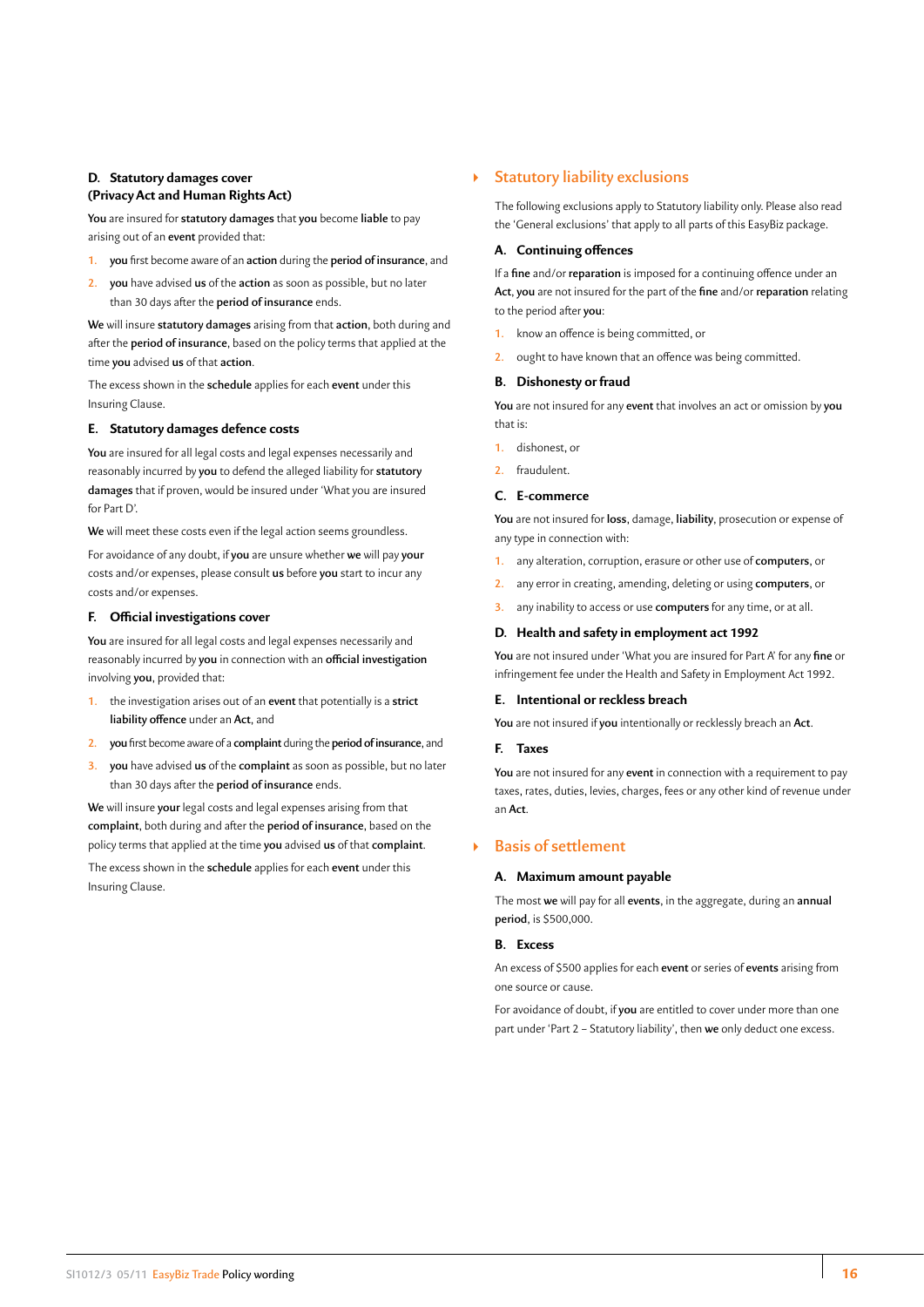# <span id="page-16-0"></span>**D. Statutory damages cover (Privacy Act and Human Rights Act)**

**You** are insured for **statutory damages** that **you** become **liable** to pay arising out of an **event** provided that:

- **1. you** first become aware of an **action** during the **period of insurance**, and
- **2. you** have advised **us** of the **action** as soon as possible, but no later than 30 days after the **period of insurance** ends.

**We** will insure **statutory damages** arising from that **action**, both during and after the **period of insurance**, based on the policy terms that applied at the time **you** advised **us** of that **action**.

The excess shown in the **schedule** applies for each **event** under this Insuring Clause.

# **E. Statutory damages defence costs**

**You** are insured for all legal costs and legal expenses necessarily and reasonably incurred by **you** to defend the alleged liability for **statutory damages** that if proven, would be insured under 'What you are insured for Part D'.

**We** will meet these costs even if the legal action seems groundless.

For avoidance of any doubt, if **you** are unsure whether **we** will pay **your** costs and/or expenses, please consult **us** before **you** start to incur any costs and/or expenses.

#### **F. Official investigations cover**

**You** are insured for all legal costs and legal expenses necessarily and reasonably incurred by **you** in connection with an **official investigation**  involving **you**, provided that:

- **1.** the investigation arises out of an **event** that potentially is a **strict liability offence** under an **Act**, and
- **2. you** first become aware of a **complaint** during the **period of insurance**, and
- **3. you** have advised **us** of the **complaint** as soon as possible, but no later than 30 days after the **period of insurance** ends.

**We** will insure **your** legal costs and legal expenses arising from that **complaint**, both during and after the **period of insurance**, based on the policy terms that applied at the time **you** advised **us** of that **complaint**.

The excess shown in the **schedule** applies for each **event** under this Insuring Clause.

# ` **Statutory liability exclusions**

The following exclusions apply to Statutory liability only. Please also read the 'General exclusions' that apply to all parts of this EasyBiz package.

# **A. Continuing offences**

If a **fine** and/or **reparation** is imposed for a continuing offence under an **Act**, **you** are not insured for the part of the **fine** and/or **reparation** relating to the period after **you**:

- **1.** know an offence is being committed, or
- **2.** ought to have known that an offence was being committed.

#### **B. Dishonesty or fraud**

**You** are not insured for any **event** that involves an act or omission by **you**  that is:

- **1.** dishonest, or
- **2.** fraudulent.

#### **C. E-commerce**

**You** are not insured for **loss**, damage, **liability**, prosecution or expense of any type in connection with:

- **1.** any alteration, corruption, erasure or other use of **computers**, or
- **2.** any error in creating, amending, deleting or using **computers**, or
- **3.** any inability to access or use **computers** for any time, or at all.

#### **D. Health and safety in employment act 1992**

**You** are not insured under 'What you are insured for Part A' for any **fine** or infringement fee under the Health and Safety in Employment Act 1992.

#### **E. Intentional or reckless breach**

**You** are not insured if **you** intentionally or recklessly breach an **Act**.

#### **F. Taxes**

**You** are not insured for any **event** in connection with a requirement to pay taxes, rates, duties, levies, charges, fees or any other kind of revenue under an **Act**.

# ` **Basis of settlement**

#### **A. Maximum amount payable**

The most **we** will pay for all **events**, in the aggregate, during an **annual period**, is \$500,000.

# **B. Excess**

An excess of \$500 applies for each **event** or series of **events** arising from one source or cause.

For avoidance of doubt, if **you** are entitled to cover under more than one part under 'Part 2 – Statutory liability', then **we** only deduct one excess.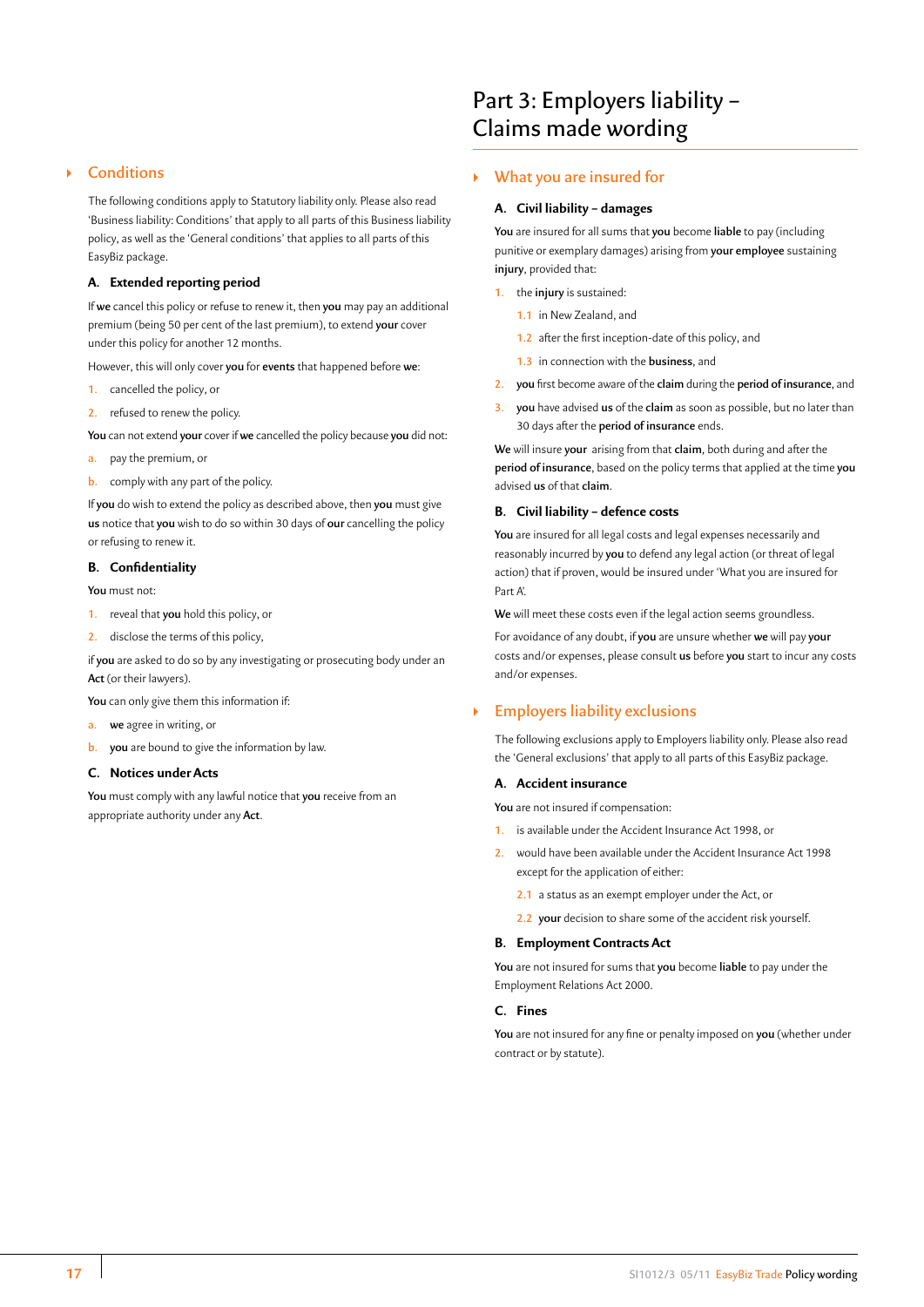# <span id="page-17-0"></span>` **Conditions**

The following conditions apply to Statutory liability only. Please also read 'Business liability: Conditions' that apply to all parts of this Business liability policy, as well as the 'General conditions' that applies to all parts of this EasyBiz package.

# **A. Extended reporting period**

If **we** cancel this policy or refuse to renew it, then **you** may pay an additional premium (being 50 per cent of the last premium), to extend **your** cover under this policy for another 12 months.

However, this will only cover **you** for **events** that happened before **we**:

- **1.** cancelled the policy, or
- **2.** refused to renew the policy.

**You** can not extend **your** cover if **we** cancelled the policy because **you** did not:

- **a.** pay the premium, or
- **b.** comply with any part of the policy.

If **you** do wish to extend the policy as described above, then **you** must give **us** notice that **you** wish to do so within 30 days of **our** cancelling the policy or refusing to renew it.

#### **B. Confidentiality**

**You** must not:

- **1.** reveal that **you** hold this policy, or
- **2.** disclose the terms of this policy,

if **you** are asked to do so by any investigating or prosecuting body under an **Act** (or their lawyers).

**You** can only give them this information if:

- **a. we** agree in writing, or
- **b. you** are bound to give the information by law.

# **C. Notices under Acts**

**You** must comply with any lawful notice that **you** receive from an appropriate authority under any **Act**.

# Part 3: Employers liability – Claims made wording

# ` **What you are insured for**

#### **A. Civil liability – damages**

**You** are insured for all sums that **you** become **liable** to pay (including punitive or exemplary damages) arising from **your employee** sustaining **injury**, provided that:

- **1.** the **injury** is sustained:
	- **1.1** in New Zealand, and
	- **1.2** after the first inception-date of this policy, and
	- **1.3** in connection with the **business**, and
- **2. you** first become aware of the **claim** during the **period of insurance**, and
- **3. you** have advised **us** of the **claim** as soon as possible, but no later than 30 days after the **period of insurance** ends.

**We** will insure **your** arising from that **claim**, both during and after the **period of insurance**, based on the policy terms that applied at the time **you** advised **us** of that **claim**.

# **B. Civil liability – defence costs**

**You** are insured for all legal costs and legal expenses necessarily and reasonably incurred by **you** to defend any legal action (or threat of legal action) that if proven, would be insured under 'What you are insured for Part <sup>A'</sup>

**We** will meet these costs even if the legal action seems groundless.

For avoidance of any doubt, if **you** are unsure whether **we** will pay **your** costs and/or expenses, please consult **us** before **you** start to incur any costs and/or expenses.

# ` **Employers liability exclusions**

The following exclusions apply to Employers liability only. Please also read the 'General exclusions' that apply to all parts of this EasyBiz package.

#### **A. Accident insurance**

**You** are not insured if compensation:

- **1.** is available under the Accident Insurance Act 1998, or
- **2.** would have been available under the Accident Insurance Act 1998 except for the application of either:
	- **2.1** a status as an exempt employer under the Act, or
	- **2.2 your** decision to share some of the accident risk yourself.

### **B. Employment Contracts Act**

**You** are not insured for sums that **you** become **liable** to pay under the Employment Relations Act 2000.

# **C. Fines**

**You** are not insured for any fine or penalty imposed on **you** (whether under contract or by statute).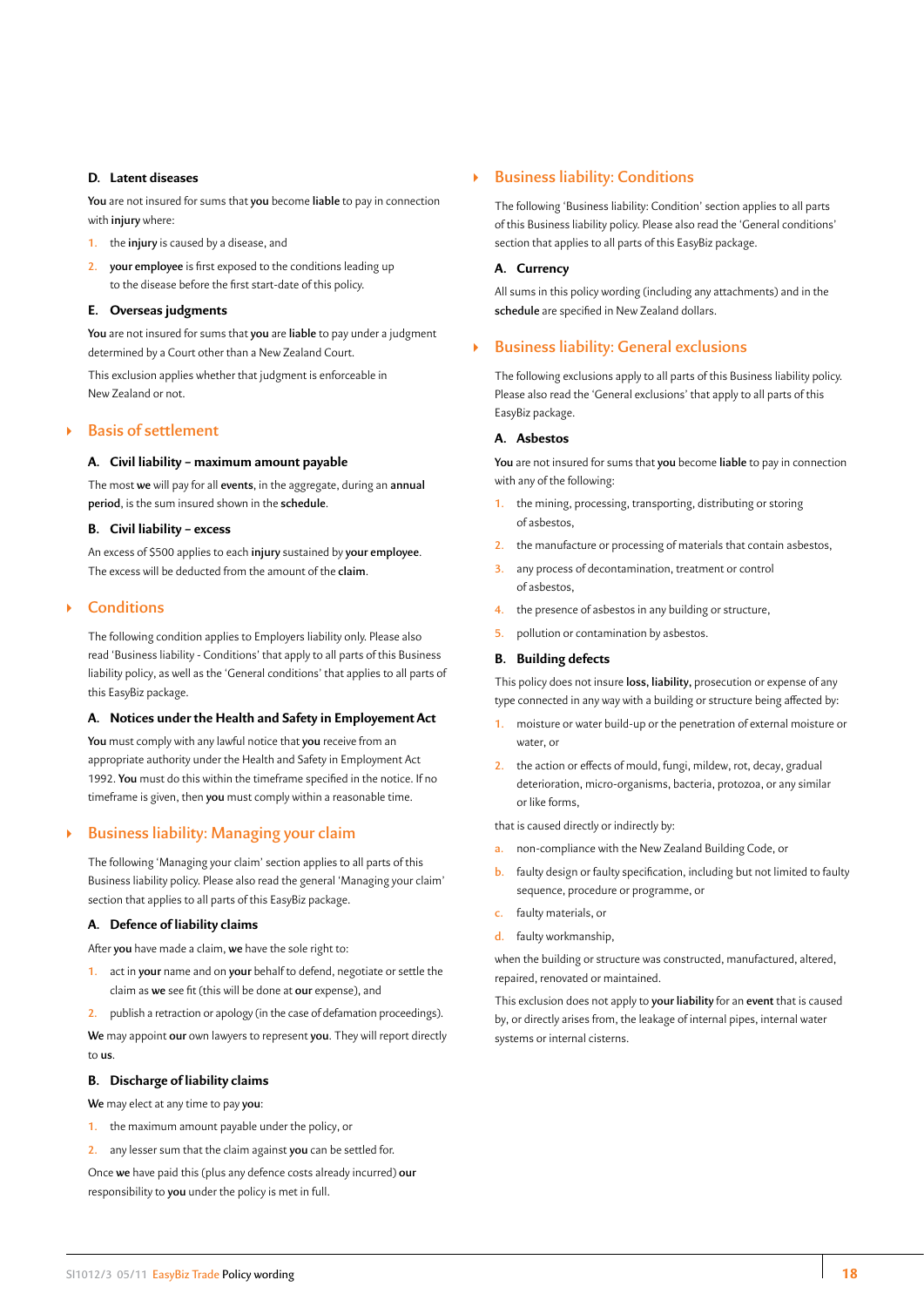# <span id="page-18-0"></span>**D. Latent diseases**

**You** are not insured for sums that **you** become **liable** to pay in connection with **injury** where:

- **1.** the **injury** is caused by a disease, and
- **2. your employee** is first exposed to the conditions leading up to the disease before the first start-date of this policy.

### **E. Overseas judgments**

**You** are not insured for sums that **you** are **liable** to pay under a judgment determined by a Court other than a New Zealand Court.

This exclusion applies whether that judgment is enforceable in New Zealand or not.

# ` **Basis of settlement**

#### **A. Civil liability – maximum amount payable**

The most **we** will pay for all **events**, in the aggregate, during an **annual period**, is the sum insured shown in the **schedule**.

#### **B. Civil liability – excess**

An excess of \$500 applies to each **injury** sustained by **your employee**. The excess will be deducted from the amount of the **claim**.

# ` **Conditions**

The following condition applies to Employers liability only. Please also read 'Business liability - Conditions' that apply to all parts of this Business liability policy, as well as the 'General conditions' that applies to all parts of this EasyBiz package.

#### **A. Notices under the Health and Safety in Employement Act**

**You** must comply with any lawful notice that **you** receive from an appropriate authority under the Health and Safety in Employment Act 1992. **You** must do this within the timeframe specified in the notice. If no timeframe is given, then **you** must comply within a reasonable time.

# ` **Business liability: Managing your claim**

The following 'Managing your claim' section applies to all parts of this Business liability policy. Please also read the general 'Managing your claim' section that applies to all parts of this EasyBiz package.

## **A. Defence of liability claims**

After **you** have made a claim, **we** have the sole right to:

- **1.** act in **your** name and on **your** behalf to defend, negotiate or settle the claim as **we** see fit (this will be done at **our** expense), and
- **2.** publish a retraction or apology (in the case of defamation proceedings).

**We** may appoint **our** own lawyers to represent **you**. They will report directly to **us**.

#### **B. Discharge of liability claims**

**We** may elect at any time to pay **you**:

- **1.** the maximum amount payable under the policy, or
- **2.** any lesser sum that the claim against **you** can be settled for.

Once **we** have paid this (plus any defence costs already incurred) **our** responsibility to **you** under the policy is met in full.

# ` **Business liability: Conditions**

The following 'Business liability: Condition' section applies to all parts of this Business liability policy. Please also read the 'General conditions' section that applies to all parts of this EasyBiz package.

#### **A. Currency**

All sums in this policy wording (including any attachments) and in the **schedule** are specified in New Zealand dollars.

# ` **Business liability: General exclusions**

The following exclusions apply to all parts of this Business liability policy. Please also read the 'General exclusions' that apply to all parts of this EasyBiz package.

#### **A. Asbestos**

**You** are not insured for sums that **you** become **liable** to pay in connection with any of the following:

- **1.** the mining, processing, transporting, distributing or storing of asbestos,
- **2.** the manufacture or processing of materials that contain asbestos,
- **3.** any process of decontamination, treatment or control of asbestos,
- **4.** the presence of asbestos in any building or structure,
- **5. pollution or contamination by asbestos.**

# **B. Building defects**

This policy does not insure **loss, liability,** prosecution or expense of any type connected in any way with a building or structure being affected by:

- **1.** moisture or water build-up or the penetration of external moisture or water, or
- **2.** the action or effects of mould, fungi, mildew, rot, decay, gradual deterioration, micro-organisms, bacteria, protozoa, or any similar or like forms,

that is caused directly or indirectly by:

- **a.** non-compliance with the New Zealand Building Code, or
- **b.** faulty design or faulty specification, including but not limited to faulty sequence, procedure or programme, or
- **c.** faulty materials, or
- **d.** faulty workmanship,

when the building or structure was constructed, manufactured, altered, repaired, renovated or maintained.

This exclusion does not apply to **your liability** for an **event** that is caused by, or directly arises from, the leakage of internal pipes, internal water systems or internal cisterns.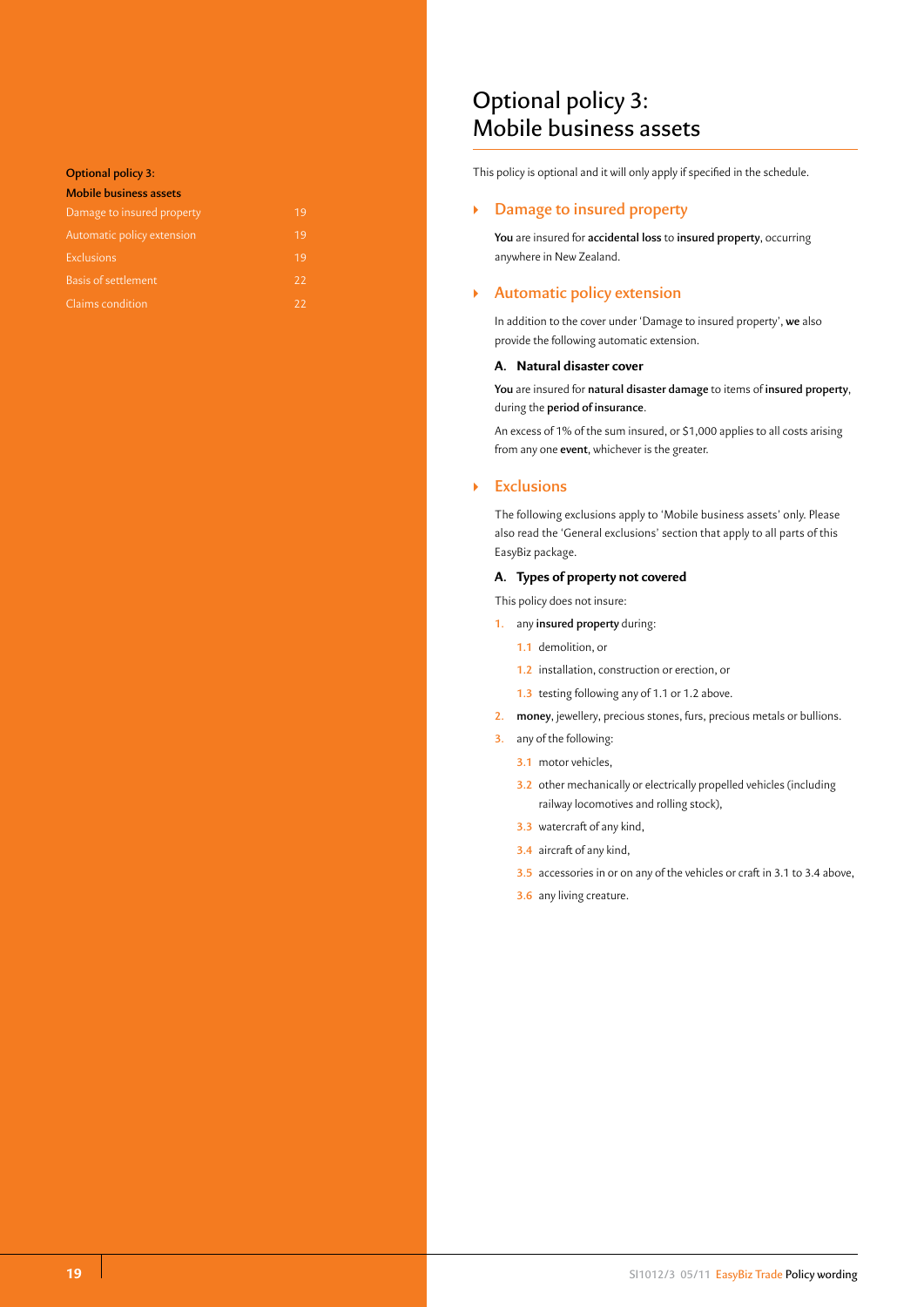#### <span id="page-19-0"></span>**Optional policy 3:**

| <b>Mobile business assets</b> |    |
|-------------------------------|----|
| Damage to insured property    | 19 |
| Automatic policy extension    | 19 |
| <b>Exclusions</b>             | 19 |
| <b>Basis of settlement</b>    | 22 |
| Claims condition              | 22 |

# Optional policy 3: Mobile business assets

This policy is optional and it will only apply if specified in the schedule.

# ` **Damage to insured property**

**You** are insured for **accidental loss** to **insured property**, occurring anywhere in New Zealand.

# ` **Automatic policy extension**

In addition to the cover under 'Damage to insured property', **we** also provide the following automatic extension.

# **A. Natural disaster cover**

**You** are insured for **natural disaster damage** to items of **insured property**, during the **period of insurance**.

An excess of 1% of the sum insured, or \$1,000 applies to all costs arising from any one **event**, whichever is the greater.

# ` **Exclusions**

The following exclusions apply to 'Mobile business assets' only. Please also read the 'General exclusions' section that apply to all parts of this EasyBiz package.

# **A. Types of property not covered**

This policy does not insure:

**1.** any **insured property** during:

**1.1** demolition, or

- **1.2** installation, construction or erection, or
- **1.3** testing following any of 1.1 or 1.2 above.
- **2. money**, jewellery, precious stones, furs, precious metals or bullions.
- **3.** any of the following:
	- **3.1** motor vehicles,
	- **3.2** other mechanically or electrically propelled vehicles (including railway locomotives and rolling stock),
	- **3.3** watercraft of any kind,
	- **3.4** aircraft of any kind,
	- **3.5** accessories in or on any of the vehicles or craft in 3.1 to 3.4 above,
	- **3.6** any living creature.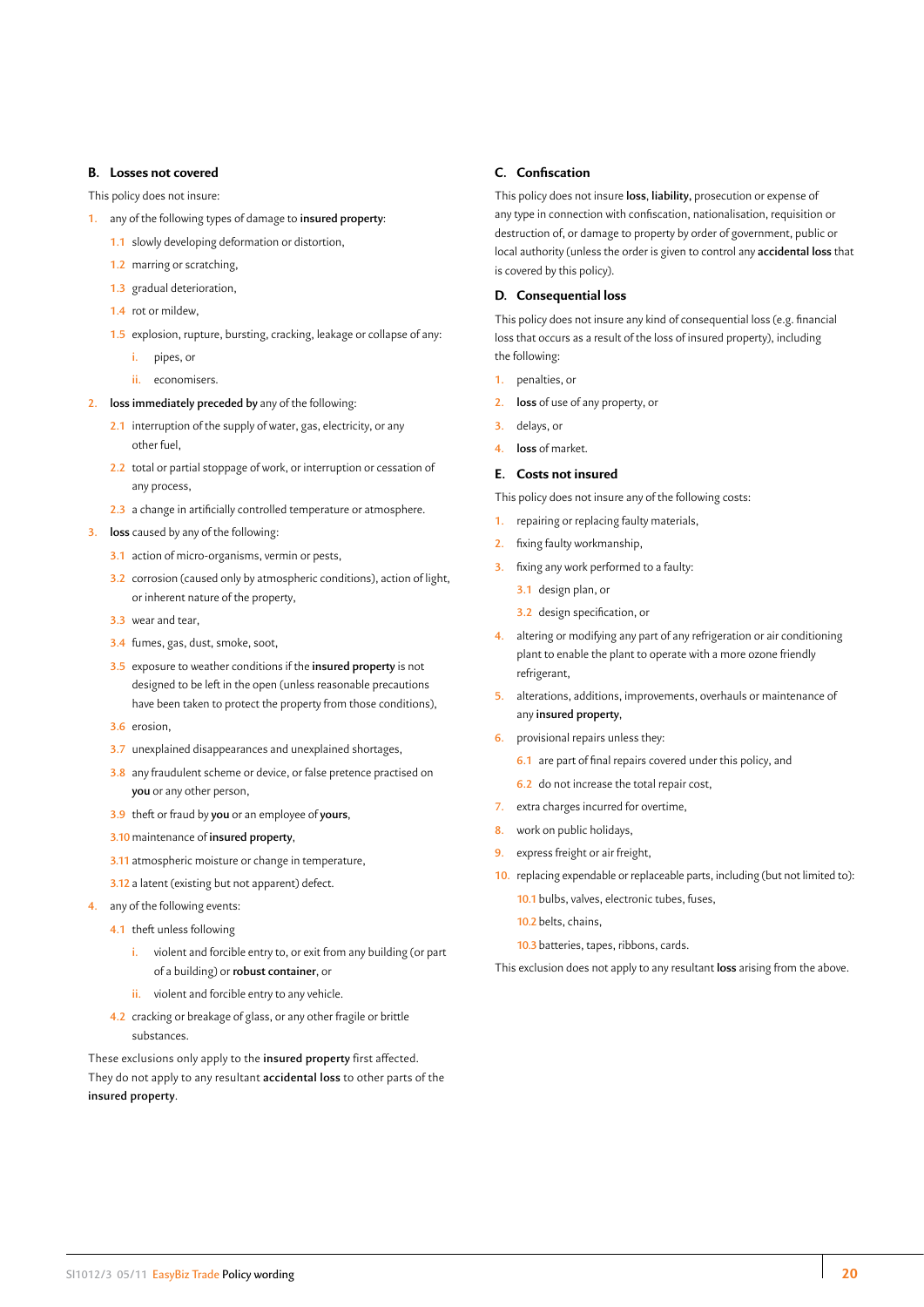#### **B. Losses not covered**

This policy does not insure:

- **1.** any of the following types of damage to **insured property**:
	- **1.1** slowly developing deformation or distortion,
	- **1.2** marring or scratching,
	- **1.3** gradual deterioration,
	- **1.4** rot or mildew,
	- **1.5** explosion, rupture, bursting, cracking, leakage or collapse of any:
		- **i.** pipes, or
		- **ii.** economisers.
- **2. loss immediately preceded by** any of the following:
	- **2.1** interruption of the supply of water, gas, electricity, or any other fuel,
	- **2.2** total or partial stoppage of work, or interruption or cessation of any process,
	- **2.3** a change in artificially controlled temperature or atmosphere.
- **3. loss** caused by any of the following:
	- **3.1** action of micro-organisms, vermin or pests,
	- **3.2** corrosion (caused only by atmospheric conditions), action of light, or inherent nature of the property,
	- **3.3** wear and tear,
	- **3.4** fumes, gas, dust, smoke, soot,
	- **3.5** exposure to weather conditions if the **insured property** is not designed to be left in the open (unless reasonable precautions have been taken to protect the property from those conditions),
	- **3.6** erosion,
	- **3.7** unexplained disappearances and unexplained shortages,
	- **3.8** any fraudulent scheme or device, or false pretence practised on **you** or any other person,
	- **3.9** theft or fraud by **you** or an employee of **yours**,
	- **3.10**maintenance of **insured property**,
	- **3.11** atmospheric moisture or change in temperature,
	- **3.12** a latent (existing but not apparent) defect.
- **4.** any of the following events:
	- **4.1** theft unless following
		- **i.** violent and forcible entry to, or exit from any building (or part of a building) or **robust container**, or
		- **ii.** violent and forcible entry to any vehicle.
	- **4.2** cracking or breakage of glass, or any other fragile or brittle substances.

These exclusions only apply to the **insured property** first affected. They do not apply to any resultant **accidental loss** to other parts of the **insured property**.

#### **C. Confiscation**

This policy does not insure **loss**, **liability,** prosecution or expense of any type in connection with confiscation, nationalisation, requisition or destruction of, or damage to property by order of government, public or local authority (unless the order is given to control any **accidental loss** that is covered by this policy).

# **D. Consequential loss**

This policy does not insure any kind of consequential loss (e.g. financial loss that occurs as a result of the loss of insured property), including the following:

- **1.** penalties, or
- **2. loss** of use of any property, or
- **3.** delays, or
- **4. loss** of market.

#### **E. Costs not insured**

This policy does not insure any of the following costs:

- **1.** repairing or replacing faulty materials,
- **2.** fixing faulty workmanship,
- **3.** fixing any work performed to a faulty:
	- **3.1** design plan, or
	- **3.2** design specification, or
- **4.** altering or modifying any part of any refrigeration or air conditioning plant to enable the plant to operate with a more ozone friendly refrigerant,
- **5.** alterations, additions, improvements, overhauls or maintenance of any **insured property**,
- **6.** provisional repairs unless they:
	- **6.1** are part of final repairs covered under this policy, and
	- **6.2** do not increase the total repair cost,
- **7.** extra charges incurred for overtime,
- **8.** work on public holidays,
- **9.** express freight or air freight,
- **10.** replacing expendable or replaceable parts, including (but not limited to):
	- **10.1** bulbs, valves, electronic tubes, fuses,
	- **10.2** belts, chains,
	- **10.3** batteries, tapes, ribbons, cards.

This exclusion does not apply to any resultant **loss** arising from the above.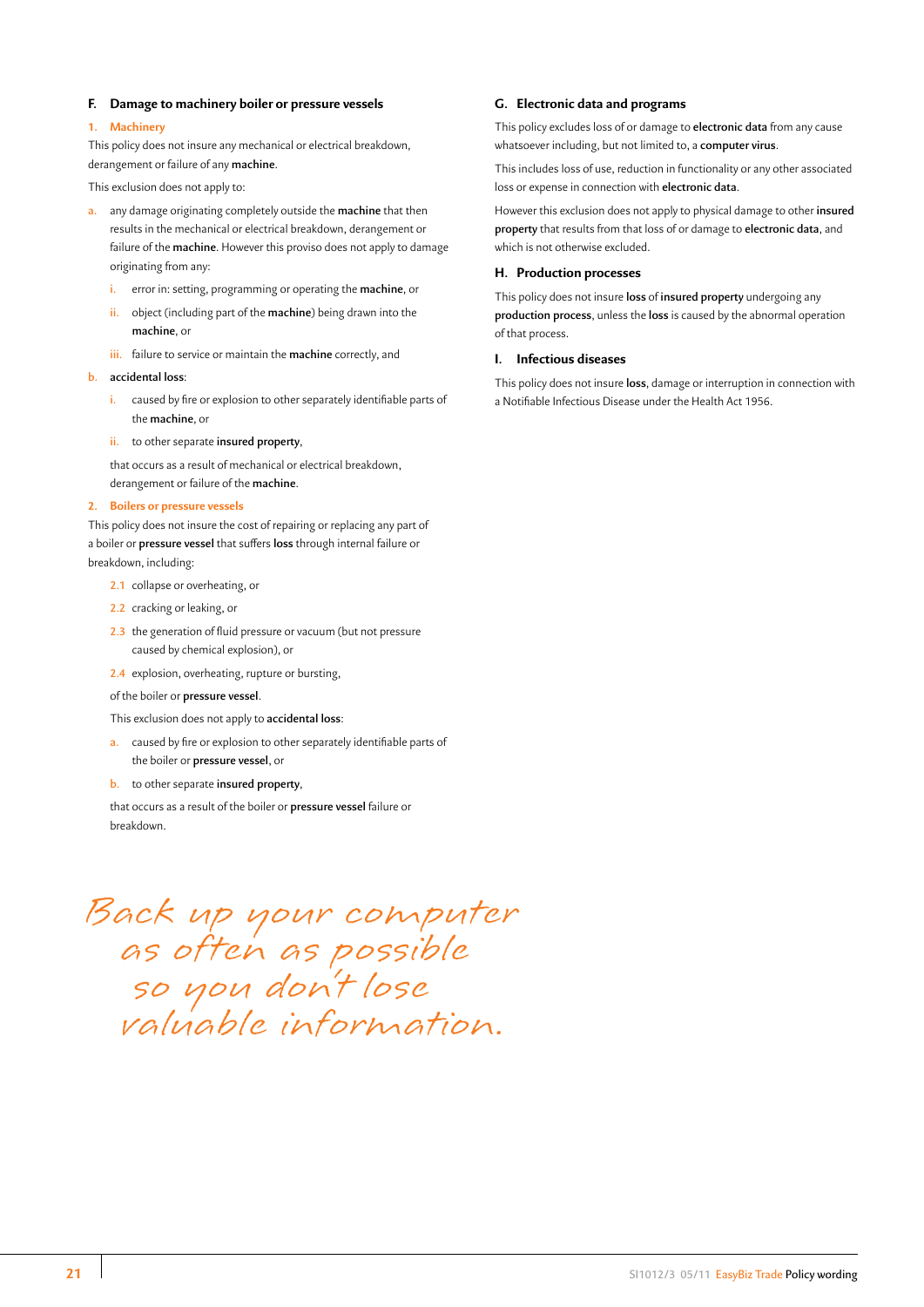# <span id="page-21-0"></span>**F. Damage to machinery boiler or pressure vessels**

#### **1. Machinery**

This policy does not insure any mechanical or electrical breakdown, derangement or failure of any **machine**.

This exclusion does not apply to:

- **a.** any damage originating completely outside the **machine** that then results in the mechanical or electrical breakdown, derangement or failure of the **machine**. However this proviso does not apply to damage originating from any:
	- **i.** error in: setting, programming or operating the **machine**, or
	- **ii.** object (including part of the **machine**) being drawn into the **machine**, or
	- **iii.** failure to service or maintain the **machine** correctly, and
- **b. accidental loss**:
	- **i.** caused by fire or explosion to other separately identifiable parts of the **machine**, or
	- **ii.** to other separate **insured property**,

that occurs as a result of mechanical or electrical breakdown, derangement or failure of the **machine**.

#### **2. Boilers or pressure vessels**

This policy does not insure the cost of repairing or replacing any part of a boiler or **pressure vessel** that suffers **loss** through internal failure or breakdown, including:

- **2.1** collapse or overheating, or
- **2.2** cracking or leaking, or
- **2.3** the generation of fluid pressure or vacuum (but not pressure caused by chemical explosion), or
- **2.4** explosion, overheating, rupture or bursting,

#### of the boiler or **pressure vessel**.

This exclusion does not apply to **accidental loss**:

- **a.** caused by fire or explosion to other separately identifiable parts of the boiler or **pressure vessel**, or
- **b.** to other separate **insured property**,

that occurs as a result of the boiler or **pressure vessel** failure or breakdown.

# Back up your computer as often as possible so you don't lose valuable information.

# **G. Electronic data and programs**

This policy excludes loss of or damage to **electronic data** from any cause whatsoever including, but not limited to, a **computer virus**.

This includes loss of use, reduction in functionality or any other associated loss or expense in connection with **electronic data**.

However this exclusion does not apply to physical damage to other **insured property** that results from that loss of or damage to **electronic data**, and which is not otherwise excluded.

### **H. Production processes**

This policy does not insure **loss** of **insured property** undergoing any **production process**, unless the **loss** is caused by the abnormal operation of that process.

#### **I. Infectious diseases**

This policy does not insure **loss**, damage or interruption in connection with a Notifiable Infectious Disease under the Health Act 1956.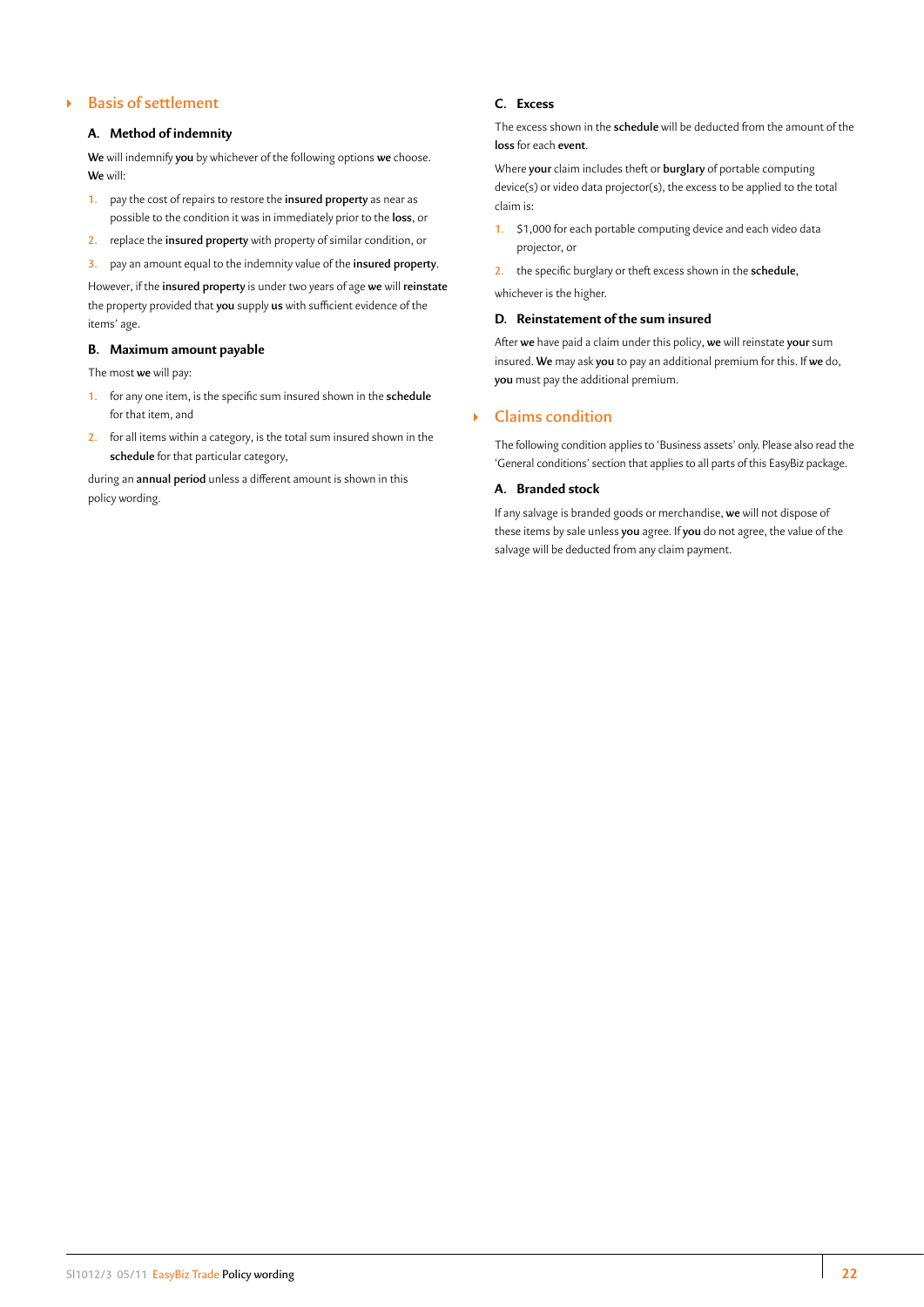# ` **Basis of settlement**

# **A. Method of indemnity**

**We** will indemnify **you** by whichever of the following options **we** choose. **We** will:

- **1.** pay the cost of repairs to restore the **insured property** as near as possible to the condition it was in immediately prior to the **loss**, or
- **2.** replace the **insured property** with property of similar condition, or
- **3.** pay an amount equal to the indemnity value of the **insured property**.

However, if the **insured property** is under two years of age **we** will **reinstate** the property provided that **you** supply **us** with sufficient evidence of the items' age.

# **B. Maximum amount payable**

The most **we** will pay:

- **1.** for any one item, is the specific sum insured shown in the **schedule** for that item, and
- **2.** for all items within a category, is the total sum insured shown in the **schedule** for that particular category,

during an **annual period** unless a different amount is shown in this policy wording.

# **C. Excess**

The excess shown in the **schedule** will be deducted from the amount of the **loss** for each **event**.

Where **your** claim includes theft or **burglary** of portable computing device(s) or video data projector(s), the excess to be applied to the total claim is:

**1.** \$1,000 for each portable computing device and each video data projector, or

**2.** the specific burglary or theft excess shown in the **schedule**,

whichever is the higher.

# **D. Reinstatement of the sum insured**

After **we** have paid a claim under this policy, **we** will reinstate **your** sum insured. **We** may ask **you** to pay an additional premium for this. If **we** do, **you** must pay the additional premium.

# ` **Claims condition**

The following condition applies to 'Business assets' only. Please also read the 'General conditions' section that applies to all parts of this EasyBiz package.

# **A. Branded stock**

If any salvage is branded goods or merchandise, **we** will not dispose of these items by sale unless **you** agree. If **you** do not agree, the value of the salvage will be deducted from any claim payment.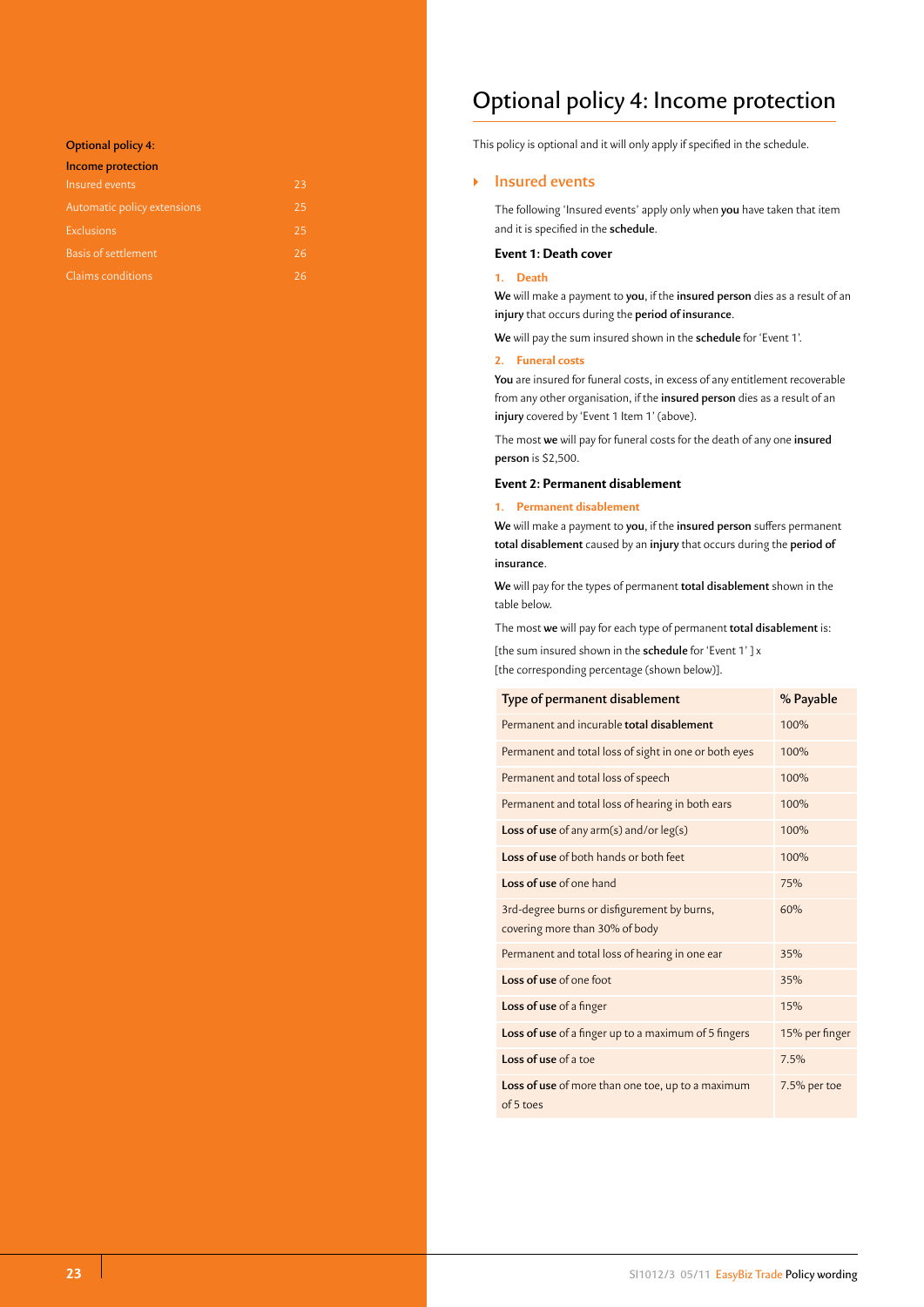# <span id="page-23-0"></span>**Optional policy 4:**

| Income protection           |    |
|-----------------------------|----|
| Insured events              | 23 |
| Automatic policy extensions | 25 |
| Exclusions                  | 25 |
| <b>Basis of settlement</b>  | 26 |
| Claims conditions           | 26 |

# Optional policy 4: Income protection

This policy is optional and it will only apply if specified in the schedule.

# ` **Insured events**

The following 'Insured events' apply only when **you** have taken that item and it is specified in the **schedule**.

# **Event 1: Death cover**

# **1. Death**

**We** will make a payment to **you**, if the **insured person** dies as a result of an **injury** that occurs during the **period of insurance**.

**We** will pay the sum insured shown in the **schedule** for 'Event 1'.

#### **2. Funeral costs**

**You** are insured for funeral costs, in excess of any entitlement recoverable from any other organisation, if the **insured person** dies as a result of an **injury** covered by 'Event 1 Item 1' (above).

The most **we** will pay for funeral costs for the death of any one **insured person** is \$2,500.

# **Event 2: Permanent disablement**

# **1. Permanent disablement**

**We** will make a payment to **you**, if the **insured person** suffers permanent **total disablement** caused by an **injury** that occurs during the **period of insurance**.

**We** will pay for the types of permanent **total disablement** shown in the table below.

The most **we** will pay for each type of permanent **total disablement** is:

[the sum insured shown in the **schedule** for 'Event 1' ] x

[the corresponding percentage (shown below)].

| Type of permanent disablement                                                 | % Payable      |
|-------------------------------------------------------------------------------|----------------|
| Permanent and incurable total disablement                                     | 100%           |
| Permanent and total loss of sight in one or both eyes                         | 100%           |
| Permanent and total loss of speech                                            | 100%           |
| Permanent and total loss of hearing in both ears                              | 100%           |
| Loss of use of any arm(s) and/or leg(s)                                       | 100%           |
| <b>Loss of use</b> of both hands or both feet                                 | 100%           |
| Loss of use of one hand                                                       | 75%            |
| 3rd-degree burns or disfigurement by burns,<br>covering more than 30% of body | 60%            |
| Permanent and total loss of hearing in one ear                                | 35%            |
| Loss of use of one foot                                                       | 35%            |
| Loss of use of a finger                                                       | 15%            |
| Loss of use of a finger up to a maximum of 5 fingers                          | 15% per finger |
| Loss of use of a toe                                                          | 7.5%           |
| Loss of use of more than one toe, up to a maximum<br>of 5 toes                | 7.5% per toe   |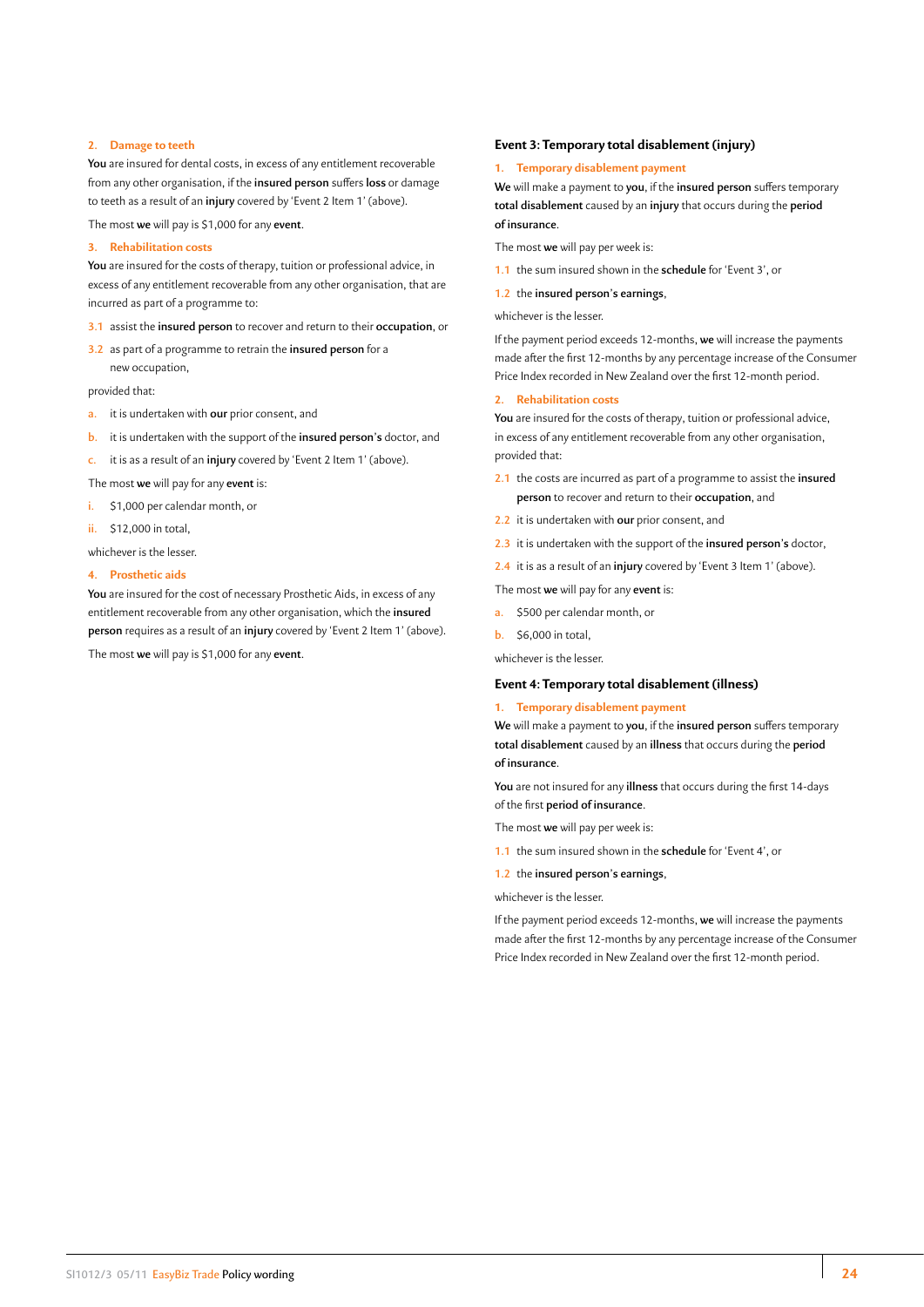# <span id="page-24-0"></span>**2. Damage to teeth**

**You** are insured for dental costs, in excess of any entitlement recoverable from any other organisation, if the **insured person** suffers **loss** or damage to teeth as a result of an **injury** covered by 'Event 2 Item 1' (above).

The most **we** will pay is \$1,000 for any **event**.

# **3. Rehabilitation costs**

**You** are insured for the costs of therapy, tuition or professional advice, in excess of any entitlement recoverable from any other organisation, that are incurred as part of a programme to:

#### **3.1** assist the **insured person** to recover and return to their **occupation**, or

**3.2** as part of a programme to retrain the **insured person** for a new occupation,

provided that:

- **a.** it is undertaken with **our** prior consent, and
- **b.** it is undertaken with the support of the **insured person's** doctor, and

**c.** it is as a result of an **injury** covered by 'Event 2 Item 1' (above).

The most **we** will pay for any **event** is:

- **i.** \$1,000 per calendar month, or
- **ii.** \$12,000 in total,

whichever is the lesser.

# **4. Prosthetic aids**

**You** are insured for the cost of necessary Prosthetic Aids, in excess of any entitlement recoverable from any other organisation, which the **insured person** requires as a result of an **injury** covered by 'Event 2 Item 1' (above).

# The most **we** will pay is \$1,000 for any **event**.

### **Event 3: Temporary total disablement (injury)**

#### **1. Temporary disablement payment**

**We** will make a payment to **you**, if the **insured person** suffers temporary **total disablement** caused by an **injury** that occurs during the **period of insurance**.

The most **we** will pay per week is:

**1.1** the sum insured shown in the **schedule** for 'Event 3', or

**1.2** the **insured person's earnings**,

whichever is the lesser.

If the payment period exceeds 12-months, **we** will increase the payments made after the first 12-months by any percentage increase of the Consumer Price Index recorded in New Zealand over the first 12-month period.

#### **2. Rehabilitation costs**

**You** are insured for the costs of therapy, tuition or professional advice, in excess of any entitlement recoverable from any other organisation, provided that:

- **2.1** the costs are incurred as part of a programme to assist the **insured person** to recover and return to their **occupation**, and
- **2.2** it is undertaken with **our** prior consent, and
- **2.3** it is undertaken with the support of the **insured person's** doctor,
- **2.4** it is as a result of an **injury** covered by 'Event 3 Item 1' (above).

The most **we** will pay for any **event** is:

- **a.** \$500 per calendar month, or
- **b.** \$6,000 in total,

whichever is the lesser.

#### **Event 4: Temporary total disablement (illness)**

# **1. Temporary disablement payment**

**We** will make a payment to **you**, if the **insured person** suffers temporary **total disablement** caused by an **illness** that occurs during the **period of insurance**.

**You** are not insured for any **illness** that occurs during the first 14-days of the first **period of insurance**.

The most **we** will pay per week is:

- **1.1** the sum insured shown in the **schedule** for 'Event 4', or
- **1.2** the **insured person's earnings**,

whichever is the lesser.

If the payment period exceeds 12-months, **we** will increase the payments made after the first 12-months by any percentage increase of the Consumer Price Index recorded in New Zealand over the first 12-month period.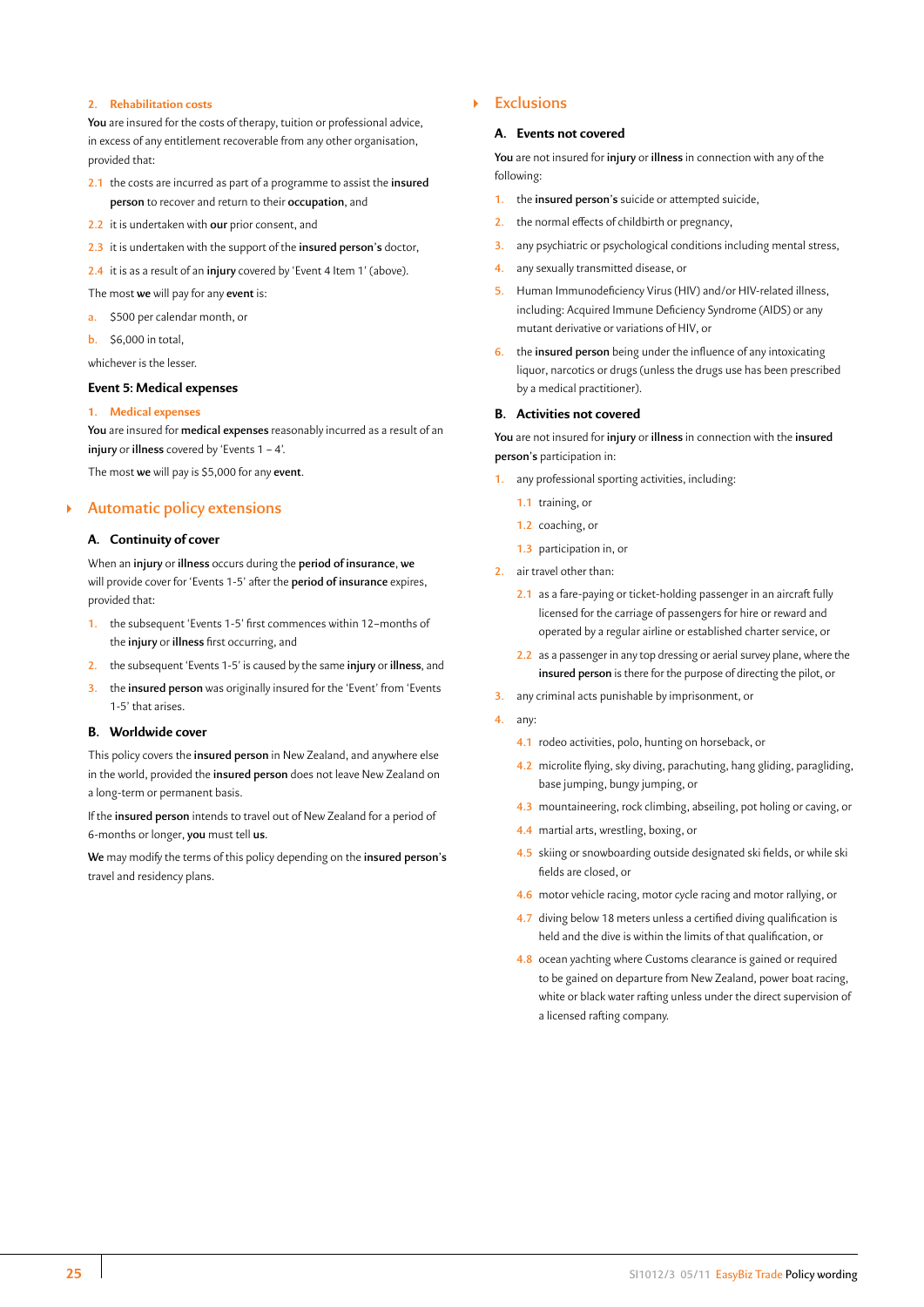#### <span id="page-25-0"></span>**2. Rehabilitation costs**

**You** are insured for the costs of therapy, tuition or professional advice, in excess of any entitlement recoverable from any other organisation, provided that:

- **2.1** the costs are incurred as part of a programme to assist the **insured person** to recover and return to their **occupation**, and
- **2.2** it is undertaken with **our** prior consent, and
- **2.3** it is undertaken with the support of the **insured person's** doctor,
- **2.4** it is as a result of an **injury** covered by 'Event 4 Item 1' (above).
- The most **we** will pay for any **event** is:
- **a.** \$500 per calendar month, or
- **b.** \$6,000 in total,

whichever is the lesser.

# **Event 5: Medical expenses**

#### **1. Medical expenses**

**You** are insured for **medical expenses** reasonably incurred as a result of an **injury** or **illness** covered by 'Events 1 – 4'.

The most **we** will pay is \$5,000 for any **event**.

# ` **Automatic policy extensions**

# **A. Continuity of cover**

When an **injury** or **illness** occurs during the **period of insurance**, **we** will provide cover for 'Events 1-5' after the **period of insurance** expires, provided that:

- **1.** the subsequent 'Events 1-5' first commences within 12–months of the **injury** or **illness** first occurring, and
- **2.** the subsequent 'Events 1-5' is caused by the same **injury** or **illness**, and
- **3.** the **insured person** was originally insured for the 'Event' from 'Events 1-5' that arises.

#### **B. Worldwide cover**

This policy covers the **insured person** in New Zealand, and anywhere else in the world, provided the **insured person** does not leave New Zealand on a long-term or permanent basis.

If the **insured person** intends to travel out of New Zealand for a period of 6-months or longer, **you** must tell **us**.

**We** may modify the terms of this policy depending on the **insured person's** travel and residency plans.

# ` **Exclusions**

#### **A. Events not covered**

**You** are not insured for **injury** or **illness** in connection with any of the following:

- **1.** the **insured person's** suicide or attempted suicide,
- **2.** the normal effects of childbirth or pregnancy,
- **3.** any psychiatric or psychological conditions including mental stress,
- **4.** any sexually transmitted disease, or
- **5.** Human Immunodeficiency Virus (HIV) and/or HIV-related illness, including: Acquired Immune Deficiency Syndrome (AIDS) or any mutant derivative or variations of HIV, or
- **6.** the **insured person** being under the influence of any intoxicating liquor, narcotics or drugs (unless the drugs use has been prescribed by a medical practitioner).

#### **B. Activities not covered**

**You** are not insured for **injury** or **illness** in connection with the **insured person's** participation in:

- **1.** any professional sporting activities, including:
	- **1.1** training, or
	- **1.2** coaching, or
	- **1.3** participation in, or
- **2.** air travel other than:
	- **2.1** as a fare-paying or ticket-holding passenger in an aircraft fully licensed for the carriage of passengers for hire or reward and operated by a regular airline or established charter service, or
	- **2.2** as a passenger in any top dressing or aerial survey plane, where the **insured person** is there for the purpose of directing the pilot, or
- **3.** any criminal acts punishable by imprisonment, or
- **4.** any:
	- **4.1** rodeo activities, polo, hunting on horseback, or
	- **4.2** microlite flying, sky diving, parachuting, hang gliding, paragliding, base jumping, bungy jumping, or
	- **4.3** mountaineering, rock climbing, abseiling, pot holing or caving, or
	- **4.4** martial arts, wrestling, boxing, or
	- **4.5** skiing or snowboarding outside designated ski fields, or while ski fields are closed, or
	- **4.6** motor vehicle racing, motor cycle racing and motor rallying, or
	- **4.7** diving below 18 meters unless a certified diving qualification is held and the dive is within the limits of that qualification, or
	- **4.8** ocean yachting where Customs clearance is gained or required to be gained on departure from New Zealand, power boat racing, white or black water rafting unless under the direct supervision of a licensed rafting company.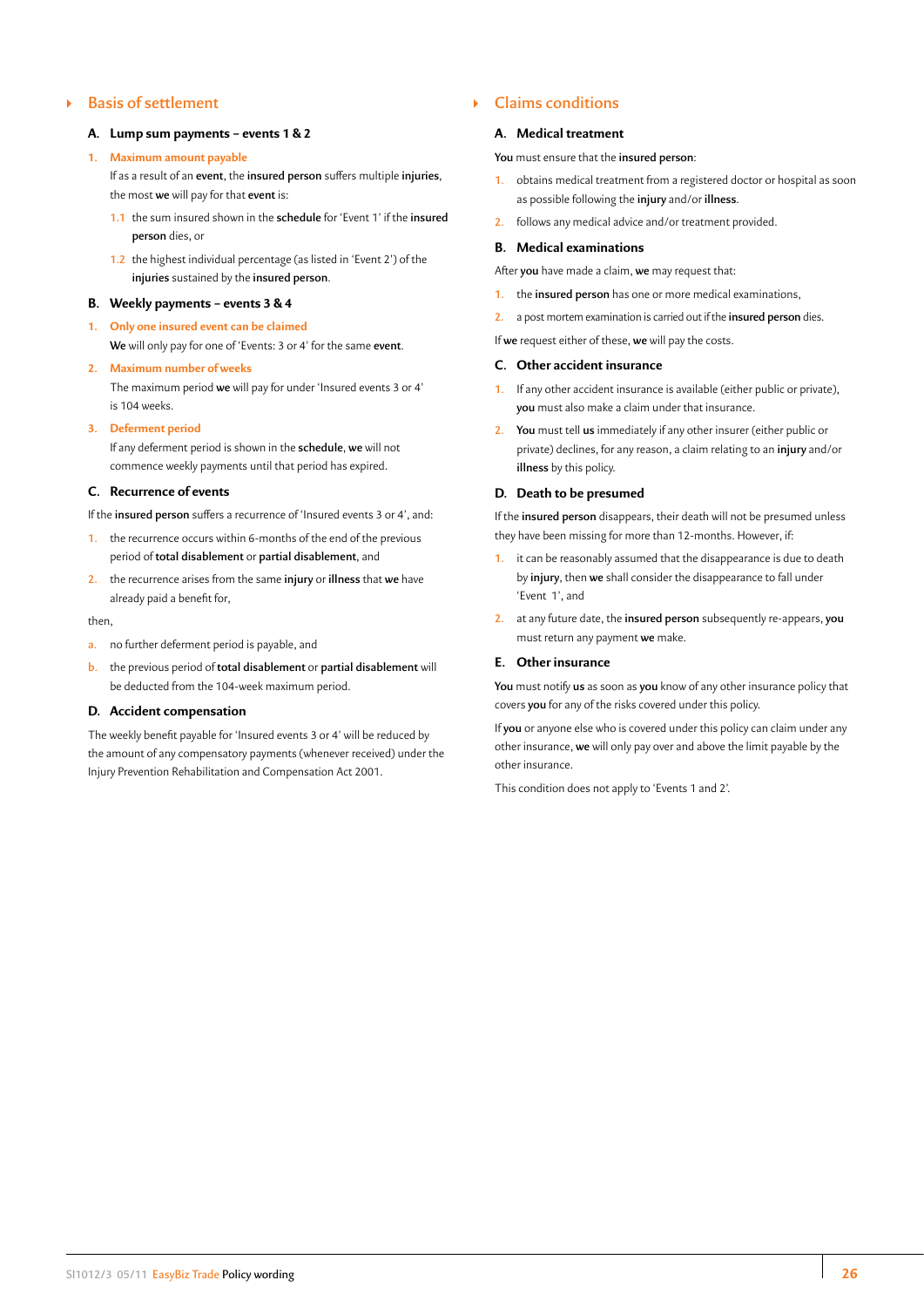# <span id="page-26-0"></span>` **Basis of settlement**

#### **A. Lump sum payments – events 1 & 2**

#### **1. Maximum amount payable**

If as a result of an **event**, the **insured person** suffers multiple **injuries**, the most **we** will pay for that **event** is:

- **1.1** the sum insured shown in the **schedule** for 'Event 1' if the **insured person** dies, or
- **1.2** the highest individual percentage (as listed in 'Event 2') of the **injuries** sustained by the **insured person**.

#### **B. Weekly payments – events 3 & 4**

**1. Only one insured event can be claimed We** will only pay for one of 'Events: 3 or 4' for the same **event**.

#### **2. Maximum number of weeks**

The maximum period **we** will pay for under 'Insured events 3 or 4' is 104 weeks.

#### **3. Deferment period**

If any deferment period is shown in the **schedule**, **we** will not commence weekly payments until that period has expired.

### **C. Recurrence of events**

If the **insured person** suffers a recurrence of 'Insured events 3 or 4', and:

- **1.** the recurrence occurs within 6-months of the end of the previous period of **total disablement** or **partial disablement**, and
- **2.** the recurrence arises from the same **injury** or **illness** that **we** have already paid a benefit for,

#### then,

- **a.** no further deferment period is payable, and
- **b.** the previous period of **total disablement** or **partial disablement** will be deducted from the 104-week maximum period.

# **D. Accident compensation**

The weekly benefit payable for 'Insured events 3 or 4' will be reduced by the amount of any compensatory payments (whenever received) under the Injury Prevention Rehabilitation and Compensation Act 2001.

# ` **Claims conditions**

#### **A. Medical treatment**

**You** must ensure that the **insured person**:

- **1.** obtains medical treatment from a registered doctor or hospital as soon as possible following the **injury** and/or **illness**.
- **2.** follows any medical advice and/or treatment provided.

# **B. Medical examinations**

After **you** have made a claim, **we** may request that:

- **1.** the **insured person** has one or more medical examinations,
- **2.** a post mortem examination is carried out if the **insured person** dies.

If **we** request either of these, **we** will pay the costs.

#### **C. Other accident insurance**

- **1.** If any other accident insurance is available (either public or private), **you** must also make a claim under that insurance.
- **2. You** must tell **us** immediately if any other insurer (either public or private) declines, for any reason, a claim relating to an **injury** and/or **illness** by this policy.

#### **D. Death to be presumed**

If the **insured person** disappears, their death will not be presumed unless they have been missing for more than 12-months. However, if:

- **1.** it can be reasonably assumed that the disappearance is due to death by **injury**, then **we** shall consider the disappearance to fall under 'Event 1', and
- **2.** at any future date, the **insured person** subsequently re-appears, **you** must return any payment **we** make.

# **E. Other insurance**

**You** must notify **us** as soon as **you** know of any other insurance policy that covers **you** for any of the risks covered under this policy.

If **you** or anyone else who is covered under this policy can claim under any other insurance, **we** will only pay over and above the limit payable by the other insurance.

This condition does not apply to 'Events 1 and 2'.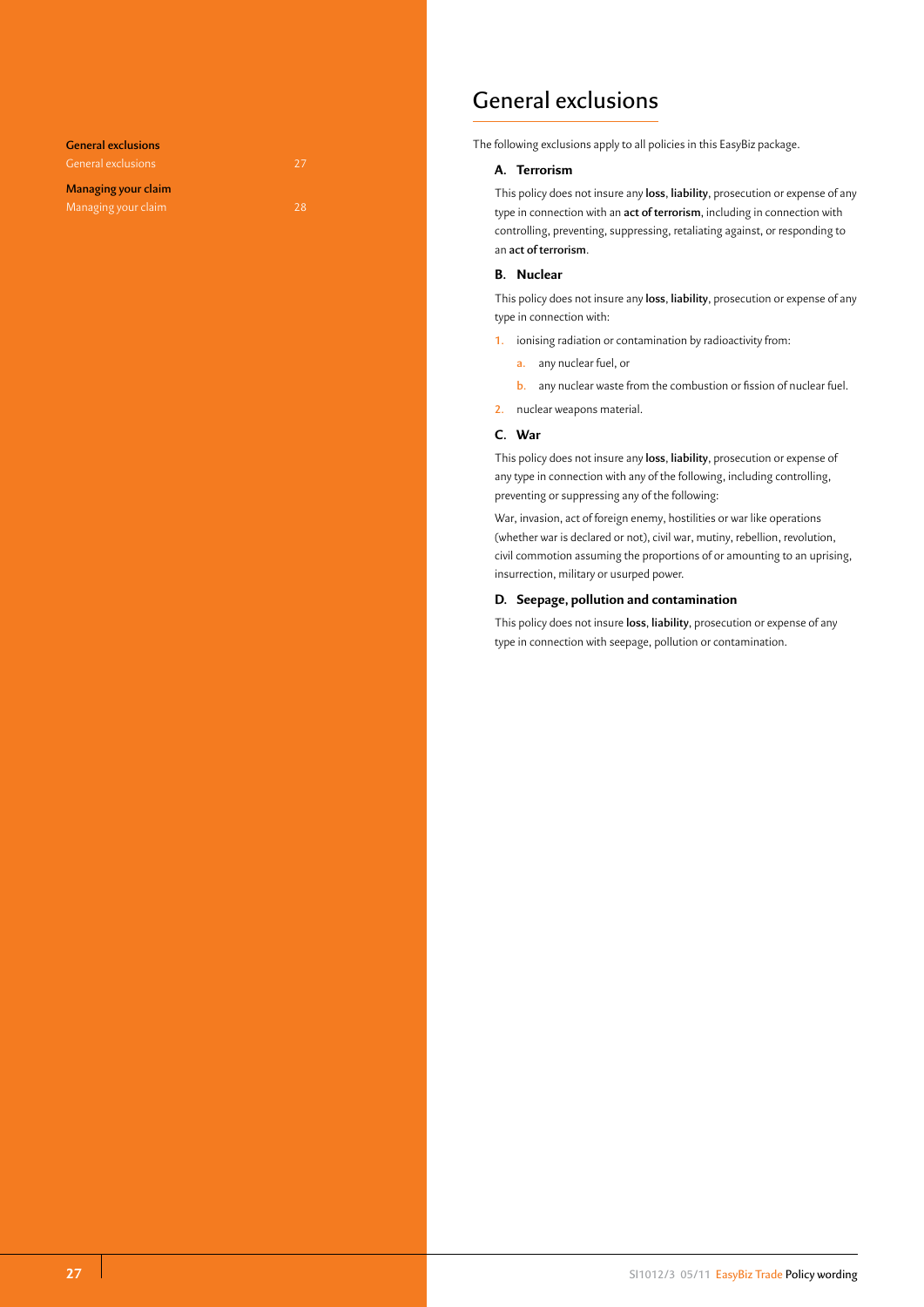**General exclusions** General exclusions 27 **Managing your claim** Managing your claim and the control of the 28

# General exclusions

The following exclusions apply to all policies in this EasyBiz package.

# **A. Terrorism**

This policy does not insure any **loss**, **liability**, prosecution or expense of any type in connection with an **act of terrorism**, including in connection with controlling, preventing, suppressing, retaliating against, or responding to an **act of terrorism**.

# **B. Nuclear**

This policy does not insure any **loss**, **liability**, prosecution or expense of any type in connection with:

- **1.** ionising radiation or contamination by radioactivity from:
	- **a.** any nuclear fuel, or
	- **b.** any nuclear waste from the combustion or fission of nuclear fuel.
- **2.** nuclear weapons material.

# **C. War**

This policy does not insure any **loss**, **liability**, prosecution or expense of any type in connection with any of the following, including controlling, preventing or suppressing any of the following:

War, invasion, act of foreign enemy, hostilities or war like operations (whether war is declared or not), civil war, mutiny, rebellion, revolution, civil commotion assuming the proportions of or amounting to an uprising, insurrection, military or usurped power.

# **D. Seepage, pollution and contamination**

This policy does not insure **loss**, **liability**, prosecution or expense of any type in connection with seepage, pollution or contamination.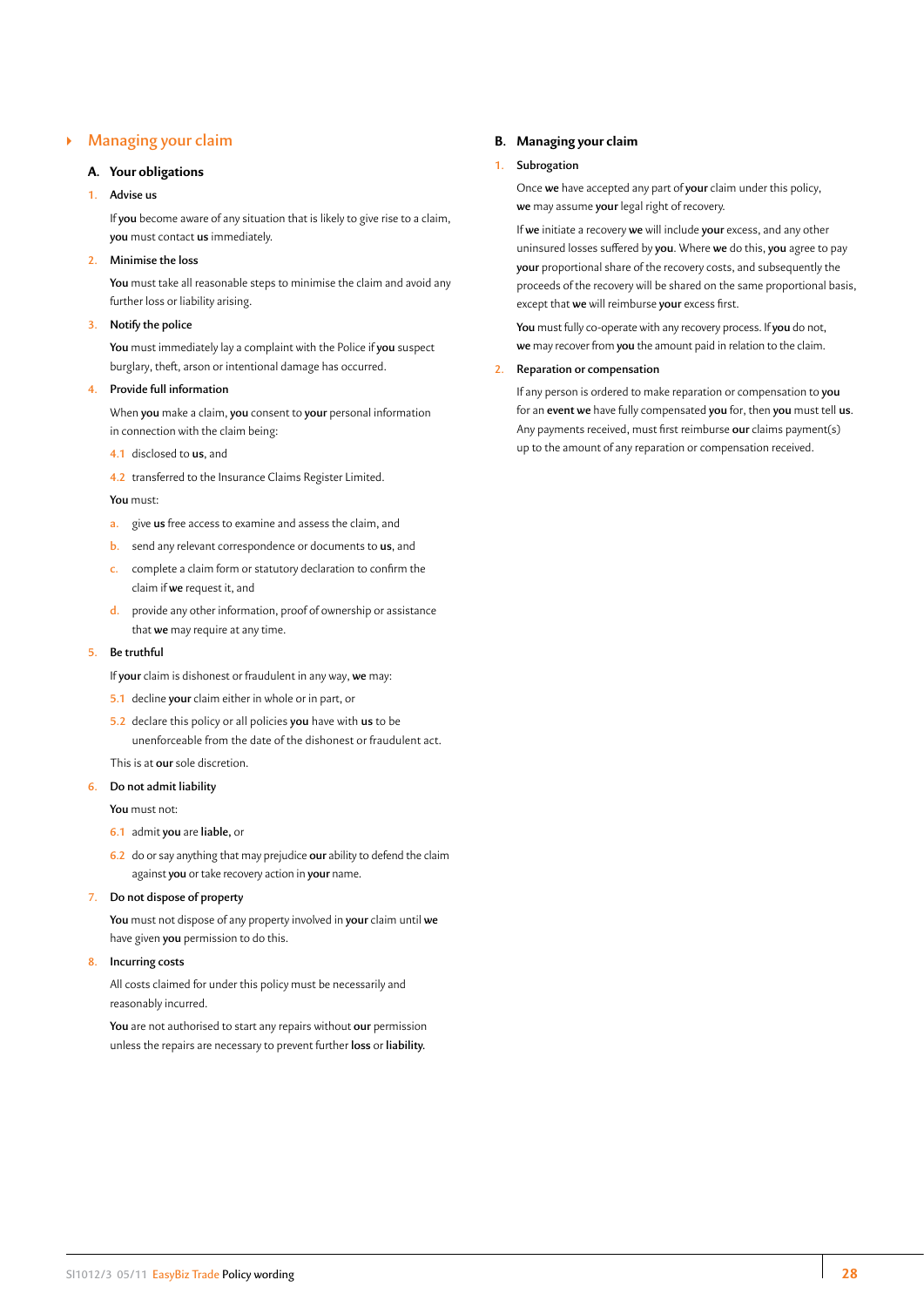# ` **Managing your claim**

# **A. Your obligations**

# **1. Advise us**

If **you** become aware of any situation that is likely to give rise to a claim, **you** must contact **us** immediately.

#### **2. Minimise the loss**

**You** must take all reasonable steps to minimise the claim and avoid any further loss or liability arising.

# **3. Notify the police**

**You** must immediately lay a complaint with the Police if **you** suspect burglary, theft, arson or intentional damage has occurred.

# **4. Provide full information**

When **you** make a claim, **you** consent to **your** personal information in connection with the claim being:

- **4.1** disclosed to **us**, and
- **4.2** transferred to the Insurance Claims Register Limited.

#### **You** must:

- **a.** give **us** free access to examine and assess the claim, and
- **b.** send any relevant correspondence or documents to **us**, and
- **c.** complete a claim form or statutory declaration to confirm the claim if **we** request it, and
- **d.** provide any other information, proof of ownership or assistance that **we** may require at any time.

# **5. Be truthful**

- If **your** claim is dishonest or fraudulent in any way, **we** may:
- **5.1** decline **your** claim either in whole or in part, or
- **5.2** declare this policy or all policies **you** have with **us** to be unenforceable from the date of the dishonest or fraudulent act.

# This is at **our** sole discretion.

# **6. Do not admit liability**

**You** must not:

- **6.1** admit **you** are **liable,** or
- **6.2** do or say anything that may prejudice **our** ability to defend the claim against **you** or take recovery action in **your** name.

#### **7. Do not dispose of property**

**You** must not dispose of any property involved in **your** claim until **we** have given **you** permission to do this.

#### **8. Incurring costs**

All costs claimed for under this policy must be necessarily and reasonably incurred.

**You** are not authorised to start any repairs without **our** permission unless the repairs are necessary to prevent further **loss** or **liability.**

# **B. Managing your claim**

# **1. Subrogation**

Once **we** have accepted any part of **your** claim under this policy, **we** may assume **your** legal right of recovery.

If **we** initiate a recovery **we** will include **your** excess, and any other uninsured losses suffered by **you**. Where **we** do this, **you** agree to pay **your** proportional share of the recovery costs, and subsequently the proceeds of the recovery will be shared on the same proportional basis, except that **we** will reimburse **your** excess first.

**You** must fully co-operate with any recovery process. If **you** do not, **we** may recover from **you** the amount paid in relation to the claim.

### **2. Reparation or compensation**

If any person is ordered to make reparation or compensation to **you** for an **event we** have fully compensated **you** for, then **you** must tell **us**. Any payments received, must first reimburse **our** claims payment(s) up to the amount of any reparation or compensation received.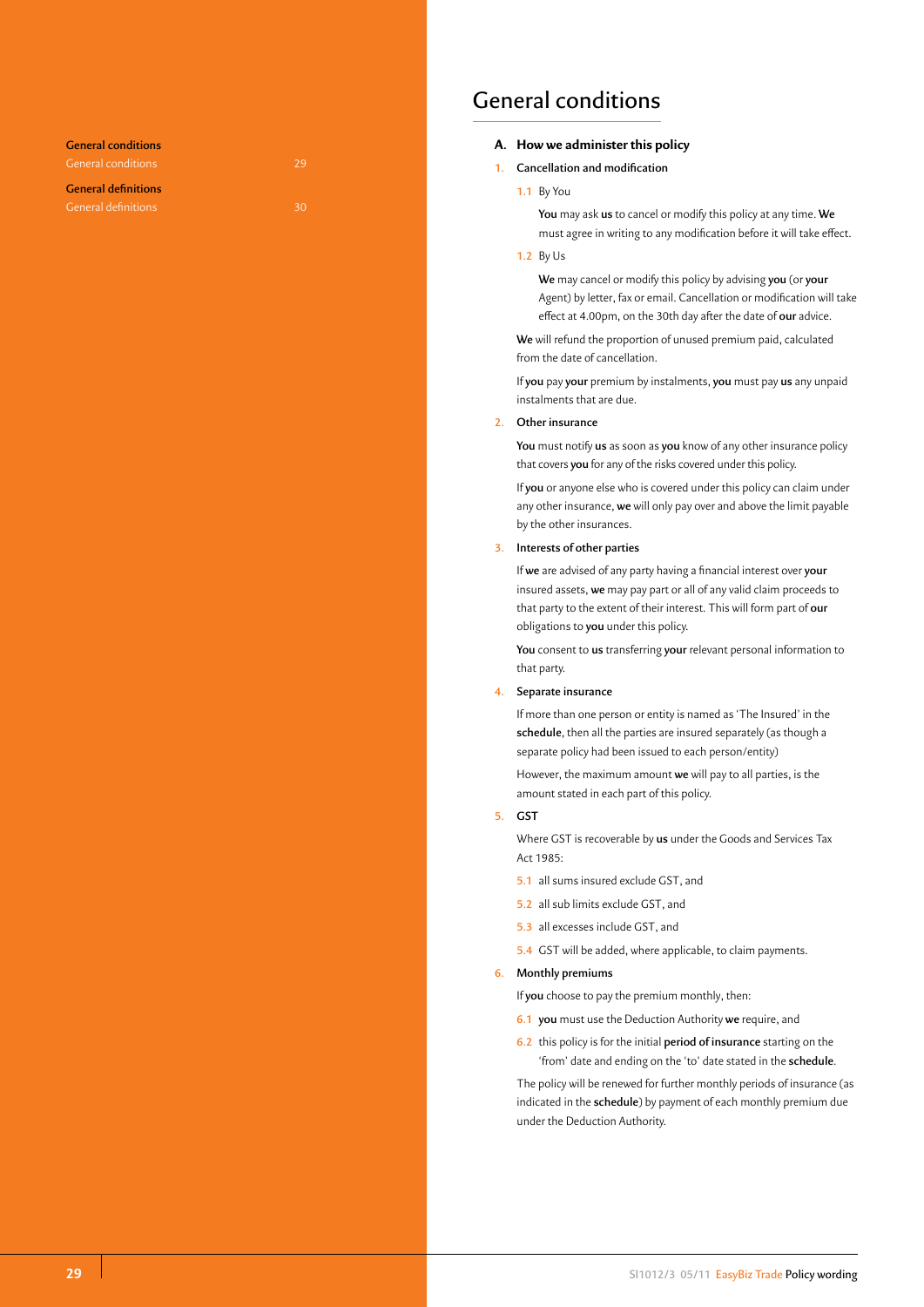**General conditions**  General conditions 29 **General definitions**  General definitions 30

# General conditions

# **A. How we administer this policy**

# **1. Cancellation and modification**

**1.1** By You

**You** may ask **us** to cancel or modify this policy at any time. **We** must agree in writing to any modification before it will take effect.

**1.2** By Us

**We** may cancel or modify this policy by advising **you** (or **your** Agent) by letter, fax or email. Cancellation or modification will take effect at 4.00pm, on the 30th day after the date of **our** advice.

**We** will refund the proportion of unused premium paid, calculated from the date of cancellation.

If **you** pay **your** premium by instalments, **you** must pay **us** any unpaid instalments that are due.

#### **2. Other insurance**

**You** must notify **us** as soon as **you** know of any other insurance policy that covers **you** for any of the risks covered under this policy.

If **you** or anyone else who is covered under this policy can claim under any other insurance, **we** will only pay over and above the limit payable by the other insurances.

### **3. Interests of other parties**

If **we** are advised of any party having a financial interest over **your** insured assets, **we** may pay part or all of any valid claim proceeds to that party to the extent of their interest. This will form part of **our** obligations to **you** under this policy.

**You** consent to **us** transferring **your** relevant personal information to that party.

#### **4. Separate insurance**

If more than one person or entity is named as 'The Insured' in the **schedule**, then all the parties are insured separately (as though a separate policy had been issued to each person/entity)

However, the maximum amount **we** will pay to all parties, is the amount stated in each part of this policy.

**5. GST**

Where GST is recoverable by **us** under the Goods and Services Tax Act 1985:

- **5.1** all sums insured exclude GST, and
- **5.2** all sub limits exclude GST, and
- **5.3** all excesses include GST, and
- **5.4** GST will be added, where applicable, to claim payments.

#### **6. Monthly premiums**

If **you** choose to pay the premium monthly, then:

- **6.1 you** must use the Deduction Authority **we** require, and
- **6.2** this policy is for the initial **period of insurance** starting on the 'from' date and ending on the 'to' date stated in the **schedule**.

The policy will be renewed for further monthly periods of insurance (as indicated in the **schedule**) by payment of each monthly premium due under the Deduction Authority.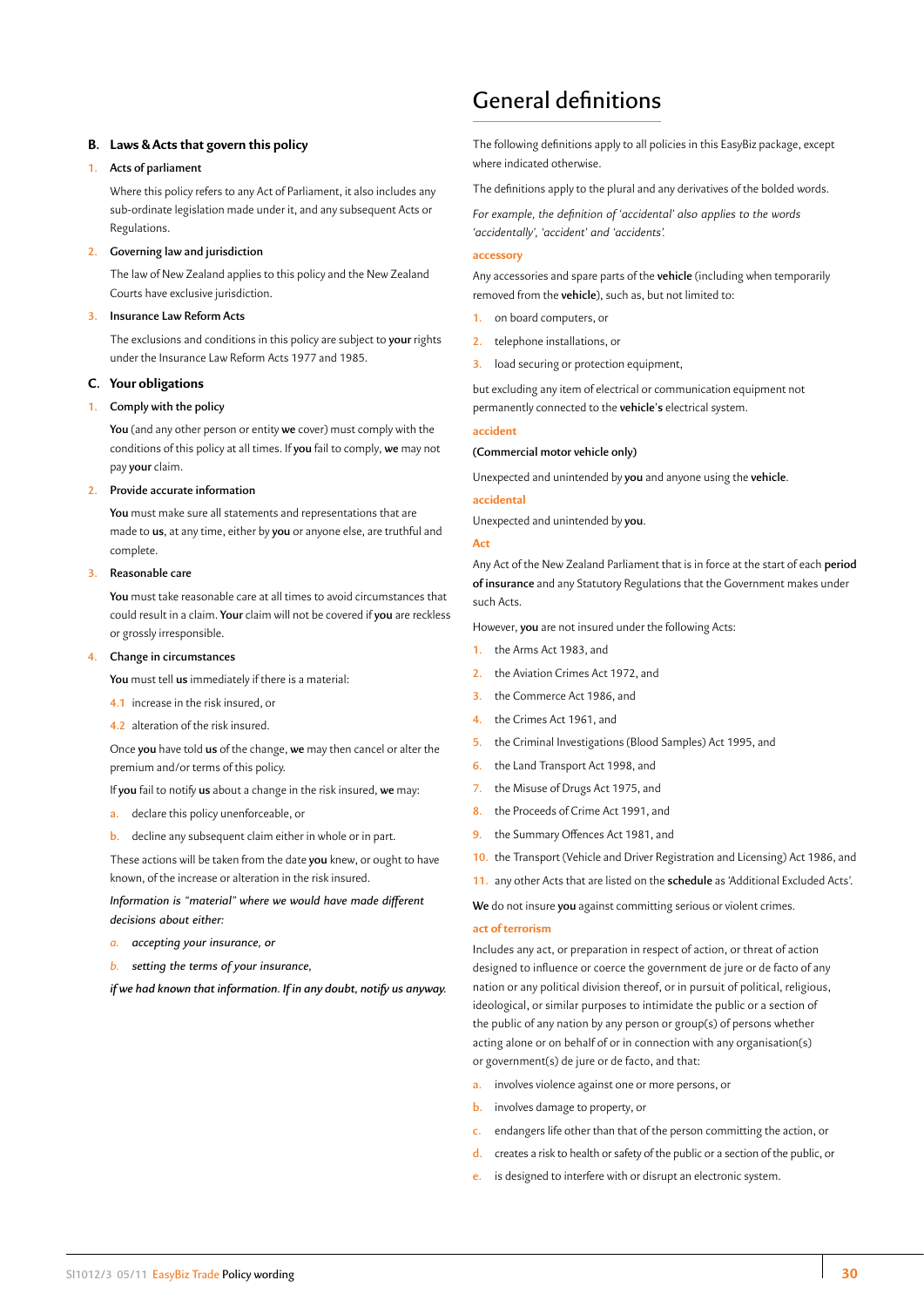# **B. Laws & Acts that govern this policy**

### **1. Acts of parliament**

Where this policy refers to any Act of Parliament, it also includes any sub-ordinate legislation made under it, and any subsequent Acts or Regulations.

#### **2. Governing law and jurisdiction**

The law of New Zealand applies to this policy and the New Zealand Courts have exclusive jurisdiction.

# **3. Insurance Law Reform Acts**

The exclusions and conditions in this policy are subject to **your** rights under the Insurance Law Reform Acts 1977 and 1985.

### **C. Your obligations**

#### **1. Comply with the policy**

**You** (and any other person or entity **we** cover) must comply with the conditions of this policy at all times. If **you** fail to comply, **we** may not pay **your** claim.

# **2. Provide accurate information**

**You** must make sure all statements and representations that are made to **us**, at any time, either by **you** or anyone else, are truthful and complete.

# **3. Reasonable care**

**You** must take reasonable care at all times to avoid circumstances that could result in a claim. **Your** claim will not be covered if **you** are reckless or grossly irresponsible.

#### **4. Change in circumstances**

**You** must tell **us** immediately if there is a material:

- **4.1** increase in the risk insured, or
- **4.2** alteration of the risk insured.

Once **you** have told **us** of the change, **we** may then cancel or alter the premium and/or terms of this policy.

If **you** fail to notify **us** about a change in the risk insured, **we** may:

- **a.** declare this policy unenforceable, or
- **b.** decline any subsequent claim either in whole or in part.

These actions will be taken from the date **you** knew, or ought to have known, of the increase or alteration in the risk insured.

*Information is "material" where we would have made different decisions about either:*

- *a. accepting your insurance, or*
- *b. setting the terms of your insurance,*

*if we had known that information. If in any doubt, notify us anyway.*

# General definitions

The following definitions apply to all policies in this EasyBiz package, except where indicated otherwise.

The definitions apply to the plural and any derivatives of the bolded words.

*For example, the definition of 'accidental' also applies to the words 'accidentally', 'accident' and 'accidents'.*

#### **accessory**

Any accessories and spare parts of the **vehicle** (including when temporarily removed from the **vehicle**), such as, but not limited to:

- **1.** on board computers, or
- **2.** telephone installations, or
- **3.** load securing or protection equipment,

but excluding any item of electrical or communication equipment not permanently connected to the **vehicle's** electrical system.

#### **accident**

#### **(Commercial motor vehicle only)**

Unexpected and unintended by **you** and anyone using the **vehicle**.

#### **accidental**

Unexpected and unintended by **you**.

#### **Act**

Any Act of the New Zealand Parliament that is in force at the start of each **period of insurance** and any Statutory Regulations that the Government makes under such Acts.

However, **you** are not insured under the following Acts:

- **1.** the Arms Act 1983, and
- **2.** the Aviation Crimes Act 1972, and
- **3.** the Commerce Act 1986, and
- **4.** the Crimes Act 1961, and
- **5.** the Criminal Investigations (Blood Samples) Act 1995, and
- **6.** the Land Transport Act 1998, and
- **7.** the Misuse of Drugs Act 1975, and
- **8.** the Proceeds of Crime Act 1991, and
- **9.** the Summary Offences Act 1981, and
- **10.** the Transport (Vehicle and Driver Registration and Licensing) Act 1986, and
- **11.** any other Acts that are listed on the **schedule** as 'Additional Excluded Acts'.

**We** do not insure **you** against committing serious or violent crimes.

#### **act of terrorism**

Includes any act, or preparation in respect of action, or threat of action designed to influence or coerce the government de jure or de facto of any nation or any political division thereof, or in pursuit of political, religious, ideological, or similar purposes to intimidate the public or a section of the public of any nation by any person or group(s) of persons whether acting alone or on behalf of or in connection with any organisation(s) or government(s) de jure or de facto, and that:

- **a.** involves violence against one or more persons, or
- **b.** involves damage to property, or
- **c.** endangers life other than that of the person committing the action, or
- **d.** creates a risk to health or safety of the public or a section of the public, or
- is designed to interfere with or disrupt an electronic system.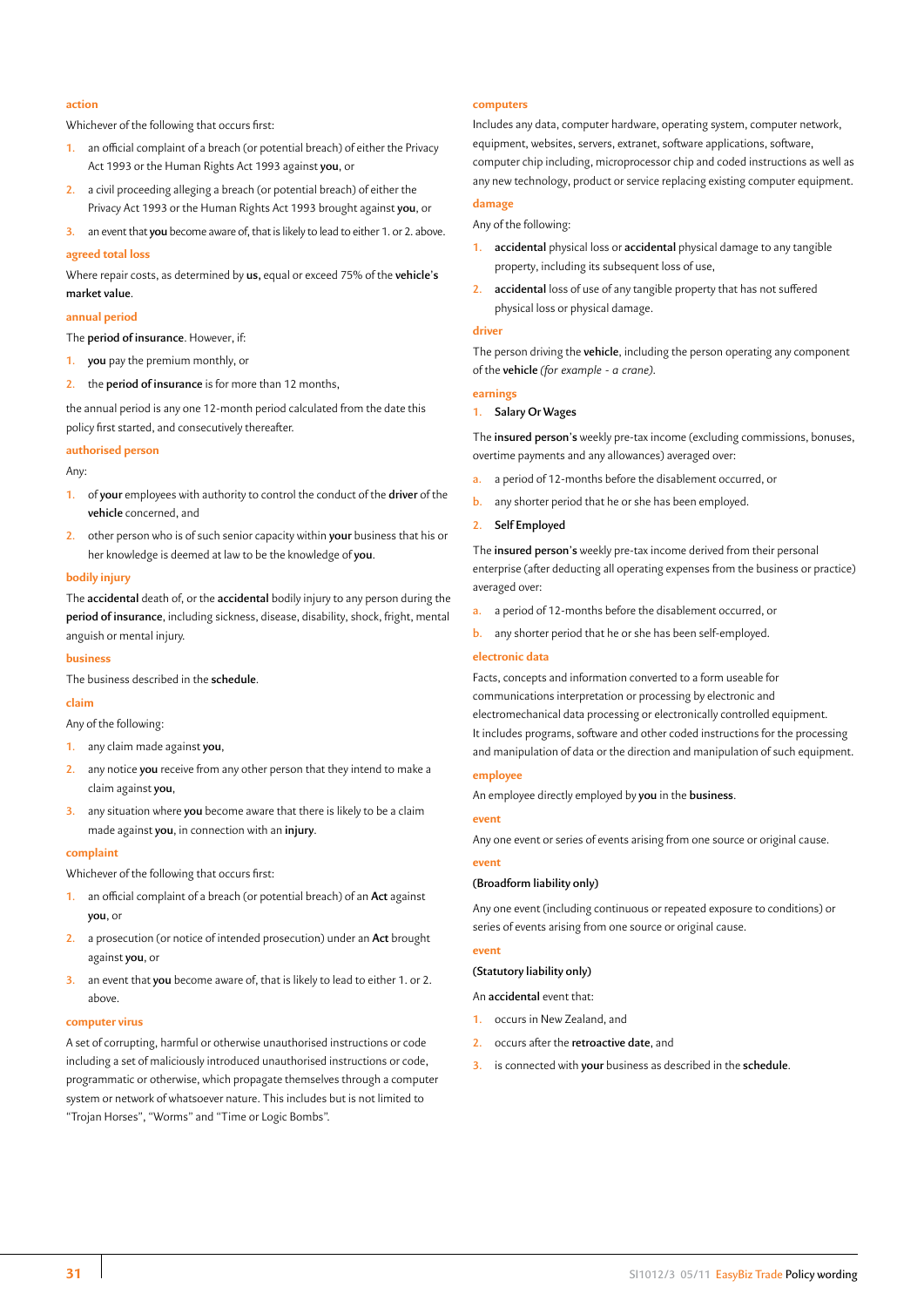#### **action**

Whichever of the following that occurs first:

- **1.** an official complaint of a breach (or potential breach) of either the Privacy Act 1993 or the Human Rights Act 1993 against **you**, or
- **2.** a civil proceeding alleging a breach (or potential breach) of either the Privacy Act 1993 or the Human Rights Act 1993 brought against **you**, or
- **3.** an event that **you** become aware of, that is likely to lead to either 1. or 2. above.

#### **agreed total loss**

Where repair costs, as determined by **us,** equal or exceed 75% of the **vehicle's market value**.

#### **annual period**

The **period of insurance**. However, if:

- **1. you** pay the premium monthly, or
- **2.** the **period of insurance** is for more than 12 months,

the annual period is any one 12-month period calculated from the date this policy first started, and consecutively thereafter.

#### **authorised person**

Any:

- **1.** of **your** employees with authority to control the conduct of the **driver** of the **vehicle** concerned, and
- **2.** other person who is of such senior capacity within **your** business that his or her knowledge is deemed at law to be the knowledge of **you**.

# **bodily injury**

The **accidental** death of, or the **accidental** bodily injury to any person during the **period of insurance**, including sickness, disease, disability, shock, fright, mental anguish or mental injury.

#### **business**

The business described in the **schedule**.

# **claim**

Any of the following:

- **1.** any claim made against **you**,
- **2.** any notice **you** receive from any other person that they intend to make a claim against **you**,
- **3.** any situation where **you** become aware that there is likely to be a claim made against **you**, in connection with an **injury**.

#### **complaint**

Whichever of the following that occurs first:

- **1.** an official complaint of a breach (or potential breach) of an **Act** against **you**, or
- **2.** a prosecution (or notice of intended prosecution) under an **Act** brought against **you**, or
- **3.** an event that **you** become aware of, that is likely to lead to either 1. or 2. above.

#### **computer virus**

A set of corrupting, harmful or otherwise unauthorised instructions or code including a set of maliciously introduced unauthorised instructions or code, programmatic or otherwise, which propagate themselves through a computer system or network of whatsoever nature. This includes but is not limited to "Trojan Horses", "Worms" and "Time or Logic Bombs".

#### **computers**

Includes any data, computer hardware, operating system, computer network, equipment, websites, servers, extranet, software applications, software, computer chip including, microprocessor chip and coded instructions as well as any new technology, product or service replacing existing computer equipment.

# **damage**

Any of the following:

- **1. accidental** physical loss or **accidental** physical damage to any tangible property, including its subsequent loss of use,
- **2. accidental** loss of use of any tangible property that has not suffered physical loss or physical damage.

#### **driver**

The person driving the **vehicle**, including the person operating any component of the **vehicle** *(for example - a crane)*.

#### **earnings**

#### **1. Salary Or Wages**

The **insured person's** weekly pre-tax income (excluding commissions, bonuses, overtime payments and any allowances) averaged over:

- **a.** a period of 12-months before the disablement occurred, or
- **b.** any shorter period that he or she has been employed.
- **2. Self Employed**

The **insured person's** weekly pre-tax income derived from their personal enterprise (after deducting all operating expenses from the business or practice) averaged over:

- **a.** a period of 12-months before the disablement occurred, or
- **b.** any shorter period that he or she has been self-employed.

#### **electronic data**

Facts, concepts and information converted to a form useable for communications interpretation or processing by electronic and electromechanical data processing or electronically controlled equipment. It includes programs, software and other coded instructions for the processing and manipulation of data or the direction and manipulation of such equipment.

# **employee**

An employee directly employed by **you** in the **business**.

#### **event**

Any one event or series of events arising from one source or original cause.

#### **event**

#### **(Broadform liability only)**

Any one event (including continuous or repeated exposure to conditions) or series of events arising from one source or original cause.

#### **event**

**(Statutory liability only)**

An **accidental** event that:

- **1.** occurs in New Zealand, and
- **2.** occurs after the **retroactive date**, and
- **3.** is connected with **your** business as described in the **schedule**.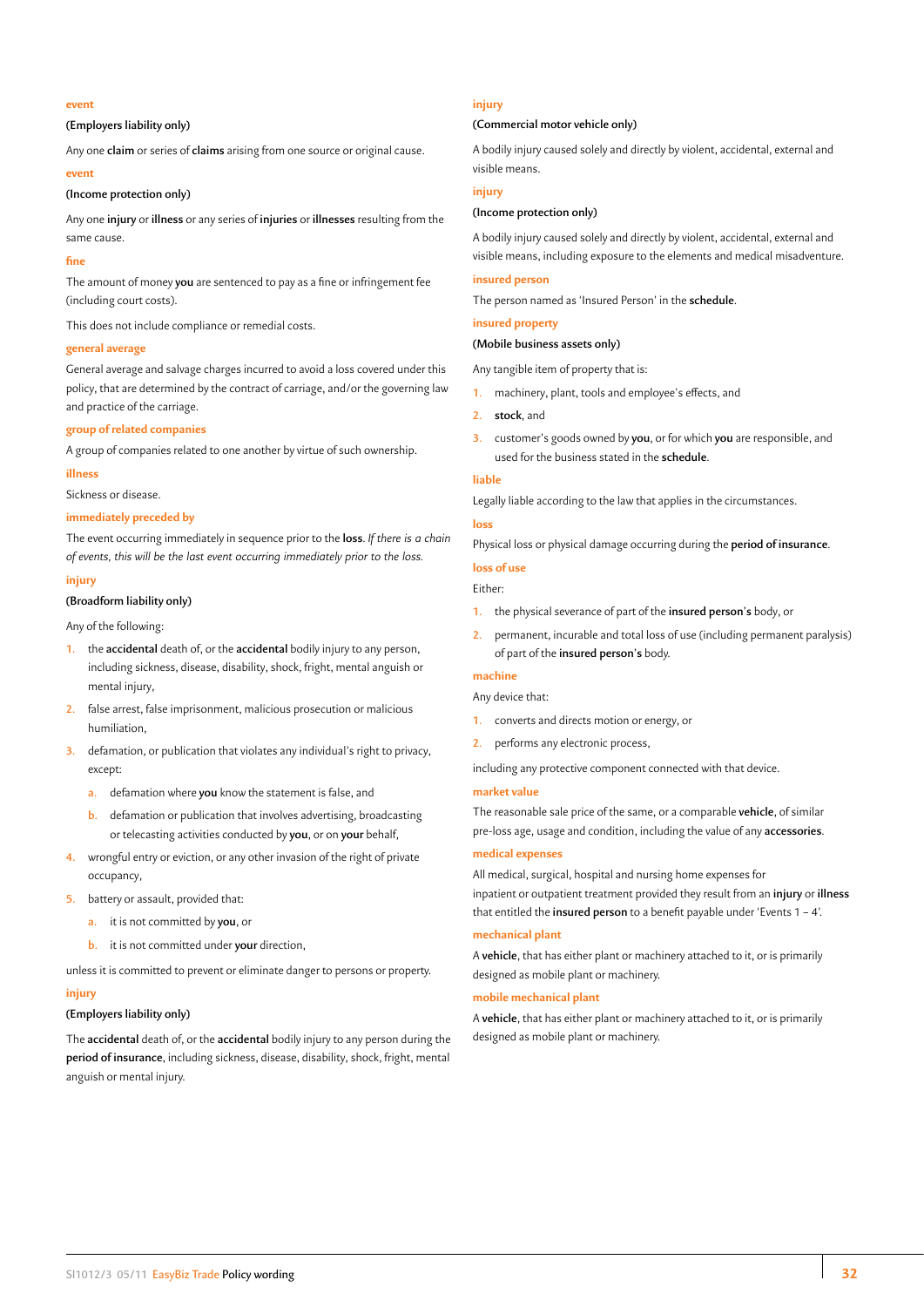## **event**

## **(Employers liability only)**

Any one **claim** or series of **claims** arising from one source or original cause.

#### **event**

# **(Income protection only)**

Any one **injury** or **illness** or any series of **injuries** or **illnesses** resulting from the same cause.

#### **fine**

The amount of money **you** are sentenced to pay as a fine or infringement fee (including court costs).

This does not include compliance or remedial costs.

# **general average**

General average and salvage charges incurred to avoid a loss covered under this policy, that are determined by the contract of carriage, and/or the governing law and practice of the carriage.

#### **group of related companies**

A group of companies related to one another by virtue of such ownership.

#### **illness**

Sickness or disease.

#### **immediately preceded by**

The event occurring immediately in sequence prior to the **loss**. *If there is a chain of events, this will be the last event occurring immediately prior to the loss.*

#### **injury**

# **(Broadform liability only)**

Any of the following:

- **1.** the **accidental** death of, or the **accidental** bodily injury to any person, including sickness, disease, disability, shock, fright, mental anguish or mental injury,
- **2.** false arrest, false imprisonment, malicious prosecution or malicious humiliation,
- **3.** defamation, or publication that violates any individual's right to privacy, except:
	- **a.** defamation where **you** know the statement is false, and
	- **b.** defamation or publication that involves advertising, broadcasting or telecasting activities conducted by **you**, or on **your** behalf,
- **4.** wrongful entry or eviction, or any other invasion of the right of private occupancy,
- **5.** battery or assault, provided that:
	- **a.** it is not committed by **you**, or
	- **b.** it is not committed under **your** direction,

unless it is committed to prevent or eliminate danger to persons or property.

#### **injury**

# **(Employers liability only)**

The **accidental** death of, or the **accidental** bodily injury to any person during the **period of insurance**, including sickness, disease, disability, shock, fright, mental anguish or mental injury.

## **injury**

### **(Commercial motor vehicle only)**

A bodily injury caused solely and directly by violent, accidental, external and visible means.

# **injury**

# **(Income protection only)**

A bodily injury caused solely and directly by violent, accidental, external and visible means, including exposure to the elements and medical misadventure.

# **insured person**

The person named as 'Insured Person' in the **schedule**.

# **insured property**

**(Mobile business assets only)**

Any tangible item of property that is:

- **1.** machinery, plant, tools and employee's effects, and
- **2. stock**, and
- **3.** customer's goods owned by **you**, or for which **you** are responsible, and used for the business stated in the **schedule**.

#### **liable**

Legally liable according to the law that applies in the circumstances.

# **loss**

Physical loss or physical damage occurring during the **period of insurance**.

# **loss of use** Either:

- **1.** the physical severance of part of the **insured person's** body, or
- **2.** permanent, incurable and total loss of use (including permanent paralysis) of part of the **insured person's** body.

#### **machine**

Any device that:

- **1.** converts and directs motion or energy, or
- **2.** performs any electronic process,

including any protective component connected with that device.

#### **market value**

The reasonable sale price of the same, or a comparable **vehicle**, of similar pre-loss age, usage and condition, including the value of any **accessories**.

#### **medical expenses**

All medical, surgical, hospital and nursing home expenses for inpatient or outpatient treatment provided they result from an **injury** or **illness** that entitled the **insured person** to a benefit payable under 'Events 1 – 4'.

#### **mechanical plant**

A **vehicle**, that has either plant or machinery attached to it, or is primarily designed as mobile plant or machinery.

#### **mobile mechanical plant**

A **vehicle**, that has either plant or machinery attached to it, or is primarily designed as mobile plant or machinery.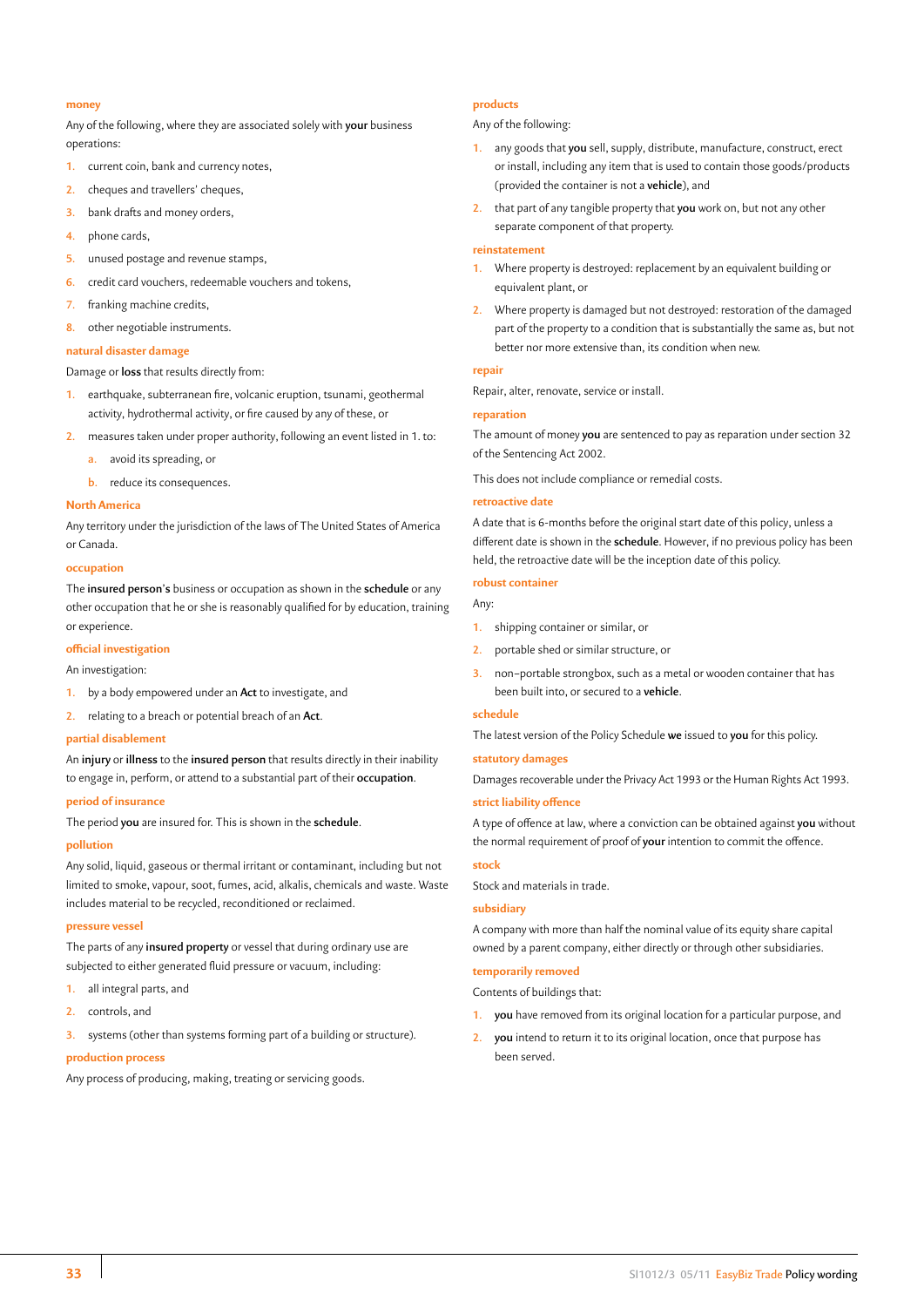# **money**

Any of the following, where they are associated solely with **your** business operations:

- **1.** current coin, bank and currency notes,
- **2.** cheques and travellers' cheques,
- **3.** bank drafts and money orders,
- **4.** phone cards,
- **5.** unused postage and revenue stamps,
- **6.** credit card vouchers, redeemable vouchers and tokens,
- **7.** franking machine credits,
- **8.** other negotiable instruments.

# **natural disaster damage**

Damage or **loss** that results directly from:

- **1.** earthquake, subterranean fire, volcanic eruption, tsunami, geothermal activity, hydrothermal activity, or fire caused by any of these, or
- **2.** measures taken under proper authority, following an event listed in 1. to:
	- **a.** avoid its spreading, or
	- **b.** reduce its consequences.

# **North America**

Any territory under the jurisdiction of the laws of The United States of America or Canada.

#### **occupation**

The **insured person's** business or occupation as shown in the **schedule** or any other occupation that he or she is reasonably qualified for by education, training or experience.

#### **official investigation**

An investigation:

- **1.** by a body empowered under an **Act** to investigate, and
- **2.** relating to a breach or potential breach of an **Act**.

# **partial disablement**

An **injury** or **illness** to the **insured person** that results directly in their inability to engage in, perform, or attend to a substantial part of their **occupation**.

# **period of insurance**

The period **you** are insured for. This is shown in the **schedule**.

#### **pollution**

Any solid, liquid, gaseous or thermal irritant or contaminant, including but not limited to smoke, vapour, soot, fumes, acid, alkalis, chemicals and waste. Waste includes material to be recycled, reconditioned or reclaimed.

#### **pressure vessel**

The parts of any **insured property** or vessel that during ordinary use are subjected to either generated fluid pressure or vacuum, including:

- **1.** all integral parts, and
- **2.** controls, and
- **3.** systems (other than systems forming part of a building or structure).

#### **production process**

Any process of producing, making, treating or servicing goods.

# **products**

Any of the following:

- **1.** any goods that **you** sell, supply, distribute, manufacture, construct, erect or install, including any item that is used to contain those goods/products (provided the container is not a **vehicle**), and
- **2.** that part of any tangible property that **you** work on, but not any other separate component of that property.

#### **reinstatement**

- **1.** Where property is destroyed: replacement by an equivalent building or equivalent plant, or
- **2.** Where property is damaged but not destroyed: restoration of the damaged part of the property to a condition that is substantially the same as, but not better nor more extensive than, its condition when new.

#### **repair**

Repair, alter, renovate, service or install.

# **reparation**

The amount of money **you** are sentenced to pay as reparation under section 32 of the Sentencing Act 2002.

This does not include compliance or remedial costs.

# **retroactive date**

A date that is 6-months before the original start date of this policy, unless a different date is shown in the **schedule**. However, if no previous policy has been held, the retroactive date will be the inception date of this policy.

# **robust container**

# Any:

- **1.** shipping container or similar, or
- **2.** portable shed or similar structure, or
- **3.** non–portable strongbox, such as a metal or wooden container that has been built into, or secured to a **vehicle**.

#### **schedule**

The latest version of the Policy Schedule **we** issued to **you** for this policy.

#### **statutory damages**

Damages recoverable under the Privacy Act 1993 or the Human Rights Act 1993.

# **strict liability offence**

A type of offence at law, where a conviction can be obtained against **you** without the normal requirement of proof of **your** intention to commit the offence.

#### **stock**

Stock and materials in trade.

#### **subsidiary**

A company with more than half the nominal value of its equity share capital owned by a parent company, either directly or through other subsidiaries.

# **temporarily removed**

Contents of buildings that:

- **1. you** have removed from its original location for a particular purpose, and
- **2. you** intend to return it to its original location, once that purpose has been served.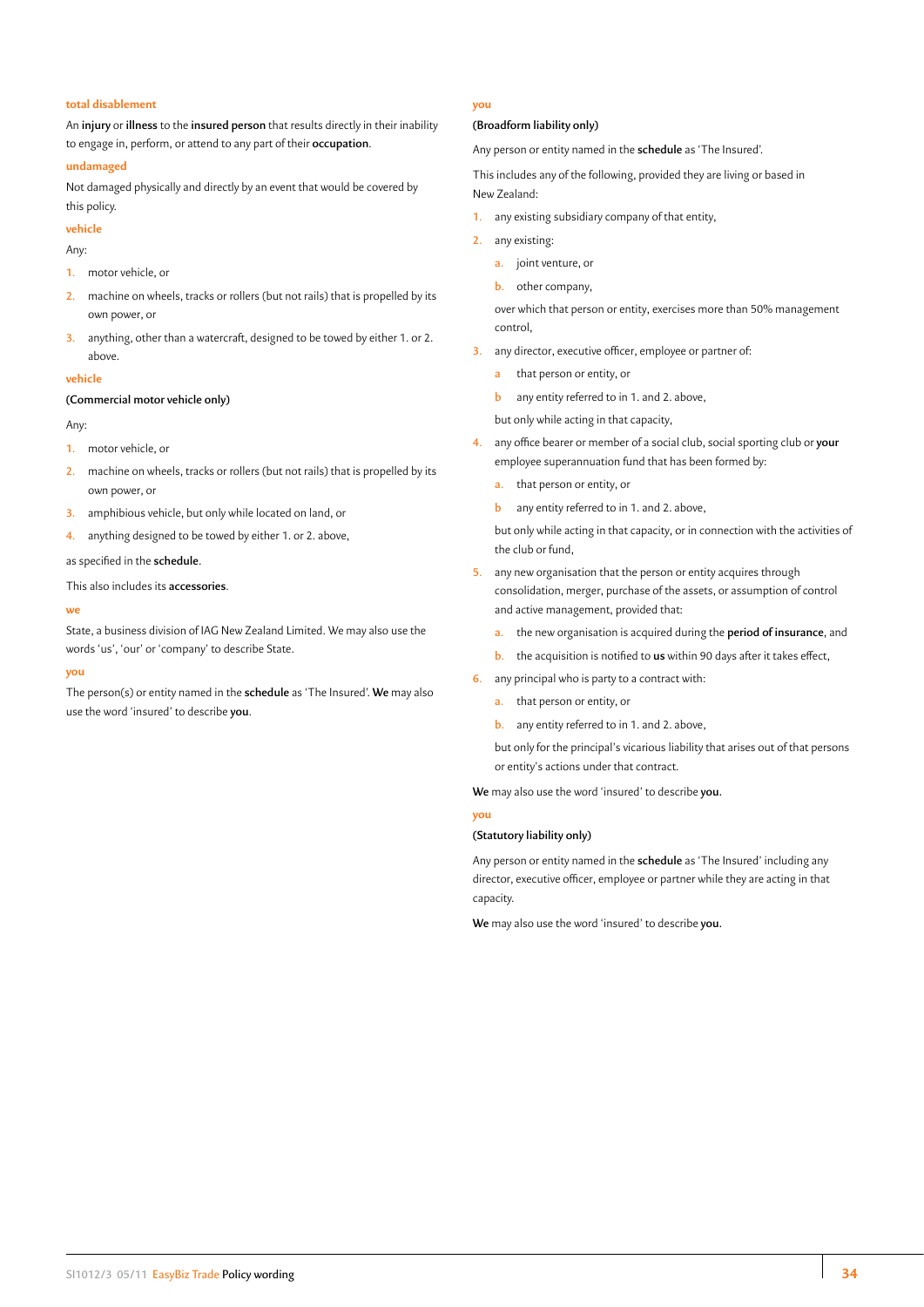#### **total disablement**

An **injury** or **illness** to the **insured person** that results directly in their inability to engage in, perform, or attend to any part of their **occupation**.

#### **undamaged**

Not damaged physically and directly by an event that would be covered by this policy.

**vehicle**

Any:

- **1.** motor vehicle, or
- **2.** machine on wheels, tracks or rollers (but not rails) that is propelled by its own power, or
- **3.** anything, other than a watercraft, designed to be towed by either 1. or 2. above.

#### **vehicle**

#### **(Commercial motor vehicle only)**

Any:

- **1.** motor vehicle, or
- **2.** machine on wheels, tracks or rollers (but not rails) that is propelled by its own power, or
- **3.** amphibious vehicle, but only while located on land, or
- **4.** anything designed to be towed by either 1. or 2. above,

as specified in the **schedule**.

This also includes its **accessories**.

#### **we**

State, a business division of IAG New Zealand Limited. We may also use the words 'us', 'our' or 'company' to describe State.

# **you**

The person(s) or entity named in the **schedule** as 'The Insured'. **We** may also use the word 'insured' to describe **you**.

# **you**

# **(Broadform liability only)**

Any person or entity named in the **schedule** as 'The Insured'.

This includes any of the following, provided they are living or based in New Zealand:

- **1.** any existing subsidiary company of that entity,
- **2.** any existing:
	- **a.** joint venture, or
	- **b.** other company,

over which that person or entity, exercises more than 50% management control,

- **3.** any director, executive officer, employee or partner of:
	- **a** that person or entity, or
	- **b** any entity referred to in 1. and 2. above,

but only while acting in that capacity,

- **4.** any office bearer or member of a social club, social sporting club or **your** employee superannuation fund that has been formed by:
	- **a.** that person or entity, or
	- **b** any entity referred to in 1. and 2. above,

but only while acting in that capacity, or in connection with the activities of the club or fund,

- **5.** any new organisation that the person or entity acquires through consolidation, merger, purchase of the assets, or assumption of control and active management, provided that:
	- **a.** the new organisation is acquired during the **period of insurance**, and
	- **b.** the acquisition is notified to **us** within 90 days after it takes effect,
- **6.** any principal who is party to a contract with:
	- **a.** that person or entity, or
	- **b.** any entity referred to in 1. and 2. above,

but only for the principal's vicarious liability that arises out of that persons or entity's actions under that contract.

**We** may also use the word 'insured' to describe **you.**

**you**

#### **(Statutory liability only)**

Any person or entity named in the **schedule** as 'The Insured' including any director, executive officer, employee or partner while they are acting in that capacity.

**We** may also use the word 'insured' to describe **you.**